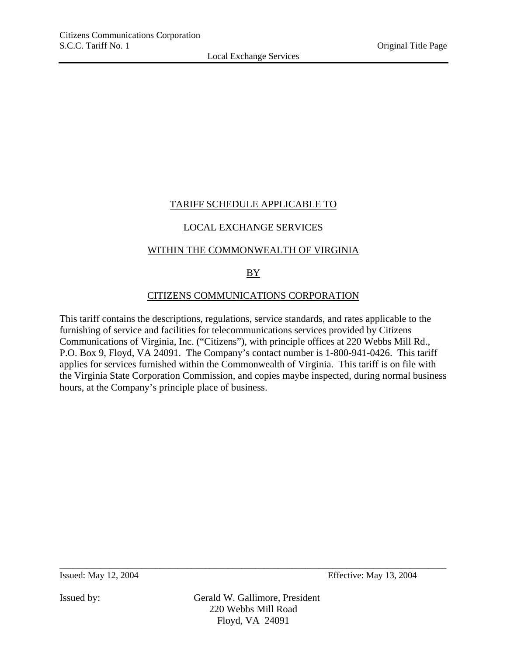# TARIFF SCHEDULE APPLICABLE TO

# LOCAL EXCHANGE SERVICES

### WITHIN THE COMMONWEALTH OF VIRGINIA

# $BY$

# CITIZENS COMMUNICATIONS CORPORATION

This tariff contains the descriptions, regulations, service standards, and rates applicable to the furnishing of service and facilities for telecommunications services provided by Citizens Communications of Virginia, Inc. ("Citizens"), with principle offices at 220 Webbs Mill Rd., P.O. Box 9, Floyd, VA 24091. The Company's contact number is 1-800-941-0426. This tariff applies for services furnished within the Commonwealth of Virginia. This tariff is on file with the Virginia State Corporation Commission, and copies maybe inspected, during normal business hours, at the Company's principle place of business.

Issued: May 12, 2004 Effective: May 13, 2004

Issued by: Gerald W. Gallimore, President 220 Webbs Mill Road Floyd, VA 24091

\_\_\_\_\_\_\_\_\_\_\_\_\_\_\_\_\_\_\_\_\_\_\_\_\_\_\_\_\_\_\_\_\_\_\_\_\_\_\_\_\_\_\_\_\_\_\_\_\_\_\_\_\_\_\_\_\_\_\_\_\_\_\_\_\_\_\_\_\_\_\_\_\_\_\_\_\_\_\_\_\_\_\_\_\_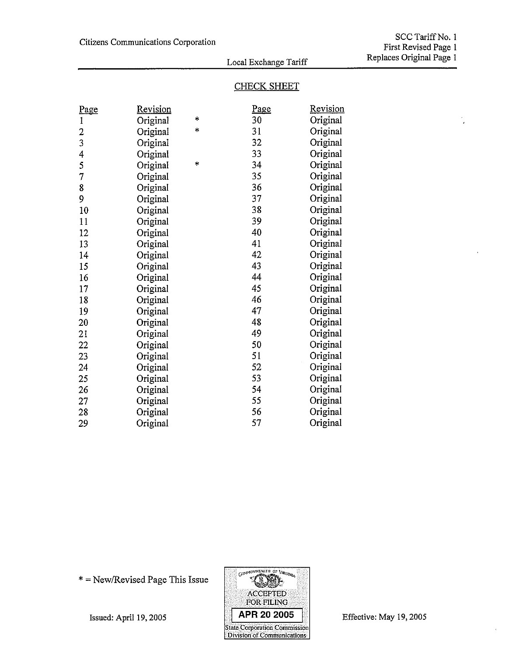$^\prime$ 

### Local Exchange Tariff

# **CHECK SHEET**

| <u>Page</u>    | Revision |        | <u>Page</u> | Revision |
|----------------|----------|--------|-------------|----------|
| 1              | Original | $\ast$ | 30          | Original |
| $\overline{c}$ | Original | *      | 31          | Original |
| 3              | Original |        | 32          | Original |
| 4              | Original |        | 33          | Original |
| 5              | Original | $\ast$ | 34          | Original |
| 7              | Original |        | 35          | Original |
| 8              | Original |        | 36          | Original |
| 9              | Original |        | 37          | Original |
| 10             | Original |        | 38          | Original |
| 11             | Original |        | 39          | Original |
| 12             | Original |        | 40          | Original |
| 13             | Original |        | 41          | Original |
| 14             | Original |        | 42          | Original |
| 15             | Original |        | 43          | Original |
| 16             | Original |        | 44          | Original |
| 17             | Original |        | 45          | Original |
| 18             | Original |        | 46          | Original |
| 19             | Original |        | 47          | Original |
| 20             | Original |        | 48          | Original |
| 21             | Original |        | 49          | Original |
| 22             | Original |        | 50          | Original |
| 23             | Original |        | 51          | Original |
| 24             | Original |        | 52          | Original |
| 25             | Original |        | 53          | Original |
| 26             | Original |        | 54          | Original |
| 27             | Original |        | 55          | Original |
| 28             | Original |        | 56          | Original |
| 29             | Original |        | 57          | Original |

\* = New/Revised Page This Issue



Effective: May 19, 2005

Issued: April 19, 2005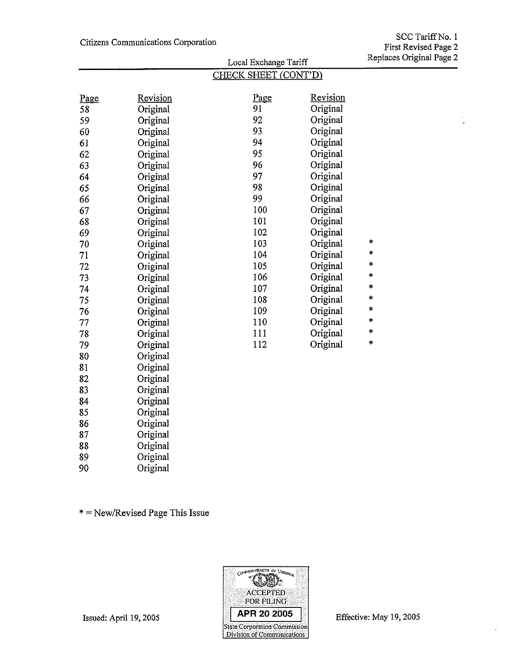v.  $\overline{\phantom{a}}$ 

|      | Local Exchange Tariff |                      |          | Replaces Original |  |
|------|-----------------------|----------------------|----------|-------------------|--|
|      |                       | CHECK SHEET (CONT'D) |          |                   |  |
| Page | Revision              | Page                 | Revision |                   |  |
| 58   | Original              | 91                   | Original |                   |  |
| 59   | Original              | 92                   | Original |                   |  |
| 60   | Original              | 93                   | Original |                   |  |
| 61   | Original              | 94                   | Original |                   |  |
| 62   | Original              | 95                   | Original |                   |  |
| 63   | Original              | 96                   | Original |                   |  |
| 64   | Original              | 97                   | Original |                   |  |
| 65   | Original              | 98                   | Original |                   |  |
| 66   | Original              | 99                   | Original |                   |  |
| 67   | Original              | 100                  | Original |                   |  |
| 68   | Original              | 101                  | Original |                   |  |
| 69   | Original              | 102                  | Original |                   |  |
| 70   | Original              | 103                  | Original | *                 |  |
| 71   | Original              | 104                  | Original | *                 |  |
| 72   | Original              | 105                  | Original | *                 |  |
| 73   | Original              | 106                  | Original | *                 |  |
| 74   | Original              | 107                  | Original | *                 |  |
| 75   | Original              | 108                  | Original | *                 |  |
| 76   | Original              | 109                  | Original | *                 |  |
| 77   | Original              | 110                  | Original | *                 |  |
| 78   | Original              | 111                  | Original | $\ast$            |  |
| 79   | Original              | 112                  | Original | *                 |  |
| 80   | Original              |                      |          |                   |  |
| 81   | Original              |                      |          |                   |  |
| 82   | Original              |                      |          |                   |  |
| 83   | Original              |                      |          |                   |  |
| 84   | Original              |                      |          |                   |  |
| 85   | Original              |                      |          |                   |  |
| 86   | Original              |                      |          |                   |  |
| 87   | Original              |                      |          |                   |  |
| 88   | Original              |                      |          |                   |  |
| 89   | Original              |                      |          |                   |  |

 $*$  = New/Revised Page This Issue

Original



Issued: April 19, 2005

90

Effective: May 19, 2005

 $\cdot$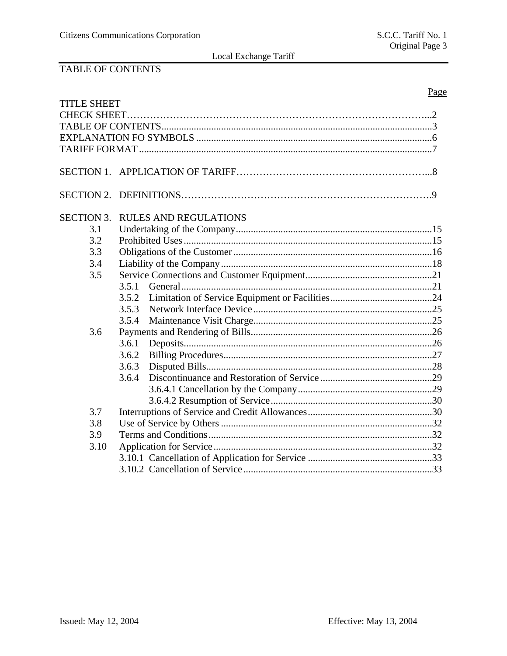# TABLE OF CONTENTS

|                    |       |                              | Page |
|--------------------|-------|------------------------------|------|
| <b>TITLE SHEET</b> |       |                              |      |
|                    |       |                              |      |
|                    |       |                              |      |
|                    |       |                              |      |
|                    |       |                              |      |
|                    |       |                              |      |
|                    |       |                              |      |
|                    |       |                              |      |
| <b>SECTION 3.</b>  |       | <b>RULES AND REGULATIONS</b> |      |
| 3.1                |       |                              |      |
| 3.2                |       |                              |      |
| 3.3                |       |                              |      |
| 3.4                |       |                              |      |
| 3.5                |       |                              |      |
|                    | 3.5.1 |                              |      |
|                    | 3.5.2 |                              |      |
|                    | 3.5.3 |                              |      |
|                    | 3.5.4 |                              |      |
| 3.6                |       |                              |      |
|                    | 3.6.1 |                              |      |
|                    | 3.6.2 |                              |      |
|                    | 3.6.3 |                              |      |
|                    | 3.6.4 |                              |      |
|                    |       |                              |      |
|                    |       |                              |      |
| 3.7                |       |                              |      |
| 3.8                |       |                              |      |
| 3.9                |       |                              |      |
| 3.10               |       |                              |      |
|                    |       |                              |      |
|                    |       |                              |      |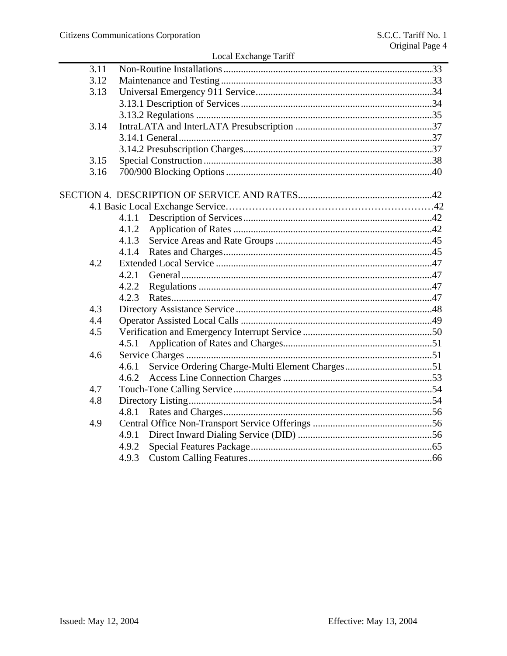| Local Exchange Tariff |
|-----------------------|
|-----------------------|

|      | LOCAL LACHARGE TATHE |  |
|------|----------------------|--|
| 3.11 |                      |  |
| 3.12 |                      |  |
| 3.13 |                      |  |
|      |                      |  |
|      |                      |  |
| 3.14 |                      |  |
|      |                      |  |
|      |                      |  |
| 3.15 |                      |  |
| 3.16 |                      |  |
|      |                      |  |
|      |                      |  |
|      | 4.1.1                |  |
|      | 4.1.2                |  |
|      | 4.1.3                |  |
|      |                      |  |
| 4.2  |                      |  |
|      | 4.2.1                |  |
|      | 4.2.2                |  |
|      | 4.2.3                |  |
| 4.3  |                      |  |
| 4.4  |                      |  |
| 4.5  |                      |  |
|      | 4.5.1                |  |
| 4.6  |                      |  |
|      | 4.6.1                |  |
|      | 4.6.2                |  |
| 4.7  |                      |  |
| 4.8  |                      |  |
|      |                      |  |
| 4.9  |                      |  |
|      | 4.9.1                |  |
|      | 4.9.2                |  |
|      | 4.9.3                |  |
|      |                      |  |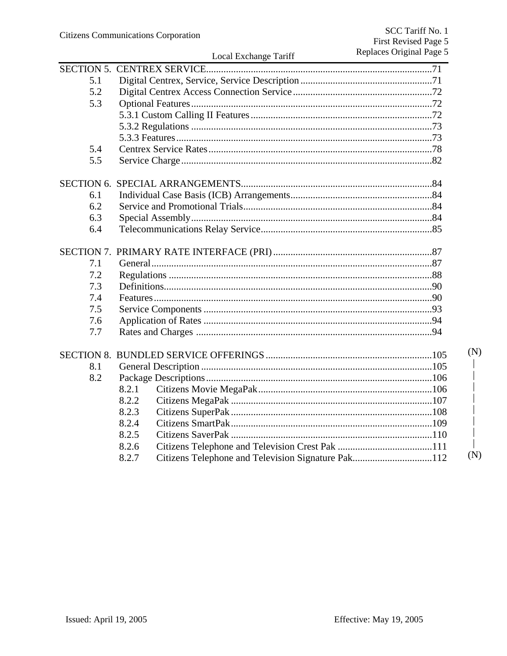| 5.1 |       |                                                    |     |
|-----|-------|----------------------------------------------------|-----|
| 5.2 |       |                                                    |     |
| 5.3 |       |                                                    |     |
|     |       |                                                    |     |
|     |       |                                                    |     |
|     |       |                                                    |     |
| 5.4 |       |                                                    |     |
| 5.5 |       |                                                    |     |
|     |       |                                                    |     |
| 6.1 |       |                                                    |     |
| 6.2 |       |                                                    |     |
| 6.3 |       |                                                    |     |
| 6.4 |       |                                                    |     |
|     |       |                                                    |     |
| 7.1 |       |                                                    |     |
| 7.2 |       |                                                    |     |
| 7.3 |       |                                                    |     |
| 7.4 |       |                                                    |     |
| 7.5 |       |                                                    |     |
| 7.6 |       |                                                    |     |
| 7.7 |       |                                                    |     |
|     |       |                                                    | (N) |
| 8.1 |       |                                                    |     |
| 8.2 |       |                                                    |     |
|     | 8.2.1 |                                                    |     |
|     | 8.2.2 |                                                    |     |
|     | 8.2.3 |                                                    |     |
|     | 8.2.4 |                                                    |     |
|     | 8.2.5 |                                                    |     |
|     | 8.2.6 |                                                    |     |
|     | 8.2.7 | Citizens Telephone and Television Signature Pak112 | (N) |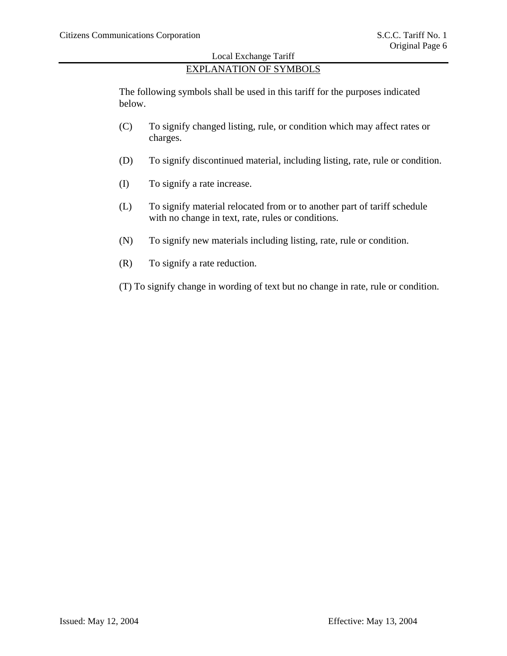# EXPLANATION OF SYMBOLS

The following symbols shall be used in this tariff for the purposes indicated below.

- (C) To signify changed listing, rule, or condition which may affect rates or charges.
- (D) To signify discontinued material, including listing, rate, rule or condition.
- (I) To signify a rate increase.
- (L) To signify material relocated from or to another part of tariff schedule with no change in text, rate, rules or conditions.
- (N) To signify new materials including listing, rate, rule or condition.
- (R) To signify a rate reduction.
- (T) To signify change in wording of text but no change in rate, rule or condition.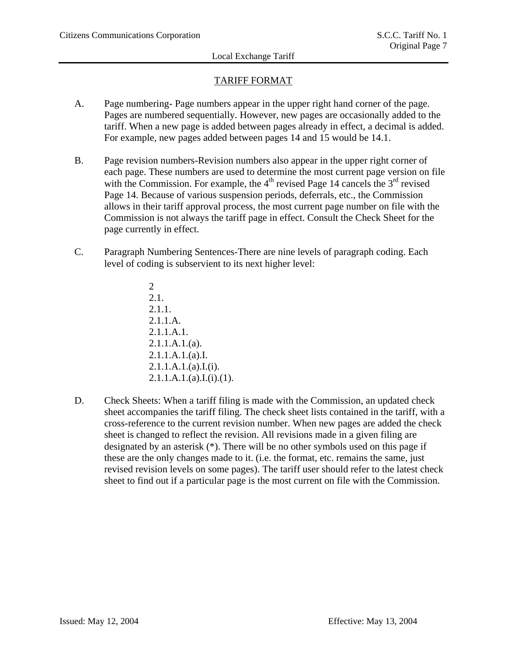# TARIFF FORMAT

- A. Page numbering- Page numbers appear in the upper right hand corner of the page. Pages are numbered sequentially. However, new pages are occasionally added to the tariff. When a new page is added between pages already in effect, a decimal is added. For example, new pages added between pages 14 and 15 would be 14.1.
- B. Page revision numbers-Revision numbers also appear in the upper right corner of each page. These numbers are used to determine the most current page version on file with the Commission. For example, the  $4<sup>th</sup>$  revised Page 14 cancels the  $3<sup>rd</sup>$  revised Page 14. Because of various suspension periods, deferrals, etc., the Commission allows in their tariff approval process, the most current page number on file with the Commission is not always the tariff page in effect. Consult the Check Sheet for the page currently in effect.
- C. Paragraph Numbering Sentences-There are nine levels of paragraph coding. Each level of coding is subservient to its next higher level:
	- 2 2.1. 2.1.1. 2.1.1.A. 2.1.1.A.1. 2.1.1.A.1.(a). 2.1.1.A.1.(a).I.  $2.1.1.A.1.(a).I.(i).$  $2.1.1.A.1.(a).I.(i).(1).$
- D. Check Sheets: When a tariff filing is made with the Commission, an updated check sheet accompanies the tariff filing. The check sheet lists contained in the tariff, with a cross-reference to the current revision number. When new pages are added the check sheet is changed to reflect the revision. All revisions made in a given filing are designated by an asterisk (\*). There will be no other symbols used on this page if these are the only changes made to it. (i.e. the format, etc. remains the same, just revised revision levels on some pages). The tariff user should refer to the latest check sheet to find out if a particular page is the most current on file with the Commission.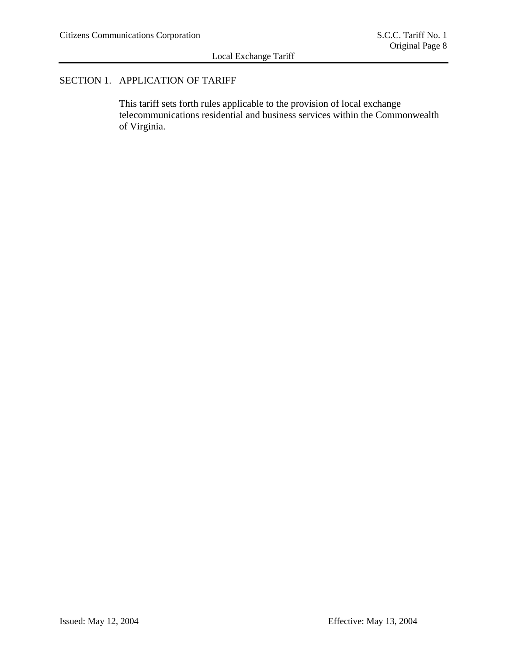# SECTION 1. APPLICATION OF TARIFF

This tariff sets forth rules applicable to the provision of local exchange telecommunications residential and business services within the Commonwealth of Virginia.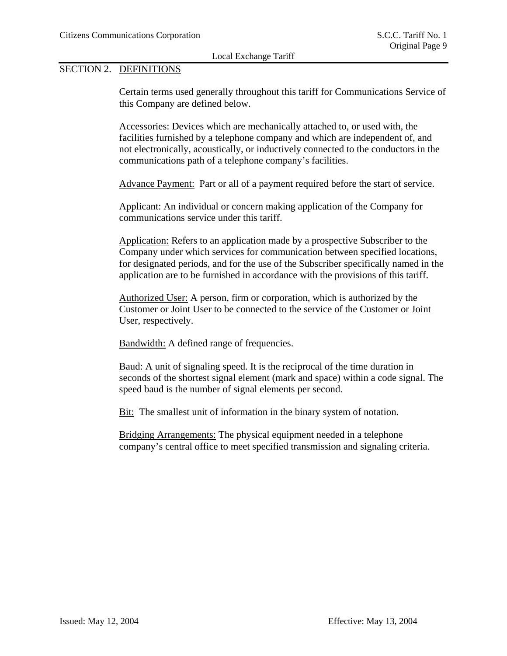### SECTION 2. DEFINITIONS

Certain terms used generally throughout this tariff for Communications Service of this Company are defined below.

Accessories: Devices which are mechanically attached to, or used with, the facilities furnished by a telephone company and which are independent of, and not electronically, acoustically, or inductively connected to the conductors in the communications path of a telephone company's facilities.

Advance Payment: Part or all of a payment required before the start of service.

Applicant: An individual or concern making application of the Company for communications service under this tariff.

Application: Refers to an application made by a prospective Subscriber to the Company under which services for communication between specified locations, for designated periods, and for the use of the Subscriber specifically named in the application are to be furnished in accordance with the provisions of this tariff.

Authorized User: A person, firm or corporation, which is authorized by the Customer or Joint User to be connected to the service of the Customer or Joint User, respectively.

Bandwidth: A defined range of frequencies.

Baud: A unit of signaling speed. It is the reciprocal of the time duration in seconds of the shortest signal element (mark and space) within a code signal. The speed baud is the number of signal elements per second.

Bit: The smallest unit of information in the binary system of notation.

Bridging Arrangements: The physical equipment needed in a telephone company's central office to meet specified transmission and signaling criteria.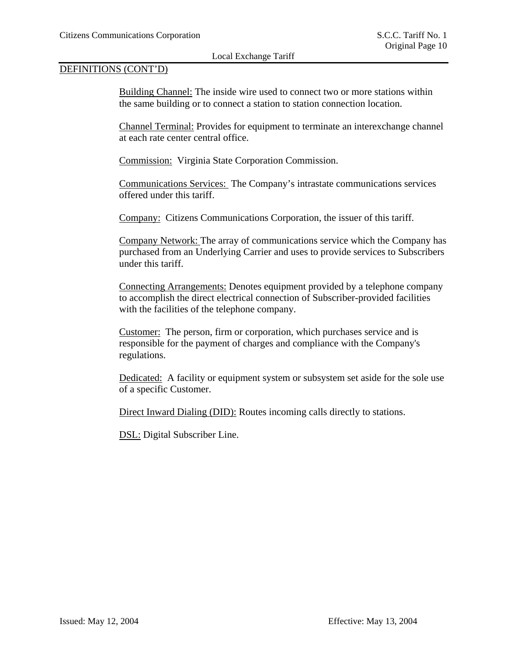### DEFINITIONS (CONT'D)

Building Channel: The inside wire used to connect two or more stations within the same building or to connect a station to station connection location.

Channel Terminal: Provides for equipment to terminate an interexchange channel at each rate center central office.

Commission: Virginia State Corporation Commission.

Communications Services: The Company's intrastate communications services offered under this tariff.

Company: Citizens Communications Corporation, the issuer of this tariff.

Company Network: The array of communications service which the Company has purchased from an Underlying Carrier and uses to provide services to Subscribers under this tariff.

Connecting Arrangements: Denotes equipment provided by a telephone company to accomplish the direct electrical connection of Subscriber-provided facilities with the facilities of the telephone company.

Customer: The person, firm or corporation, which purchases service and is responsible for the payment of charges and compliance with the Company's regulations.

Dedicated: A facility or equipment system or subsystem set aside for the sole use of a specific Customer.

Direct Inward Dialing (DID): Routes incoming calls directly to stations.

DSL: Digital Subscriber Line.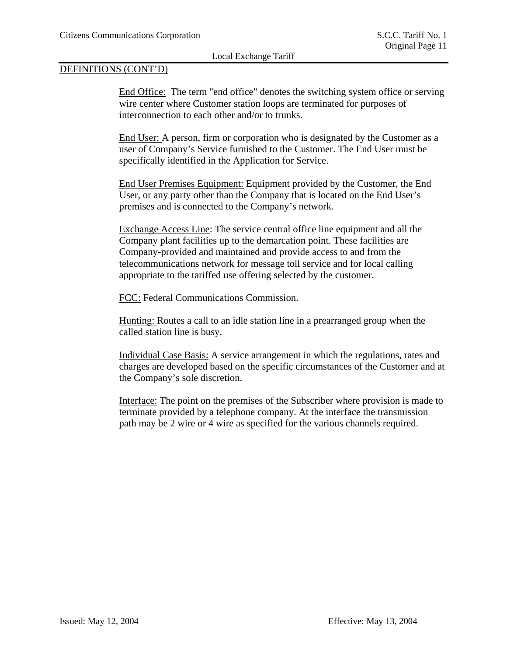### DEFINITIONS (CONT'D)

End Office: The term "end office" denotes the switching system office or serving wire center where Customer station loops are terminated for purposes of interconnection to each other and/or to trunks.

End User: A person, firm or corporation who is designated by the Customer as a user of Company's Service furnished to the Customer. The End User must be specifically identified in the Application for Service.

End User Premises Equipment: Equipment provided by the Customer, the End User, or any party other than the Company that is located on the End User's premises and is connected to the Company's network.

Exchange Access Line: The service central office line equipment and all the Company plant facilities up to the demarcation point. These facilities are Company-provided and maintained and provide access to and from the telecommunications network for message toll service and for local calling appropriate to the tariffed use offering selected by the customer.

FCC: Federal Communications Commission.

Hunting: Routes a call to an idle station line in a prearranged group when the called station line is busy.

Individual Case Basis: A service arrangement in which the regulations, rates and charges are developed based on the specific circumstances of the Customer and at the Company's sole discretion.

Interface: The point on the premises of the Subscriber where provision is made to terminate provided by a telephone company. At the interface the transmission path may be 2 wire or 4 wire as specified for the various channels required.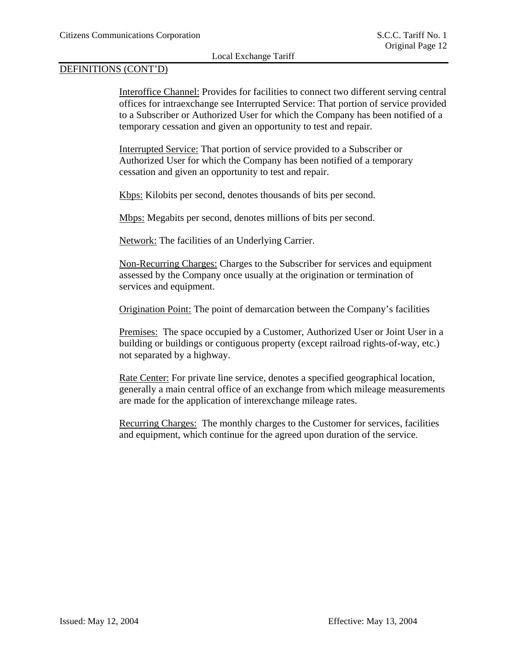### DEFINITIONS (CONT'D)

Interoffice Channel: Provides for facilities to connect two different serving central offices for intraexchange see Interrupted Service: That portion of service provided to a Subscriber or Authorized User for which the Company has been notified of a temporary cessation and given an opportunity to test and repair.

Interrupted Service: That portion of service provided to a Subscriber or Authorized User for which the Company has been notified of a temporary cessation and given an opportunity to test and repair.

Kbps: Kilobits per second, denotes thousands of bits per second.

Mbps: Megabits per second, denotes millions of bits per second.

Network: The facilities of an Underlying Carrier.

Non-Recurring Charges: Charges to the Subscriber for services and equipment assessed by the Company once usually at the origination or termination of services and equipment.

Origination Point: The point of demarcation between the Company's facilities

Premises: The space occupied by a Customer, Authorized User or Joint User in a building or buildings or contiguous property (except railroad rights-of-way, etc.) not separated by a highway.

Rate Center: For private line service, denotes a specified geographical location, generally a main central office of an exchange from which mileage measurements are made for the application of interexchange mileage rates.

Recurring Charges: The monthly charges to the Customer for services, facilities and equipment, which continue for the agreed upon duration of the service.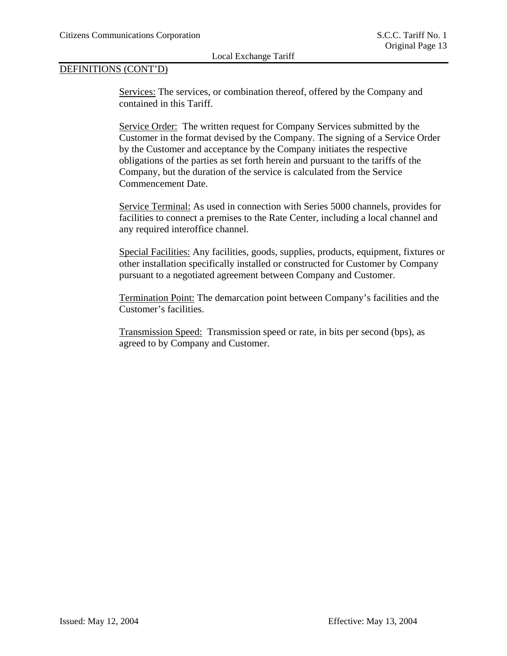# DEFINITIONS (CONT'D)

Services: The services, or combination thereof, offered by the Company and contained in this Tariff.

Service Order: The written request for Company Services submitted by the Customer in the format devised by the Company. The signing of a Service Order by the Customer and acceptance by the Company initiates the respective obligations of the parties as set forth herein and pursuant to the tariffs of the Company, but the duration of the service is calculated from the Service Commencement Date.

Service Terminal: As used in connection with Series 5000 channels, provides for facilities to connect a premises to the Rate Center, including a local channel and any required interoffice channel.

Special Facilities: Any facilities, goods, supplies, products, equipment, fixtures or other installation specifically installed or constructed for Customer by Company pursuant to a negotiated agreement between Company and Customer.

Termination Point: The demarcation point between Company's facilities and the Customer's facilities.

Transmission Speed: Transmission speed or rate, in bits per second (bps), as agreed to by Company and Customer.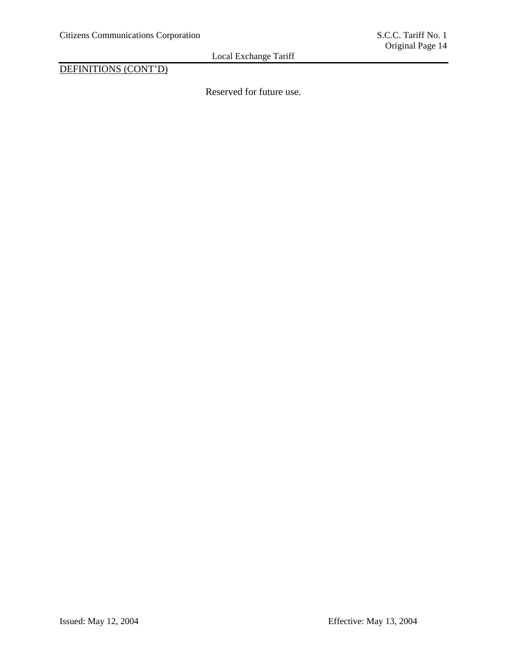DEFINITIONS (CONT'D)

Reserved for future use.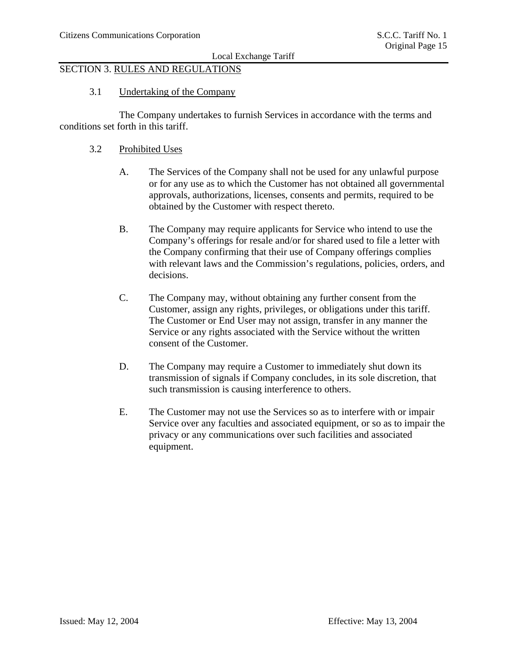# SECTION 3. RULES AND REGULATIONS

### 3.1 Undertaking of the Company

 The Company undertakes to furnish Services in accordance with the terms and conditions set forth in this tariff.

#### 3.2 Prohibited Uses

- A. The Services of the Company shall not be used for any unlawful purpose or for any use as to which the Customer has not obtained all governmental approvals, authorizations, licenses, consents and permits, required to be obtained by the Customer with respect thereto.
- B. The Company may require applicants for Service who intend to use the Company's offerings for resale and/or for shared used to file a letter with the Company confirming that their use of Company offerings complies with relevant laws and the Commission's regulations, policies, orders, and decisions.
- C. The Company may, without obtaining any further consent from the Customer, assign any rights, privileges, or obligations under this tariff. The Customer or End User may not assign, transfer in any manner the Service or any rights associated with the Service without the written consent of the Customer.
- D. The Company may require a Customer to immediately shut down its transmission of signals if Company concludes, in its sole discretion, that such transmission is causing interference to others.
- E. The Customer may not use the Services so as to interfere with or impair Service over any faculties and associated equipment, or so as to impair the privacy or any communications over such facilities and associated equipment.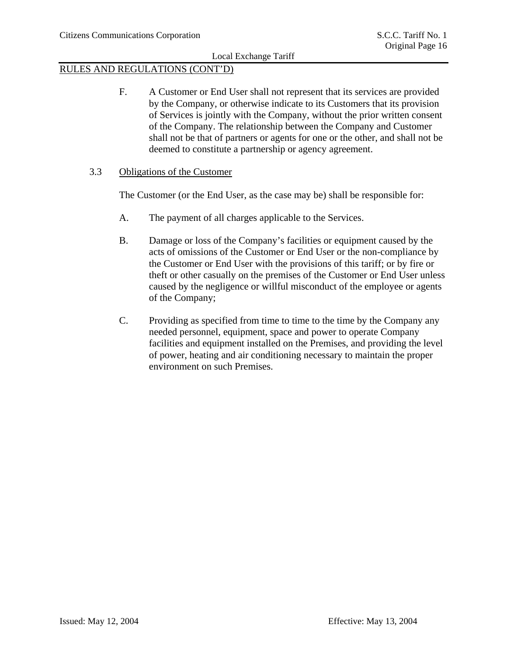### RULES AND REGULATIONS (CONT'D)

F. A Customer or End User shall not represent that its services are provided by the Company, or otherwise indicate to its Customers that its provision of Services is jointly with the Company, without the prior written consent of the Company. The relationship between the Company and Customer shall not be that of partners or agents for one or the other, and shall not be deemed to constitute a partnership or agency agreement.

#### 3.3 Obligations of the Customer

The Customer (or the End User, as the case may be) shall be responsible for:

- A. The payment of all charges applicable to the Services.
- B. Damage or loss of the Company's facilities or equipment caused by the acts of omissions of the Customer or End User or the non-compliance by the Customer or End User with the provisions of this tariff; or by fire or theft or other casually on the premises of the Customer or End User unless caused by the negligence or willful misconduct of the employee or agents of the Company;
- C. Providing as specified from time to time to the time by the Company any needed personnel, equipment, space and power to operate Company facilities and equipment installed on the Premises, and providing the level of power, heating and air conditioning necessary to maintain the proper environment on such Premises.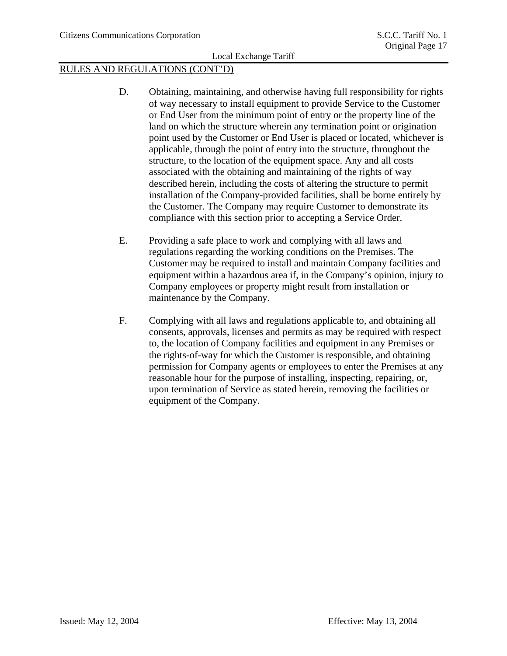- D. Obtaining, maintaining, and otherwise having full responsibility for rights of way necessary to install equipment to provide Service to the Customer or End User from the minimum point of entry or the property line of the land on which the structure wherein any termination point or origination point used by the Customer or End User is placed or located, whichever is applicable, through the point of entry into the structure, throughout the structure, to the location of the equipment space. Any and all costs associated with the obtaining and maintaining of the rights of way described herein, including the costs of altering the structure to permit installation of the Company-provided facilities, shall be borne entirely by the Customer. The Company may require Customer to demonstrate its compliance with this section prior to accepting a Service Order.
- E. Providing a safe place to work and complying with all laws and regulations regarding the working conditions on the Premises. The Customer may be required to install and maintain Company facilities and equipment within a hazardous area if, in the Company's opinion, injury to Company employees or property might result from installation or maintenance by the Company.
- F. Complying with all laws and regulations applicable to, and obtaining all consents, approvals, licenses and permits as may be required with respect to, the location of Company facilities and equipment in any Premises or the rights-of-way for which the Customer is responsible, and obtaining permission for Company agents or employees to enter the Premises at any reasonable hour for the purpose of installing, inspecting, repairing, or, upon termination of Service as stated herein, removing the facilities or equipment of the Company.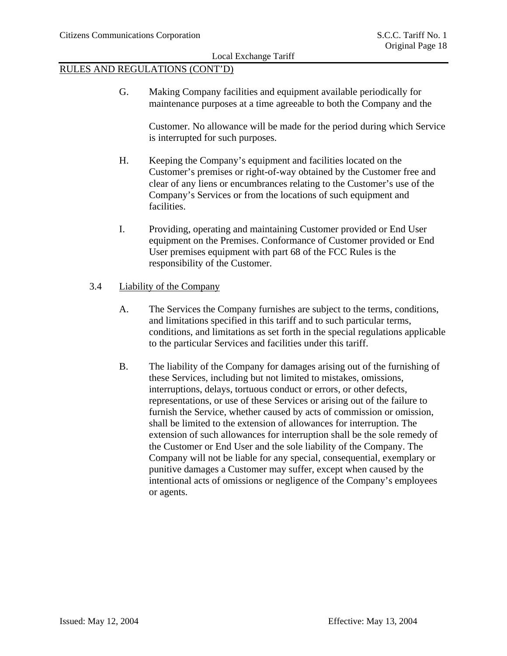### RULES AND REGULATIONS (CONT'D)

G. Making Company facilities and equipment available periodically for maintenance purposes at a time agreeable to both the Company and the

 Customer. No allowance will be made for the period during which Service is interrupted for such purposes.

- H. Keeping the Company's equipment and facilities located on the Customer's premises or right-of-way obtained by the Customer free and clear of any liens or encumbrances relating to the Customer's use of the Company's Services or from the locations of such equipment and facilities.
- I. Providing, operating and maintaining Customer provided or End User equipment on the Premises. Conformance of Customer provided or End User premises equipment with part 68 of the FCC Rules is the responsibility of the Customer.

### 3.4 Liability of the Company

- A. The Services the Company furnishes are subject to the terms, conditions, and limitations specified in this tariff and to such particular terms, conditions, and limitations as set forth in the special regulations applicable to the particular Services and facilities under this tariff.
- B. The liability of the Company for damages arising out of the furnishing of these Services, including but not limited to mistakes, omissions, interruptions, delays, tortuous conduct or errors, or other defects, representations, or use of these Services or arising out of the failure to furnish the Service, whether caused by acts of commission or omission, shall be limited to the extension of allowances for interruption. The extension of such allowances for interruption shall be the sole remedy of the Customer or End User and the sole liability of the Company. The Company will not be liable for any special, consequential, exemplary or punitive damages a Customer may suffer, except when caused by the intentional acts of omissions or negligence of the Company's employees or agents.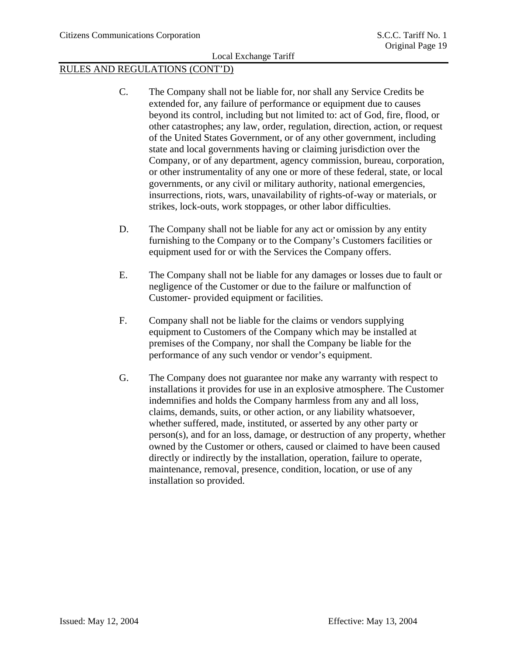- C. The Company shall not be liable for, nor shall any Service Credits be extended for, any failure of performance or equipment due to causes beyond its control, including but not limited to: act of God, fire, flood, or other catastrophes; any law, order, regulation, direction, action, or request of the United States Government, or of any other government, including state and local governments having or claiming jurisdiction over the Company, or of any department, agency commission, bureau, corporation, or other instrumentality of any one or more of these federal, state, or local governments, or any civil or military authority, national emergencies, insurrections, riots, wars, unavailability of rights-of-way or materials, or strikes, lock-outs, work stoppages, or other labor difficulties.
- D. The Company shall not be liable for any act or omission by any entity furnishing to the Company or to the Company's Customers facilities or equipment used for or with the Services the Company offers.
- E. The Company shall not be liable for any damages or losses due to fault or negligence of the Customer or due to the failure or malfunction of Customer- provided equipment or facilities.
- F. Company shall not be liable for the claims or vendors supplying equipment to Customers of the Company which may be installed at premises of the Company, nor shall the Company be liable for the performance of any such vendor or vendor's equipment.
- G. The Company does not guarantee nor make any warranty with respect to installations it provides for use in an explosive atmosphere. The Customer indemnifies and holds the Company harmless from any and all loss, claims, demands, suits, or other action, or any liability whatsoever, whether suffered, made, instituted, or asserted by any other party or person(s), and for an loss, damage, or destruction of any property, whether owned by the Customer or others, caused or claimed to have been caused directly or indirectly by the installation, operation, failure to operate, maintenance, removal, presence, condition, location, or use of any installation so provided.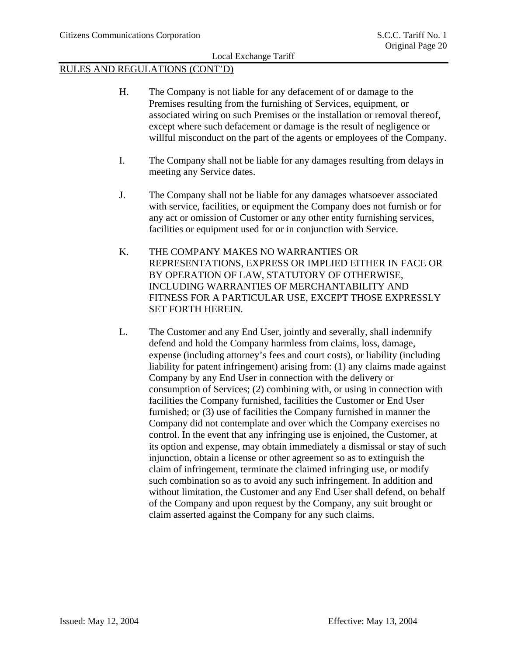- H. The Company is not liable for any defacement of or damage to the Premises resulting from the furnishing of Services, equipment, or associated wiring on such Premises or the installation or removal thereof, except where such defacement or damage is the result of negligence or willful misconduct on the part of the agents or employees of the Company.
- I. The Company shall not be liable for any damages resulting from delays in meeting any Service dates.
- J. The Company shall not be liable for any damages whatsoever associated with service, facilities, or equipment the Company does not furnish or for any act or omission of Customer or any other entity furnishing services, facilities or equipment used for or in conjunction with Service.
- K. THE COMPANY MAKES NO WARRANTIES OR REPRESENTATIONS, EXPRESS OR IMPLIED EITHER IN FACE OR BY OPERATION OF LAW, STATUTORY OF OTHERWISE, INCLUDING WARRANTIES OF MERCHANTABILITY AND FITNESS FOR A PARTICULAR USE, EXCEPT THOSE EXPRESSLY SET FORTH HEREIN.
- L. The Customer and any End User, jointly and severally, shall indemnify defend and hold the Company harmless from claims, loss, damage, expense (including attorney's fees and court costs), or liability (including liability for patent infringement) arising from: (1) any claims made against Company by any End User in connection with the delivery or consumption of Services; (2) combining with, or using in connection with facilities the Company furnished, facilities the Customer or End User furnished; or (3) use of facilities the Company furnished in manner the Company did not contemplate and over which the Company exercises no control. In the event that any infringing use is enjoined, the Customer, at its option and expense, may obtain immediately a dismissal or stay of such injunction, obtain a license or other agreement so as to extinguish the claim of infringement, terminate the claimed infringing use, or modify such combination so as to avoid any such infringement. In addition and without limitation, the Customer and any End User shall defend, on behalf of the Company and upon request by the Company, any suit brought or claim asserted against the Company for any such claims.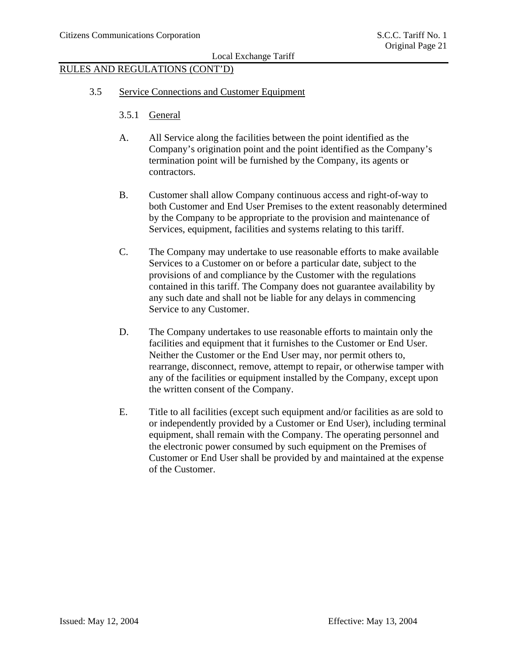- 3.5 Service Connections and Customer Equipment
	- 3.5.1 General
	- A. All Service along the facilities between the point identified as the Company's origination point and the point identified as the Company's termination point will be furnished by the Company, its agents or contractors.
	- B. Customer shall allow Company continuous access and right-of-way to both Customer and End User Premises to the extent reasonably determined by the Company to be appropriate to the provision and maintenance of Services, equipment, facilities and systems relating to this tariff.
	- C. The Company may undertake to use reasonable efforts to make available Services to a Customer on or before a particular date, subject to the provisions of and compliance by the Customer with the regulations contained in this tariff. The Company does not guarantee availability by any such date and shall not be liable for any delays in commencing Service to any Customer.
	- D. The Company undertakes to use reasonable efforts to maintain only the facilities and equipment that it furnishes to the Customer or End User. Neither the Customer or the End User may, nor permit others to, rearrange, disconnect, remove, attempt to repair, or otherwise tamper with any of the facilities or equipment installed by the Company, except upon the written consent of the Company.
	- E. Title to all facilities (except such equipment and/or facilities as are sold to or independently provided by a Customer or End User), including terminal equipment, shall remain with the Company. The operating personnel and the electronic power consumed by such equipment on the Premises of Customer or End User shall be provided by and maintained at the expense of the Customer.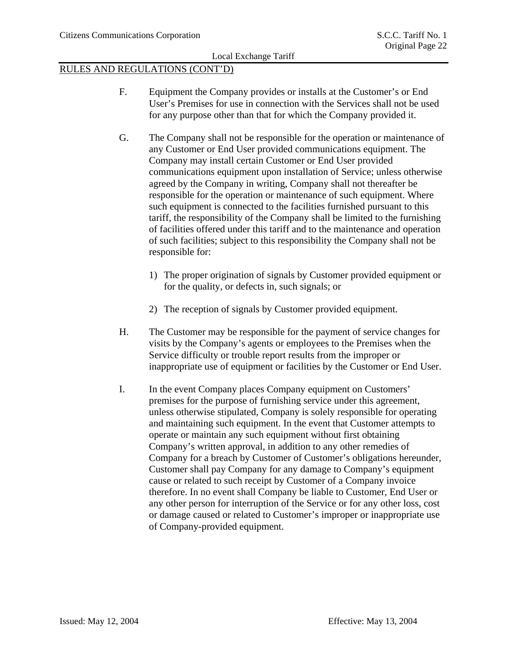- F. Equipment the Company provides or installs at the Customer's or End User's Premises for use in connection with the Services shall not be used for any purpose other than that for which the Company provided it.
- G. The Company shall not be responsible for the operation or maintenance of any Customer or End User provided communications equipment. The Company may install certain Customer or End User provided communications equipment upon installation of Service; unless otherwise agreed by the Company in writing, Company shall not thereafter be responsible for the operation or maintenance of such equipment. Where such equipment is connected to the facilities furnished pursuant to this tariff, the responsibility of the Company shall be limited to the furnishing of facilities offered under this tariff and to the maintenance and operation of such facilities; subject to this responsibility the Company shall not be responsible for:
	- 1) The proper origination of signals by Customer provided equipment or for the quality, or defects in, such signals; or
	- 2) The reception of signals by Customer provided equipment.
- H. The Customer may be responsible for the payment of service changes for visits by the Company's agents or employees to the Premises when the Service difficulty or trouble report results from the improper or inappropriate use of equipment or facilities by the Customer or End User.
- I. In the event Company places Company equipment on Customers' premises for the purpose of furnishing service under this agreement, unless otherwise stipulated, Company is solely responsible for operating and maintaining such equipment. In the event that Customer attempts to operate or maintain any such equipment without first obtaining Company's written approval, in addition to any other remedies of Company for a breach by Customer of Customer's obligations hereunder, Customer shall pay Company for any damage to Company's equipment cause or related to such receipt by Customer of a Company invoice therefore. In no event shall Company be liable to Customer, End User or any other person for interruption of the Service or for any other loss, cost or damage caused or related to Customer's improper or inappropriate use of Company-provided equipment.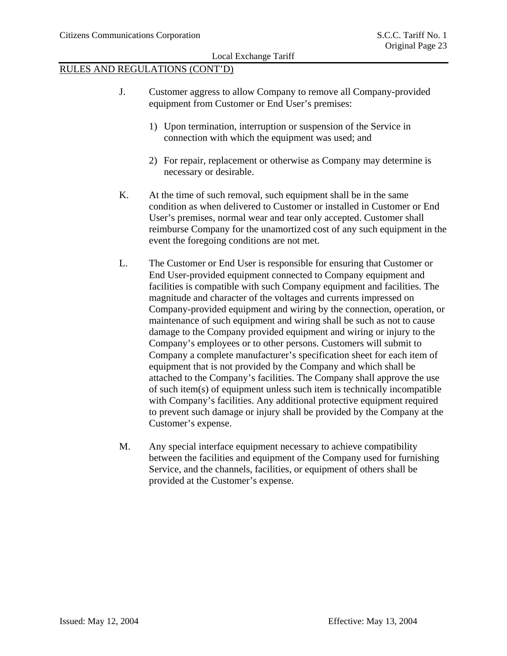- J. Customer aggress to allow Company to remove all Company-provided equipment from Customer or End User's premises:
	- 1) Upon termination, interruption or suspension of the Service in connection with which the equipment was used; and
	- 2) For repair, replacement or otherwise as Company may determine is necessary or desirable.
- K. At the time of such removal, such equipment shall be in the same condition as when delivered to Customer or installed in Customer or End User's premises, normal wear and tear only accepted. Customer shall reimburse Company for the unamortized cost of any such equipment in the event the foregoing conditions are not met.
- L. The Customer or End User is responsible for ensuring that Customer or End User-provided equipment connected to Company equipment and facilities is compatible with such Company equipment and facilities. The magnitude and character of the voltages and currents impressed on Company-provided equipment and wiring by the connection, operation, or maintenance of such equipment and wiring shall be such as not to cause damage to the Company provided equipment and wiring or injury to the Company's employees or to other persons. Customers will submit to Company a complete manufacturer's specification sheet for each item of equipment that is not provided by the Company and which shall be attached to the Company's facilities. The Company shall approve the use of such item(s) of equipment unless such item is technically incompatible with Company's facilities. Any additional protective equipment required to prevent such damage or injury shall be provided by the Company at the Customer's expense.
- M. Any special interface equipment necessary to achieve compatibility between the facilities and equipment of the Company used for furnishing Service, and the channels, facilities, or equipment of others shall be provided at the Customer's expense.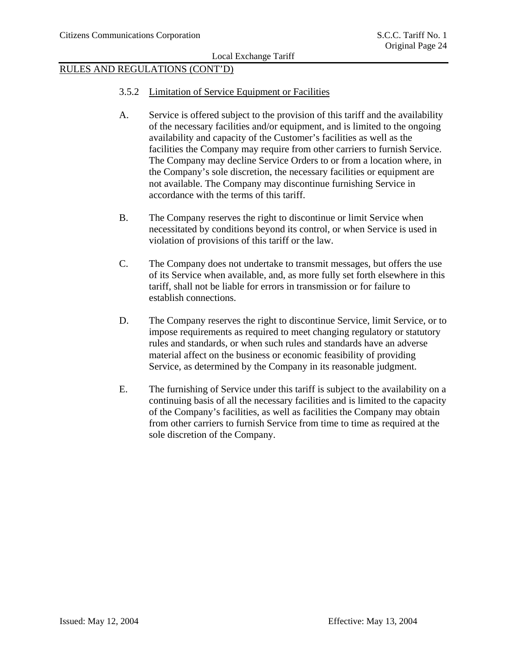- 3.5.2 Limitation of Service Equipment or Facilities
- A. Service is offered subject to the provision of this tariff and the availability of the necessary facilities and/or equipment, and is limited to the ongoing availability and capacity of the Customer's facilities as well as the facilities the Company may require from other carriers to furnish Service. The Company may decline Service Orders to or from a location where, in the Company's sole discretion, the necessary facilities or equipment are not available. The Company may discontinue furnishing Service in accordance with the terms of this tariff.
- B. The Company reserves the right to discontinue or limit Service when necessitated by conditions beyond its control, or when Service is used in violation of provisions of this tariff or the law.
- C. The Company does not undertake to transmit messages, but offers the use of its Service when available, and, as more fully set forth elsewhere in this tariff, shall not be liable for errors in transmission or for failure to establish connections.
- D. The Company reserves the right to discontinue Service, limit Service, or to impose requirements as required to meet changing regulatory or statutory rules and standards, or when such rules and standards have an adverse material affect on the business or economic feasibility of providing Service, as determined by the Company in its reasonable judgment.
- E. The furnishing of Service under this tariff is subject to the availability on a continuing basis of all the necessary facilities and is limited to the capacity of the Company's facilities, as well as facilities the Company may obtain from other carriers to furnish Service from time to time as required at the sole discretion of the Company.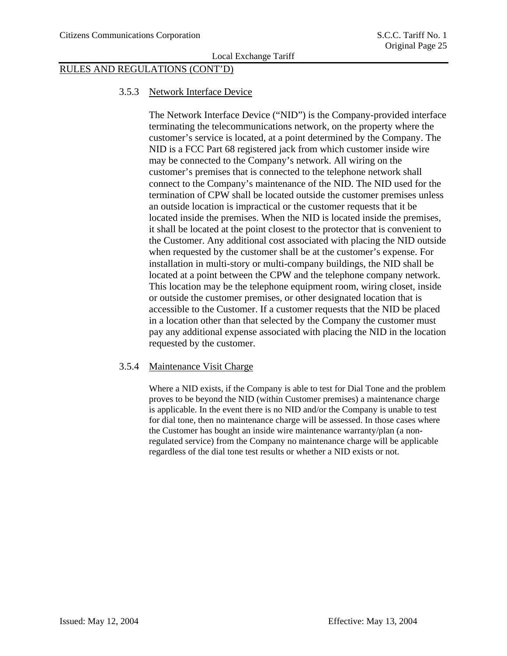# RULES AND REGULATIONS (CONT'D)

#### 3.5.3 Network Interface Device

The Network Interface Device ("NID") is the Company-provided interface terminating the telecommunications network, on the property where the customer's service is located, at a point determined by the Company. The NID is a FCC Part 68 registered jack from which customer inside wire may be connected to the Company's network. All wiring on the customer's premises that is connected to the telephone network shall connect to the Company's maintenance of the NID. The NID used for the termination of CPW shall be located outside the customer premises unless an outside location is impractical or the customer requests that it be located inside the premises. When the NID is located inside the premises, it shall be located at the point closest to the protector that is convenient to the Customer. Any additional cost associated with placing the NID outside when requested by the customer shall be at the customer's expense. For installation in multi-story or multi-company buildings, the NID shall be located at a point between the CPW and the telephone company network. This location may be the telephone equipment room, wiring closet, inside or outside the customer premises, or other designated location that is accessible to the Customer. If a customer requests that the NID be placed in a location other than that selected by the Company the customer must pay any additional expense associated with placing the NID in the location requested by the customer.

#### 3.5.4 Maintenance Visit Charge

Where a NID exists, if the Company is able to test for Dial Tone and the problem proves to be beyond the NID (within Customer premises) a maintenance charge is applicable. In the event there is no NID and/or the Company is unable to test for dial tone, then no maintenance charge will be assessed. In those cases where the Customer has bought an inside wire maintenance warranty/plan (a nonregulated service) from the Company no maintenance charge will be applicable regardless of the dial tone test results or whether a NID exists or not.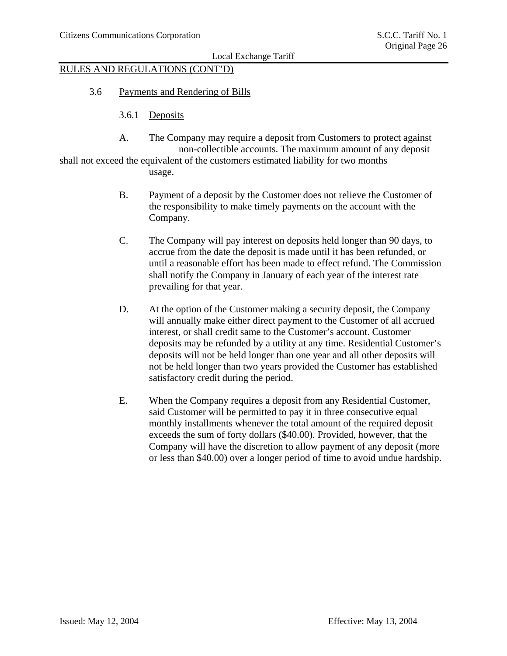# RULES AND REGULATIONS (CONT'D)

- 3.6 Payments and Rendering of Bills
	- 3.6.1 Deposits
	- A. The Company may require a deposit from Customers to protect against non-collectible accounts. The maximum amount of any deposit

shall not exceed the equivalent of the customers estimated liability for two months usage.

- B. Payment of a deposit by the Customer does not relieve the Customer of the responsibility to make timely payments on the account with the Company.
- C. The Company will pay interest on deposits held longer than 90 days, to accrue from the date the deposit is made until it has been refunded, or until a reasonable effort has been made to effect refund. The Commission shall notify the Company in January of each year of the interest rate prevailing for that year.
- D. At the option of the Customer making a security deposit, the Company will annually make either direct payment to the Customer of all accrued interest, or shall credit same to the Customer's account. Customer deposits may be refunded by a utility at any time. Residential Customer's deposits will not be held longer than one year and all other deposits will not be held longer than two years provided the Customer has established satisfactory credit during the period.
- E. When the Company requires a deposit from any Residential Customer, said Customer will be permitted to pay it in three consecutive equal monthly installments whenever the total amount of the required deposit exceeds the sum of forty dollars (\$40.00). Provided, however, that the Company will have the discretion to allow payment of any deposit (more or less than \$40.00) over a longer period of time to avoid undue hardship.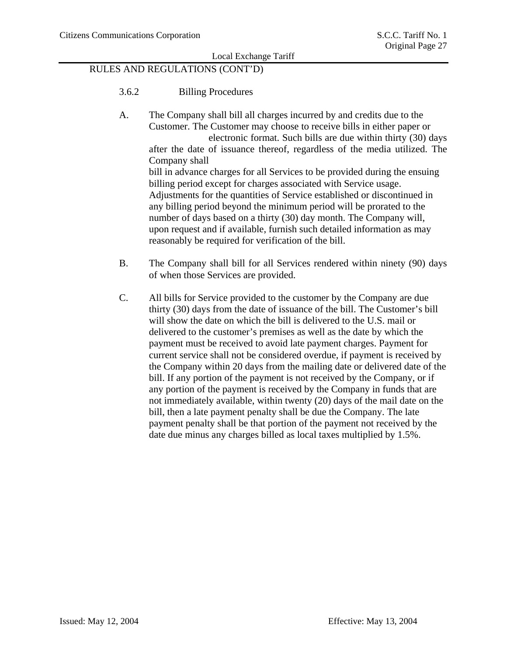- 3.6.2 Billing Procedures
- A. The Company shall bill all charges incurred by and credits due to the Customer. The Customer may choose to receive bills in either paper or electronic format. Such bills are due within thirty (30) days after the date of issuance thereof, regardless of the media utilized. The Company shall bill in advance charges for all Services to be provided during the ensuing billing period except for charges associated with Service usage. Adjustments for the quantities of Service established or discontinued in any billing period beyond the minimum period will be prorated to the number of days based on a thirty (30) day month. The Company will, upon request and if available, furnish such detailed information as may reasonably be required for verification of the bill.
- B. The Company shall bill for all Services rendered within ninety (90) days of when those Services are provided.
- C. All bills for Service provided to the customer by the Company are due thirty (30) days from the date of issuance of the bill. The Customer's bill will show the date on which the bill is delivered to the U.S. mail or delivered to the customer's premises as well as the date by which the payment must be received to avoid late payment charges. Payment for current service shall not be considered overdue, if payment is received by the Company within 20 days from the mailing date or delivered date of the bill. If any portion of the payment is not received by the Company, or if any portion of the payment is received by the Company in funds that are not immediately available, within twenty (20) days of the mail date on the bill, then a late payment penalty shall be due the Company. The late payment penalty shall be that portion of the payment not received by the date due minus any charges billed as local taxes multiplied by 1.5%.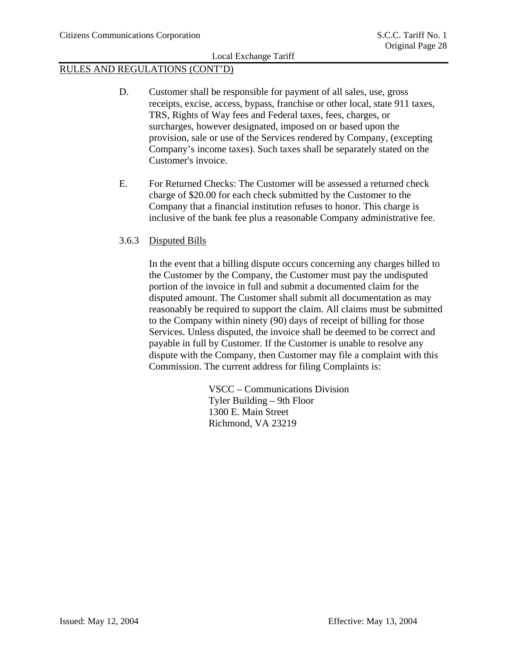### RULES AND REGULATIONS (CONT'D)

- D. Customer shall be responsible for payment of all sales, use, gross receipts, excise, access, bypass, franchise or other local, state 911 taxes, TRS, Rights of Way fees and Federal taxes, fees, charges, or surcharges, however designated, imposed on or based upon the provision, sale or use of the Services rendered by Company, (excepting Company's income taxes). Such taxes shall be separately stated on the Customer's invoice.
- E. For Returned Checks: The Customer will be assessed a returned check charge of \$20.00 for each check submitted by the Customer to the Company that a financial institution refuses to honor. This charge is inclusive of the bank fee plus a reasonable Company administrative fee.

### 3.6.3 Disputed Bills

In the event that a billing dispute occurs concerning any charges billed to the Customer by the Company, the Customer must pay the undisputed portion of the invoice in full and submit a documented claim for the disputed amount. The Customer shall submit all documentation as may reasonably be required to support the claim. All claims must be submitted to the Company within ninety (90) days of receipt of billing for those Services. Unless disputed, the invoice shall be deemed to be correct and payable in full by Customer. If the Customer is unable to resolve any dispute with the Company, then Customer may file a complaint with this Commission. The current address for filing Complaints is:

> VSCC – Communications Division Tyler Building – 9th Floor 1300 E. Main Street Richmond, VA 23219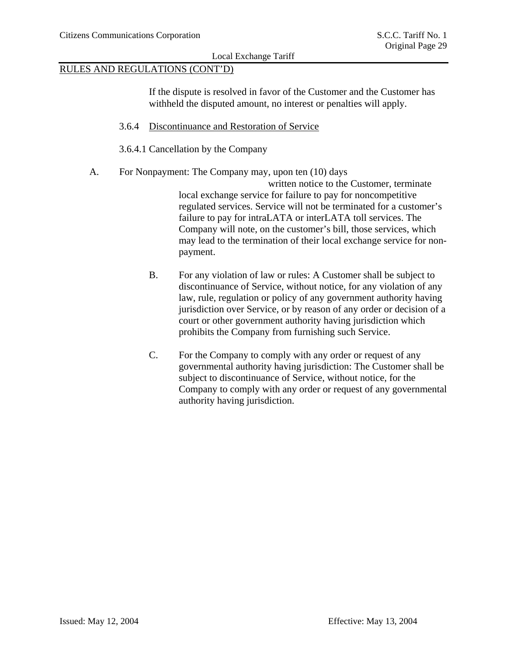## RULES AND REGULATIONS (CONT'D)

If the dispute is resolved in favor of the Customer and the Customer has withheld the disputed amount, no interest or penalties will apply.

- 3.6.4 Discontinuance and Restoration of Service
- 3.6.4.1 Cancellation by the Company
- A. For Nonpayment: The Company may, upon ten (10) days

 written notice to the Customer, terminate local exchange service for failure to pay for noncompetitive regulated services. Service will not be terminated for a customer's failure to pay for intraLATA or interLATA toll services. The Company will note, on the customer's bill, those services, which may lead to the termination of their local exchange service for nonpayment.

- B. For any violation of law or rules: A Customer shall be subject to discontinuance of Service, without notice, for any violation of any law, rule, regulation or policy of any government authority having jurisdiction over Service, or by reason of any order or decision of a court or other government authority having jurisdiction which prohibits the Company from furnishing such Service.
- C. For the Company to comply with any order or request of any governmental authority having jurisdiction: The Customer shall be subject to discontinuance of Service, without notice, for the Company to comply with any order or request of any governmental authority having jurisdiction.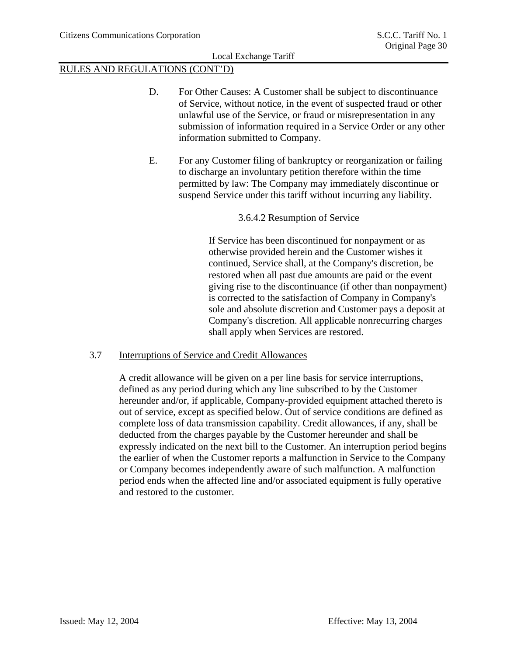# RULES AND REGULATIONS (CONT'D)

- D. For Other Causes: A Customer shall be subject to discontinuance of Service, without notice, in the event of suspected fraud or other unlawful use of the Service, or fraud or misrepresentation in any submission of information required in a Service Order or any other information submitted to Company.
- E. For any Customer filing of bankruptcy or reorganization or failing to discharge an involuntary petition therefore within the time permitted by law: The Company may immediately discontinue or suspend Service under this tariff without incurring any liability.

### 3.6.4.2 Resumption of Service

If Service has been discontinued for nonpayment or as otherwise provided herein and the Customer wishes it continued, Service shall, at the Company's discretion, be restored when all past due amounts are paid or the event giving rise to the discontinuance (if other than nonpayment) is corrected to the satisfaction of Company in Company's sole and absolute discretion and Customer pays a deposit at Company's discretion. All applicable nonrecurring charges shall apply when Services are restored.

### 3.7 Interruptions of Service and Credit Allowances

A credit allowance will be given on a per line basis for service interruptions, defined as any period during which any line subscribed to by the Customer hereunder and/or, if applicable, Company-provided equipment attached thereto is out of service, except as specified below. Out of service conditions are defined as complete loss of data transmission capability. Credit allowances, if any, shall be deducted from the charges payable by the Customer hereunder and shall be expressly indicated on the next bill to the Customer. An interruption period begins the earlier of when the Customer reports a malfunction in Service to the Company or Company becomes independently aware of such malfunction. A malfunction period ends when the affected line and/or associated equipment is fully operative and restored to the customer.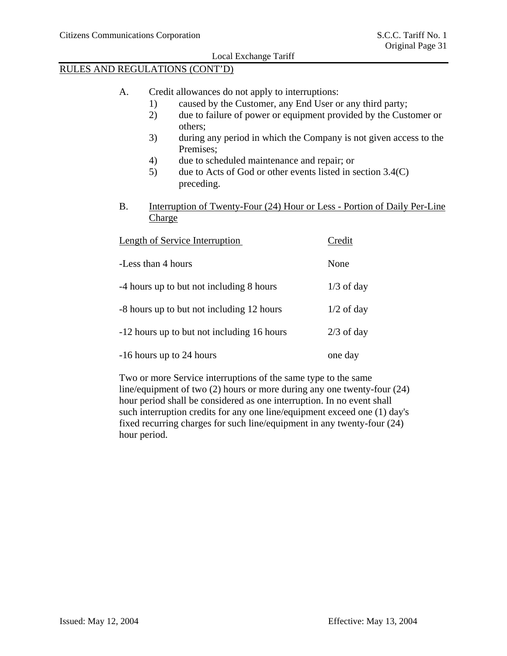# RULES AND REGULATIONS (CONT'D)

- A. Credit allowances do not apply to interruptions:
	- 1) caused by the Customer, any End User or any third party;
	- 2) due to failure of power or equipment provided by the Customer or others;
	- 3) during any period in which the Company is not given access to the Premises;
	- 4) due to scheduled maintenance and repair; or
	- 5) due to Acts of God or other events listed in section 3.4(C) preceding.
- B. Interruption of Twenty-Four (24) Hour or Less Portion of Daily Per-Line Charge

| Length of Service Interruption             | Credit       |
|--------------------------------------------|--------------|
| -Less than 4 hours                         | None         |
| -4 hours up to but not including 8 hours   | $1/3$ of day |
| -8 hours up to but not including 12 hours  | $1/2$ of day |
| -12 hours up to but not including 16 hours | $2/3$ of day |
| -16 hours up to 24 hours                   | one day      |

Two or more Service interruptions of the same type to the same line/equipment of two (2) hours or more during any one twenty-four (24) hour period shall be considered as one interruption. In no event shall such interruption credits for any one line/equipment exceed one (1) day's fixed recurring charges for such line/equipment in any twenty-four (24) hour period.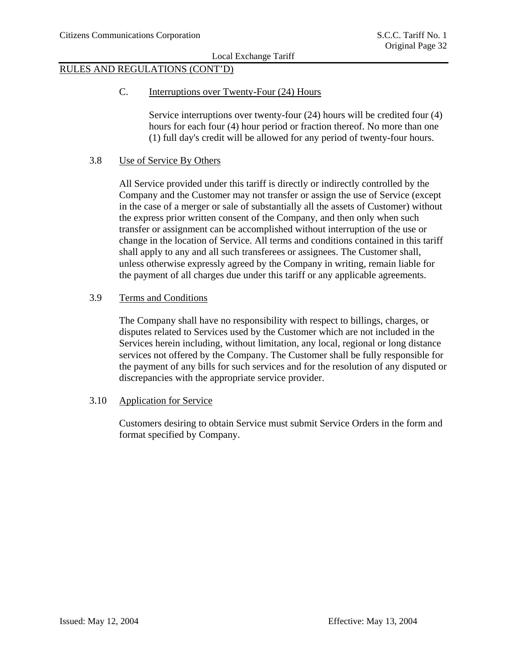# RULES AND REGULATIONS (CONT'D)

C. Interruptions over Twenty-Four (24) Hours

Service interruptions over twenty-four (24) hours will be credited four (4) hours for each four (4) hour period or fraction thereof. No more than one (1) full day's credit will be allowed for any period of twenty-four hours.

### 3.8 Use of Service By Others

All Service provided under this tariff is directly or indirectly controlled by the Company and the Customer may not transfer or assign the use of Service (except in the case of a merger or sale of substantially all the assets of Customer) without the express prior written consent of the Company, and then only when such transfer or assignment can be accomplished without interruption of the use or change in the location of Service. All terms and conditions contained in this tariff shall apply to any and all such transferees or assignees. The Customer shall, unless otherwise expressly agreed by the Company in writing, remain liable for the payment of all charges due under this tariff or any applicable agreements.

### 3.9 Terms and Conditions

The Company shall have no responsibility with respect to billings, charges, or disputes related to Services used by the Customer which are not included in the Services herein including, without limitation, any local, regional or long distance services not offered by the Company. The Customer shall be fully responsible for the payment of any bills for such services and for the resolution of any disputed or discrepancies with the appropriate service provider.

### 3.10 Application for Service

Customers desiring to obtain Service must submit Service Orders in the form and format specified by Company.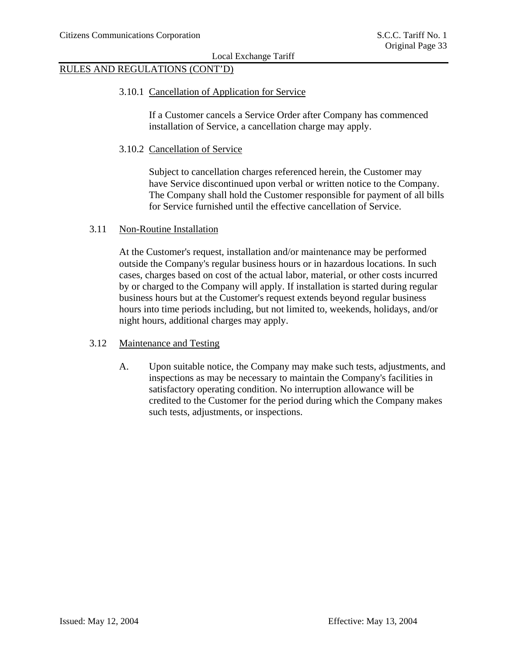# RULES AND REGULATIONS (CONT'D)

#### 3.10.1 Cancellation of Application for Service

If a Customer cancels a Service Order after Company has commenced installation of Service, a cancellation charge may apply.

#### 3.10.2 Cancellation of Service

Subject to cancellation charges referenced herein, the Customer may have Service discontinued upon verbal or written notice to the Company. The Company shall hold the Customer responsible for payment of all bills for Service furnished until the effective cancellation of Service.

### 3.11 Non-Routine Installation

At the Customer's request, installation and/or maintenance may be performed outside the Company's regular business hours or in hazardous locations. In such cases, charges based on cost of the actual labor, material, or other costs incurred by or charged to the Company will apply. If installation is started during regular business hours but at the Customer's request extends beyond regular business hours into time periods including, but not limited to, weekends, holidays, and/or night hours, additional charges may apply.

### 3.12 Maintenance and Testing

A. Upon suitable notice, the Company may make such tests, adjustments, and inspections as may be necessary to maintain the Company's facilities in satisfactory operating condition. No interruption allowance will be credited to the Customer for the period during which the Company makes such tests, adjustments, or inspections.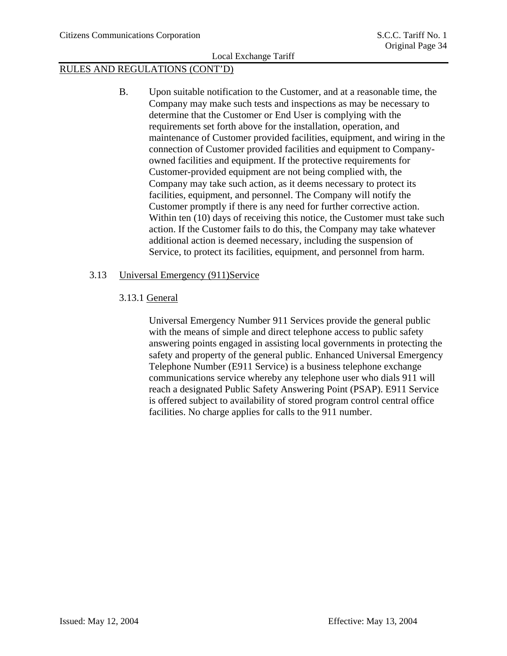# RULES AND REGULATIONS (CONT'D)

B. Upon suitable notification to the Customer, and at a reasonable time, the Company may make such tests and inspections as may be necessary to determine that the Customer or End User is complying with the requirements set forth above for the installation, operation, and maintenance of Customer provided facilities, equipment, and wiring in the connection of Customer provided facilities and equipment to Companyowned facilities and equipment. If the protective requirements for Customer-provided equipment are not being complied with, the Company may take such action, as it deems necessary to protect its facilities, equipment, and personnel. The Company will notify the Customer promptly if there is any need for further corrective action. Within ten (10) days of receiving this notice, the Customer must take such action. If the Customer fails to do this, the Company may take whatever additional action is deemed necessary, including the suspension of Service, to protect its facilities, equipment, and personnel from harm.

### 3.13 Universal Emergency (911)Service

### 3.13.1 General

Universal Emergency Number 911 Services provide the general public with the means of simple and direct telephone access to public safety answering points engaged in assisting local governments in protecting the safety and property of the general public. Enhanced Universal Emergency Telephone Number (E911 Service) is a business telephone exchange communications service whereby any telephone user who dials 911 will reach a designated Public Safety Answering Point (PSAP). E911 Service is offered subject to availability of stored program control central office facilities. No charge applies for calls to the 911 number.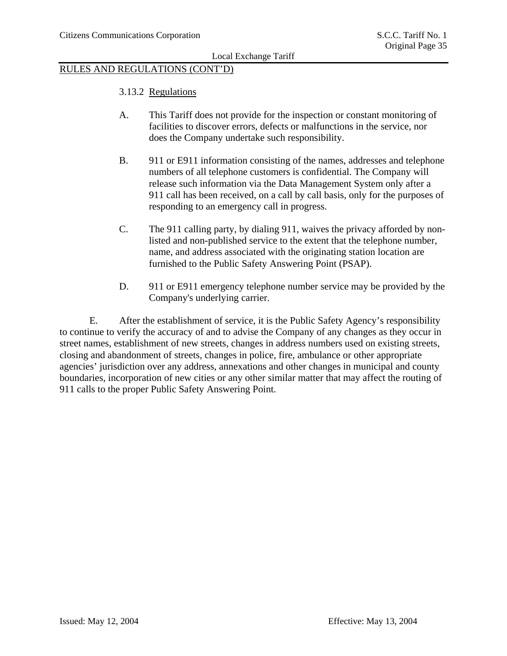### RULES AND REGULATIONS (CONT'D)

- 3.13.2 Regulations
- A. This Tariff does not provide for the inspection or constant monitoring of facilities to discover errors, defects or malfunctions in the service, nor does the Company undertake such responsibility.
- B. 911 or E911 information consisting of the names, addresses and telephone numbers of all telephone customers is confidential. The Company will release such information via the Data Management System only after a 911 call has been received, on a call by call basis, only for the purposes of responding to an emergency call in progress.
- C. The 911 calling party, by dialing 911, waives the privacy afforded by nonlisted and non-published service to the extent that the telephone number, name, and address associated with the originating station location are furnished to the Public Safety Answering Point (PSAP).
- D. 911 or E911 emergency telephone number service may be provided by the Company's underlying carrier.

E. After the establishment of service, it is the Public Safety Agency's responsibility to continue to verify the accuracy of and to advise the Company of any changes as they occur in street names, establishment of new streets, changes in address numbers used on existing streets, closing and abandonment of streets, changes in police, fire, ambulance or other appropriate agencies' jurisdiction over any address, annexations and other changes in municipal and county boundaries, incorporation of new cities or any other similar matter that may affect the routing of 911 calls to the proper Public Safety Answering Point.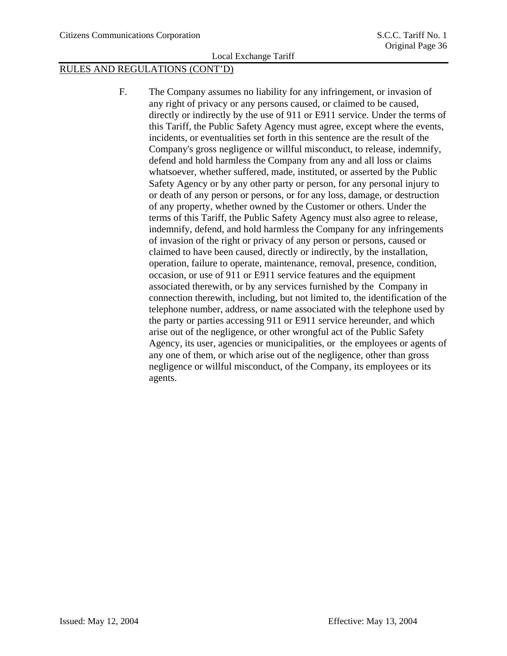# RULES AND REGULATIONS (CONT'D)

F. The Company assumes no liability for any infringement, or invasion of any right of privacy or any persons caused, or claimed to be caused, directly or indirectly by the use of 911 or E911 service. Under the terms of this Tariff, the Public Safety Agency must agree, except where the events, incidents, or eventualities set forth in this sentence are the result of the Company's gross negligence or willful misconduct, to release, indemnify, defend and hold harmless the Company from any and all loss or claims whatsoever, whether suffered, made, instituted, or asserted by the Public Safety Agency or by any other party or person, for any personal injury to or death of any person or persons, or for any loss, damage, or destruction of any property, whether owned by the Customer or others. Under the terms of this Tariff, the Public Safety Agency must also agree to release, indemnify, defend, and hold harmless the Company for any infringements of invasion of the right or privacy of any person or persons, caused or claimed to have been caused, directly or indirectly, by the installation, operation, failure to operate, maintenance, removal, presence, condition, occasion, or use of 911 or E911 service features and the equipment associated therewith, or by any services furnished by the Company in connection therewith, including, but not limited to, the identification of the telephone number, address, or name associated with the telephone used by the party or parties accessing 911 or E911 service hereunder, and which arise out of the negligence, or other wrongful act of the Public Safety Agency, its user, agencies or municipalities, or the employees or agents of any one of them, or which arise out of the negligence, other than gross negligence or willful misconduct, of the Company, its employees or its agents.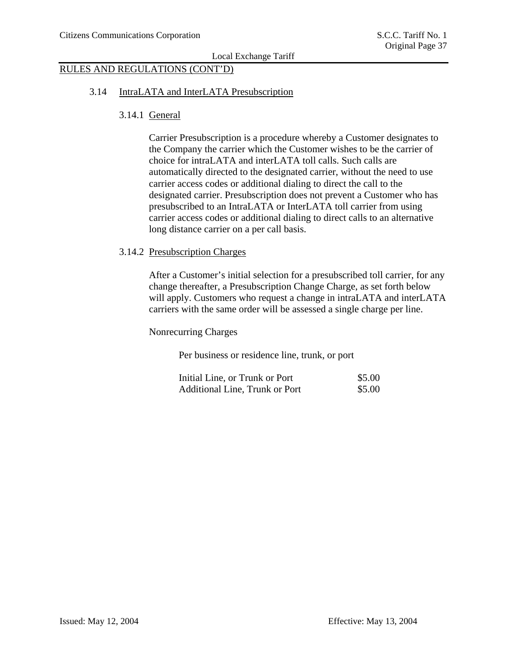# RULES AND REGULATIONS (CONT'D)

#### 3.14 IntraLATA and InterLATA Presubscription

### 3.14.1 General

Carrier Presubscription is a procedure whereby a Customer designates to the Company the carrier which the Customer wishes to be the carrier of choice for intraLATA and interLATA toll calls. Such calls are automatically directed to the designated carrier, without the need to use carrier access codes or additional dialing to direct the call to the designated carrier. Presubscription does not prevent a Customer who has presubscribed to an IntraLATA or InterLATA toll carrier from using carrier access codes or additional dialing to direct calls to an alternative long distance carrier on a per call basis.

### 3.14.2 Presubscription Charges

After a Customer's initial selection for a presubscribed toll carrier, for any change thereafter, a Presubscription Change Charge, as set forth below will apply. Customers who request a change in intraLATA and interLATA carriers with the same order will be assessed a single charge per line.

Nonrecurring Charges

Per business or residence line, trunk, or port

| Initial Line, or Trunk or Port | \$5.00 |
|--------------------------------|--------|
| Additional Line, Trunk or Port | \$5.00 |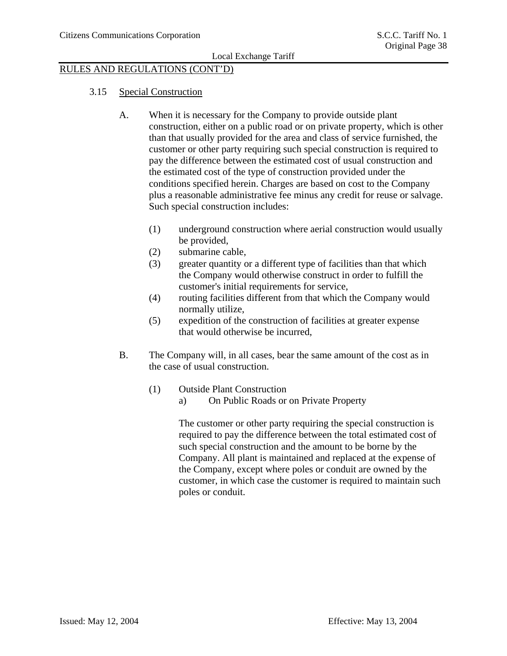# RULES AND REGULATIONS (CONT'D)

### 3.15 Special Construction

- A. When it is necessary for the Company to provide outside plant construction, either on a public road or on private property, which is other than that usually provided for the area and class of service furnished, the customer or other party requiring such special construction is required to pay the difference between the estimated cost of usual construction and the estimated cost of the type of construction provided under the conditions specified herein. Charges are based on cost to the Company plus a reasonable administrative fee minus any credit for reuse or salvage. Such special construction includes:
	- (1) underground construction where aerial construction would usually be provided,
	- (2) submarine cable,
	- (3) greater quantity or a different type of facilities than that which the Company would otherwise construct in order to fulfill the customer's initial requirements for service,
	- (4) routing facilities different from that which the Company would normally utilize,
	- (5) expedition of the construction of facilities at greater expense that would otherwise be incurred,
- B. The Company will, in all cases, bear the same amount of the cost as in the case of usual construction.
	- (1) Outside Plant Construction
		- a) On Public Roads or on Private Property

The customer or other party requiring the special construction is required to pay the difference between the total estimated cost of such special construction and the amount to be borne by the Company. All plant is maintained and replaced at the expense of the Company, except where poles or conduit are owned by the customer, in which case the customer is required to maintain such poles or conduit.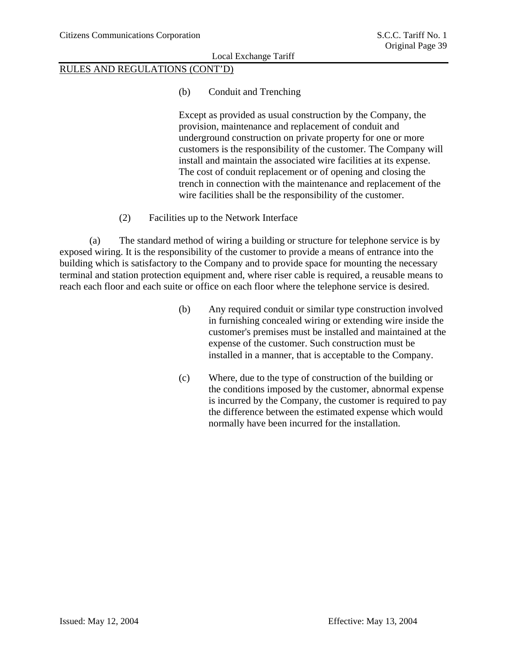# RULES AND REGULATIONS (CONT'D)

### (b) Conduit and Trenching

Except as provided as usual construction by the Company, the provision, maintenance and replacement of conduit and underground construction on private property for one or more customers is the responsibility of the customer. The Company will install and maintain the associated wire facilities at its expense. The cost of conduit replacement or of opening and closing the trench in connection with the maintenance and replacement of the wire facilities shall be the responsibility of the customer.

(2) Facilities up to the Network Interface

(a) The standard method of wiring a building or structure for telephone service is by exposed wiring. It is the responsibility of the customer to provide a means of entrance into the building which is satisfactory to the Company and to provide space for mounting the necessary terminal and station protection equipment and, where riser cable is required, a reusable means to reach each floor and each suite or office on each floor where the telephone service is desired.

- (b) Any required conduit or similar type construction involved in furnishing concealed wiring or extending wire inside the customer's premises must be installed and maintained at the expense of the customer. Such construction must be installed in a manner, that is acceptable to the Company.
- (c) Where, due to the type of construction of the building or the conditions imposed by the customer, abnormal expense is incurred by the Company, the customer is required to pay the difference between the estimated expense which would normally have been incurred for the installation.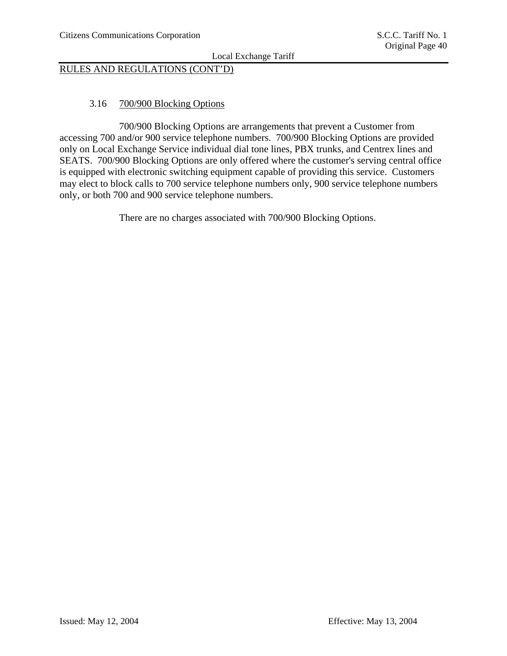# RULES AND REGULATIONS (CONT'D)

### 3.16 700/900 Blocking Options

 700/900 Blocking Options are arrangements that prevent a Customer from accessing 700 and/or 900 service telephone numbers. 700/900 Blocking Options are provided only on Local Exchange Service individual dial tone lines, PBX trunks, and Centrex lines and SEATS. 700/900 Blocking Options are only offered where the customer's serving central office is equipped with electronic switching equipment capable of providing this service. Customers may elect to block calls to 700 service telephone numbers only, 900 service telephone numbers only, or both 700 and 900 service telephone numbers.

There are no charges associated with 700/900 Blocking Options.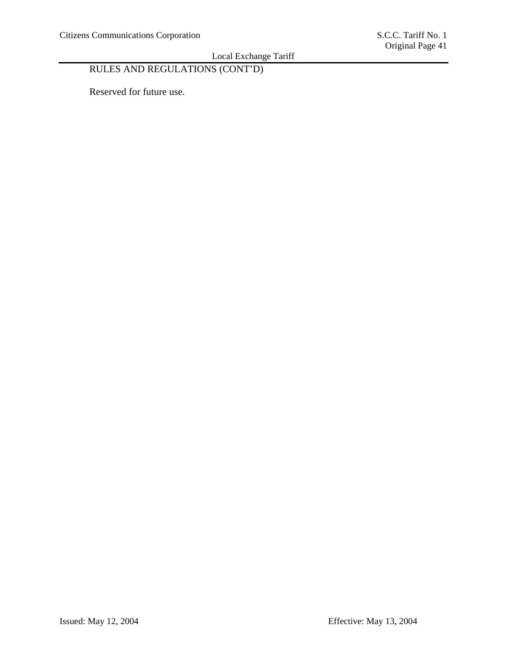# RULES AND REGULATIONS (CONT'D)

Reserved for future use.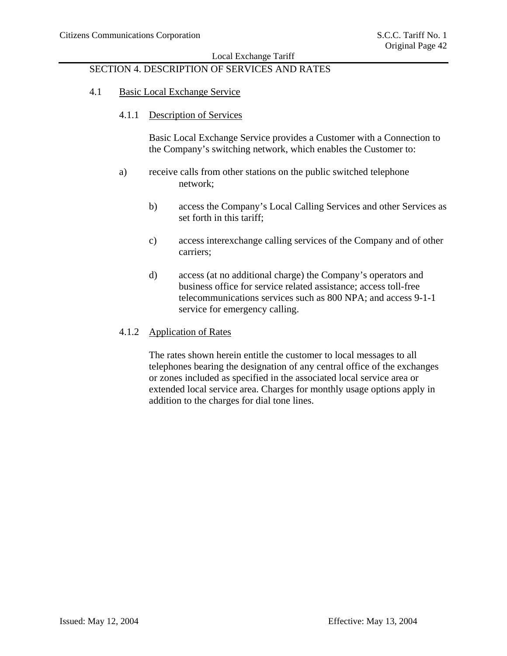# SECTION 4. DESCRIPTION OF SERVICES AND RATES

### 4.1 Basic Local Exchange Service

#### 4.1.1 Description of Services

Basic Local Exchange Service provides a Customer with a Connection to the Company's switching network, which enables the Customer to:

- a) receive calls from other stations on the public switched telephone network;
	- b) access the Company's Local Calling Services and other Services as set forth in this tariff;
	- c) access interexchange calling services of the Company and of other carriers;
	- d) access (at no additional charge) the Company's operators and business office for service related assistance; access toll-free telecommunications services such as 800 NPA; and access 9-1-1 service for emergency calling.

### 4.1.2 Application of Rates

The rates shown herein entitle the customer to local messages to all telephones bearing the designation of any central office of the exchanges or zones included as specified in the associated local service area or extended local service area. Charges for monthly usage options apply in addition to the charges for dial tone lines.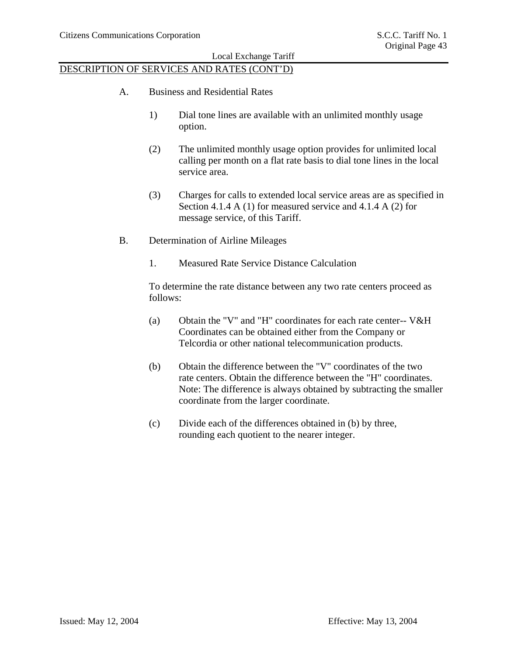### DESCRIPTION OF SERVICES AND RATES (CONT'D)

- A. Business and Residential Rates
	- 1) Dial tone lines are available with an unlimited monthly usage option.
	- (2) The unlimited monthly usage option provides for unlimited local calling per month on a flat rate basis to dial tone lines in the local service area.
	- (3) Charges for calls to extended local service areas are as specified in Section 4.1.4 A (1) for measured service and 4.1.4 A (2) for message service, of this Tariff.
- B. Determination of Airline Mileages
	- 1. Measured Rate Service Distance Calculation

To determine the rate distance between any two rate centers proceed as follows:

- (a) Obtain the "V" and "H" coordinates for each rate center-- V&H Coordinates can be obtained either from the Company or Telcordia or other national telecommunication products.
- (b) Obtain the difference between the "V" coordinates of the two rate centers. Obtain the difference between the "H" coordinates. Note: The difference is always obtained by subtracting the smaller coordinate from the larger coordinate.
- (c) Divide each of the differences obtained in (b) by three, rounding each quotient to the nearer integer.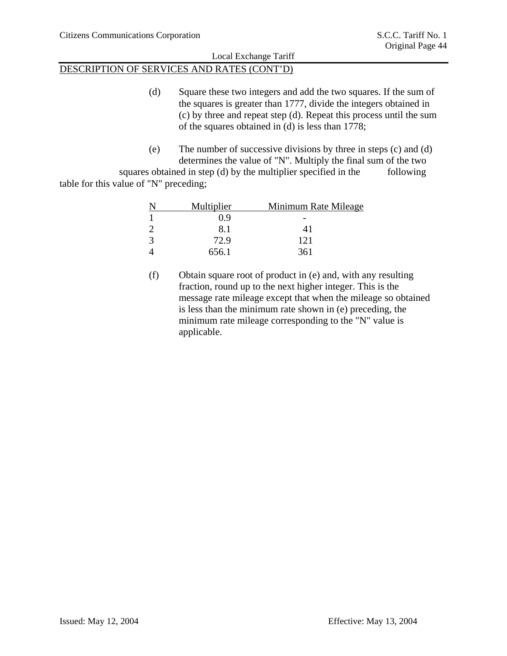### DESCRIPTION OF SERVICES AND RATES (CONT'D)

- (d) Square these two integers and add the two squares. If the sum of the squares is greater than 1777, divide the integers obtained in (c) by three and repeat step (d). Repeat this process until the sum of the squares obtained in (d) is less than 1778;
- (e) The number of successive divisions by three in steps (c) and (d) determines the value of "N". Multiply the final sum of the two

squares obtained in step (d) by the multiplier specified in the following table for this value of "N" preceding;

| Multiplier | Minimum Rate Mileage |
|------------|----------------------|
| 0.9        |                      |
| 8.1        | 41                   |
| 72.9       | 121                  |
| 656.1      | 361                  |

(f) Obtain square root of product in (e) and, with any resulting fraction, round up to the next higher integer. This is the message rate mileage except that when the mileage so obtained is less than the minimum rate shown in (e) preceding, the minimum rate mileage corresponding to the "N" value is applicable.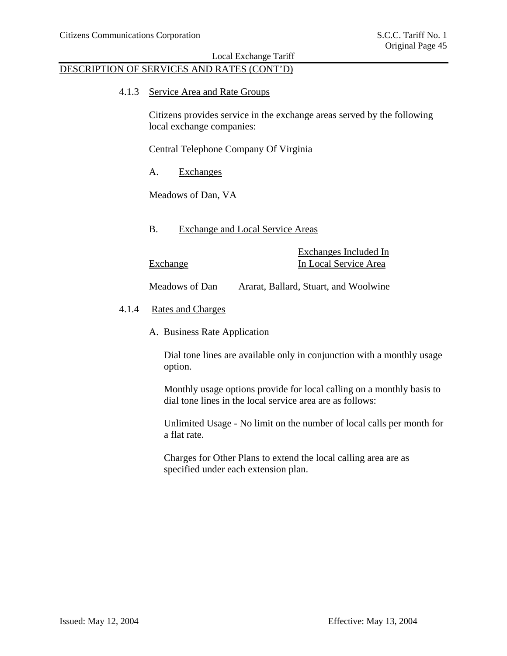### DESCRIPTION OF SERVICES AND RATES (CONT'D)

4.1.3 Service Area and Rate Groups

Citizens provides service in the exchange areas served by the following local exchange companies:

Central Telephone Company Of Virginia

A. Exchanges

Meadows of Dan, VA

B. Exchange and Local Service Areas

Exchanges Included In Exchange In Local Service Area

Meadows of Dan Ararat, Ballard, Stuart, and Woolwine

- 4.1.4 Rates and Charges
	- A. Business Rate Application

Dial tone lines are available only in conjunction with a monthly usage option.

Monthly usage options provide for local calling on a monthly basis to dial tone lines in the local service area are as follows:

Unlimited Usage - No limit on the number of local calls per month for a flat rate.

Charges for Other Plans to extend the local calling area are as specified under each extension plan.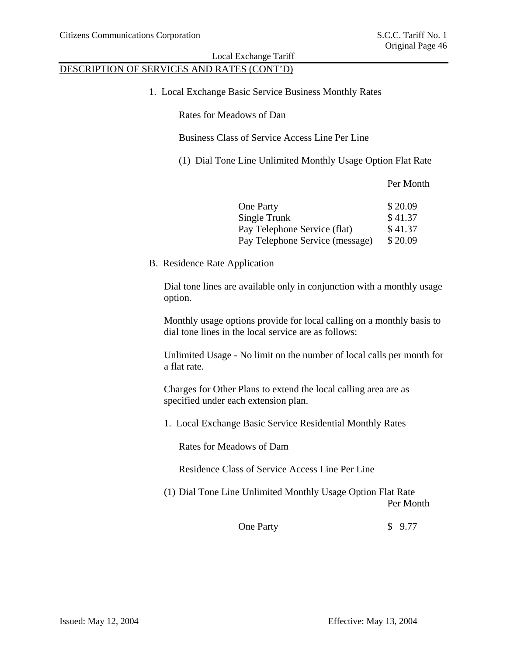# DESCRIPTION OF SERVICES AND RATES (CONT'D)

1. Local Exchange Basic Service Business Monthly Rates

Rates for Meadows of Dan

Business Class of Service Access Line Per Line

(1) Dial Tone Line Unlimited Monthly Usage Option Flat Rate

Per Month

| <b>One Party</b>                | \$20.09 |
|---------------------------------|---------|
| Single Trunk                    | \$41.37 |
| Pay Telephone Service (flat)    | \$41.37 |
| Pay Telephone Service (message) | \$20.09 |

B. Residence Rate Application

Dial tone lines are available only in conjunction with a monthly usage option.

Monthly usage options provide for local calling on a monthly basis to dial tone lines in the local service are as follows:

Unlimited Usage - No limit on the number of local calls per month for a flat rate.

Charges for Other Plans to extend the local calling area are as specified under each extension plan.

1. Local Exchange Basic Service Residential Monthly Rates

Rates for Meadows of Dam

Residence Class of Service Access Line Per Line

(1) Dial Tone Line Unlimited Monthly Usage Option Flat Rate Per Month

One Party \$ 9.77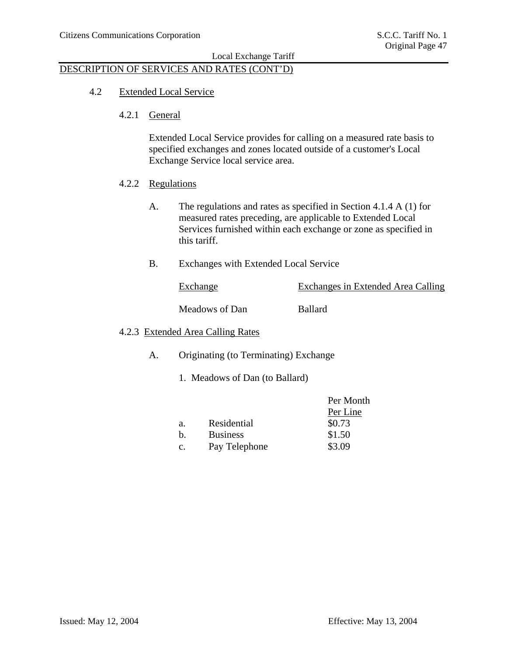### DESCRIPTION OF SERVICES AND RATES (CONT'D)

### 4.2 Extended Local Service

4.2.1 General

Extended Local Service provides for calling on a measured rate basis to specified exchanges and zones located outside of a customer's Local Exchange Service local service area.

- 4.2.2 Regulations
	- A. The regulations and rates as specified in Section 4.1.4 A (1) for measured rates preceding, are applicable to Extended Local Services furnished within each exchange or zone as specified in this tariff.
	- B. Exchanges with Extended Local Service

Exchange Exchanges in Extended Area Calling

Meadows of Dan Ballard

### 4.2.3 Extended Area Calling Rates

- A. Originating (to Terminating) Exchange
	- 1. Meadows of Dan (to Ballard)

|                 | Per Month |
|-----------------|-----------|
|                 | Per Line  |
| Residential     | \$0.73    |
| <b>Business</b> | \$1.50    |
| Pay Telephone   | \$3.09    |
|                 |           |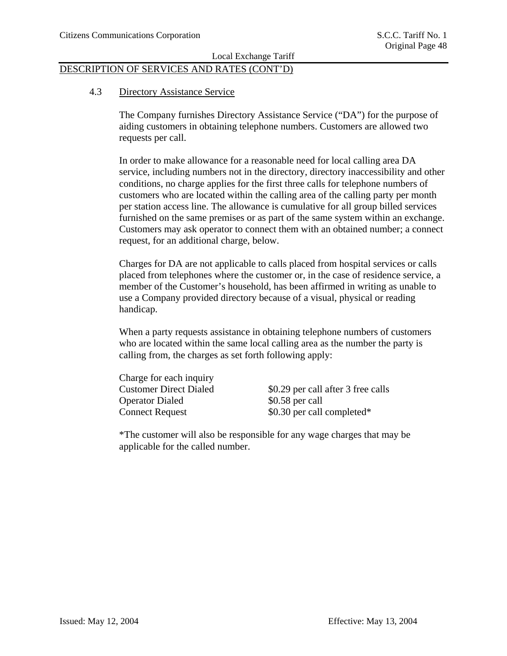### DESCRIPTION OF SERVICES AND RATES (CONT'D)

### 4.3 Directory Assistance Service

The Company furnishes Directory Assistance Service ("DA") for the purpose of aiding customers in obtaining telephone numbers. Customers are allowed two requests per call.

In order to make allowance for a reasonable need for local calling area DA service, including numbers not in the directory, directory inaccessibility and other conditions, no charge applies for the first three calls for telephone numbers of customers who are located within the calling area of the calling party per month per station access line. The allowance is cumulative for all group billed services furnished on the same premises or as part of the same system within an exchange. Customers may ask operator to connect them with an obtained number; a connect request, for an additional charge, below.

Charges for DA are not applicable to calls placed from hospital services or calls placed from telephones where the customer or, in the case of residence service, a member of the Customer's household, has been affirmed in writing as unable to use a Company provided directory because of a visual, physical or reading handicap.

When a party requests assistance in obtaining telephone numbers of customers who are located within the same local calling area as the number the party is calling from, the charges as set forth following apply:

 Charge for each inquiry Operator Dialed \$0.58 per call

Customer Direct Dialed \$0.29 per call after 3 free calls Connect Request  $$0.30$  per call completed\*

\*The customer will also be responsible for any wage charges that may be applicable for the called number.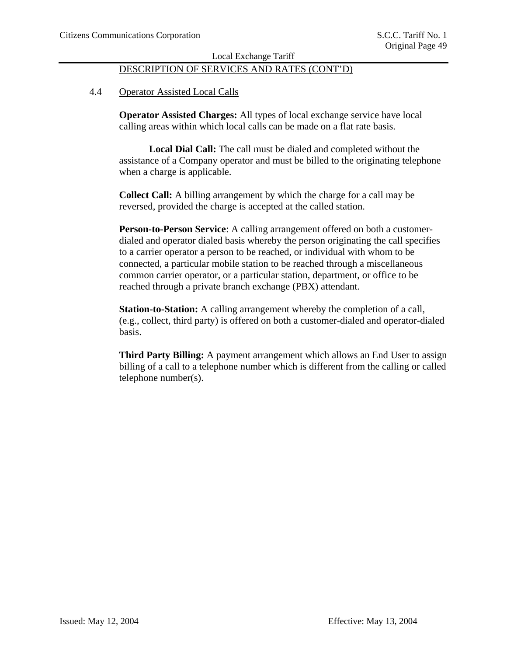# DESCRIPTION OF SERVICES AND RATES (CONT'D)

### 4.4 Operator Assisted Local Calls

**Operator Assisted Charges:** All types of local exchange service have local calling areas within which local calls can be made on a flat rate basis.

**Local Dial Call:** The call must be dialed and completed without the assistance of a Company operator and must be billed to the originating telephone when a charge is applicable.

**Collect Call:** A billing arrangement by which the charge for a call may be reversed, provided the charge is accepted at the called station.

**Person-to-Person Service**: A calling arrangement offered on both a customerdialed and operator dialed basis whereby the person originating the call specifies to a carrier operator a person to be reached, or individual with whom to be connected, a particular mobile station to be reached through a miscellaneous common carrier operator, or a particular station, department, or office to be reached through a private branch exchange (PBX) attendant.

**Station-to-Station:** A calling arrangement whereby the completion of a call, (e.g., collect, third party) is offered on both a customer-dialed and operator-dialed basis.

**Third Party Billing:** A payment arrangement which allows an End User to assign billing of a call to a telephone number which is different from the calling or called telephone number(s).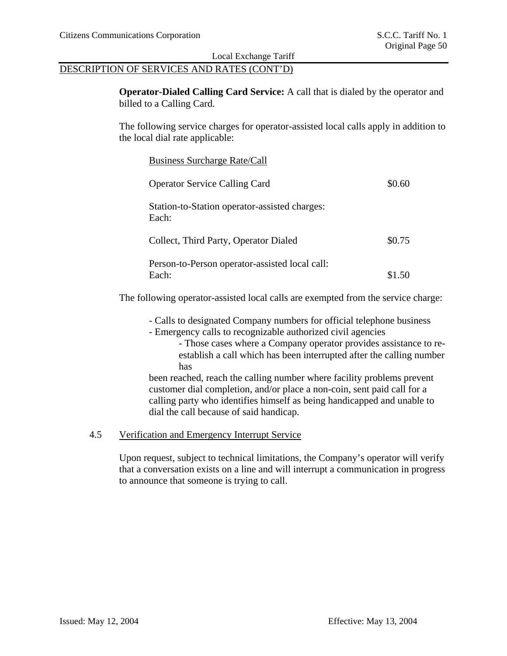### DESCRIPTION OF SERVICES AND RATES (CONT'D)

**Operator-Dialed Calling Card Service:** A call that is dialed by the operator and billed to a Calling Card.

The following service charges for operator-assisted local calls apply in addition to the local dial rate applicable:

| <b>Business Surcharge Rate/Call</b>                     |        |
|---------------------------------------------------------|--------|
| <b>Operator Service Calling Card</b>                    | \$0.60 |
| Station-to-Station operator-assisted charges:<br>Each:  |        |
| Collect, Third Party, Operator Dialed                   | \$0.75 |
| Person-to-Person operator-assisted local call:<br>Each: | \$1.50 |

The following operator-assisted local calls are exempted from the service charge:

- Calls to designated Company numbers for official telephone business
- Emergency calls to recognizable authorized civil agencies
	- Those cases where a Company operator provides assistance to reestablish a call which has been interrupted after the calling number has

been reached, reach the calling number where facility problems prevent customer dial completion, and/or place a non-coin, sent paid call for a calling party who identifies himself as being handicapped and unable to dial the call because of said handicap.

# 4.5 Verification and Emergency Interrupt Service

Upon request, subject to technical limitations, the Company's operator will verify that a conversation exists on a line and will interrupt a communication in progress to announce that someone is trying to call.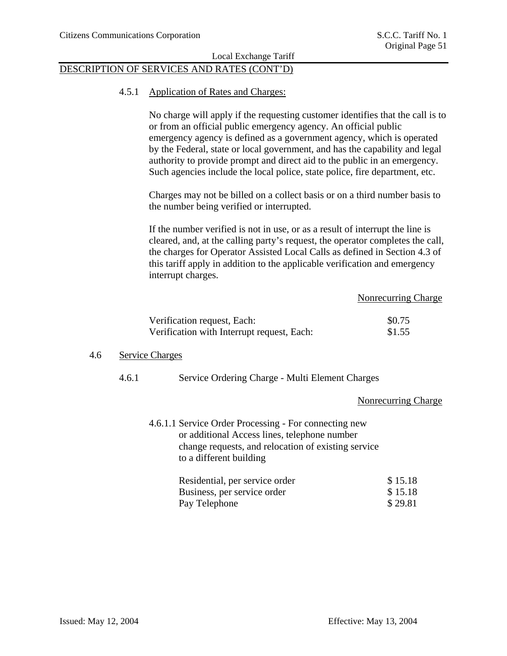### DESCRIPTION OF SERVICES AND RATES (CONT'D)

#### 4.5.1 Application of Rates and Charges:

No charge will apply if the requesting customer identifies that the call is to or from an official public emergency agency. An official public emergency agency is defined as a government agency, which is operated by the Federal, state or local government, and has the capability and legal authority to provide prompt and direct aid to the public in an emergency. Such agencies include the local police, state police, fire department, etc.

Charges may not be billed on a collect basis or on a third number basis to the number being verified or interrupted.

If the number verified is not in use, or as a result of interrupt the line is cleared, and, at the calling party's request, the operator completes the call, the charges for Operator Assisted Local Calls as defined in Section 4.3 of this tariff apply in addition to the applicable verification and emergency interrupt charges.

#### Nonrecurring Charge

| Verification request, Each:                | \$0.75 |
|--------------------------------------------|--------|
| Verification with Interrupt request, Each: | \$1.55 |

### 4.6 Service Charges

### 4.6.1 Service Ordering Charge - Multi Element Charges

#### Nonrecurring Charge

| 4.6.1.1 Service Order Processing - For connecting new                          |
|--------------------------------------------------------------------------------|
| or additional Access lines, telephone number                                   |
| change requests, and relocation of existing service<br>to a different building |
|                                                                                |

| Residential, per service order | \$15.18 |
|--------------------------------|---------|
| Business, per service order    | \$15.18 |
| Pay Telephone                  | \$29.81 |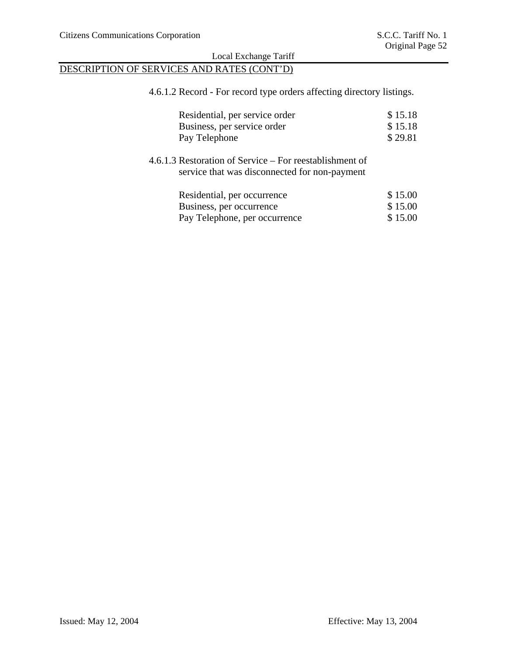# DESCRIPTION OF SERVICES AND RATES (CONT'D)

4.6.1.2 Record - For record type orders affecting directory listings.

| Residential, per service order<br>Business, per service order<br>Pay Telephone                           | \$15.18<br>\$15.18<br>\$29.81 |
|----------------------------------------------------------------------------------------------------------|-------------------------------|
| 4.6.1.3 Restoration of Service – For reestablishment of<br>service that was disconnected for non-payment |                               |
| Residential, per occurrence                                                                              | \$15.00                       |
| Business, per occurrence                                                                                 | \$15.00                       |
| Pay Telephone, per occurrence                                                                            | \$15.00                       |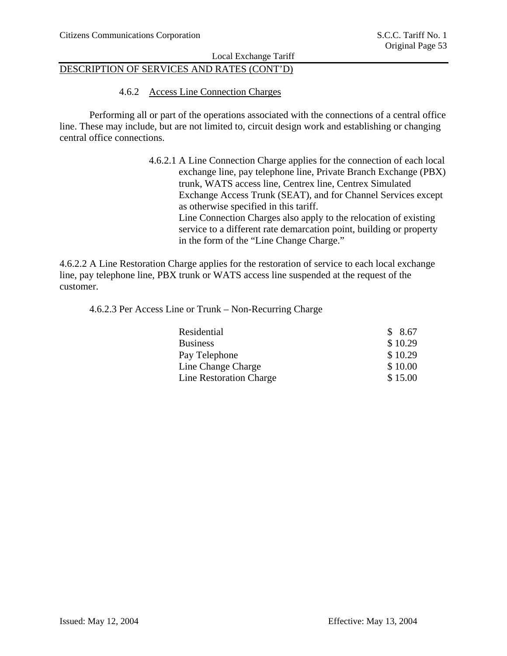### DESCRIPTION OF SERVICES AND RATES (CONT'D)

4.6.2 Access Line Connection Charges

Performing all or part of the operations associated with the connections of a central office line. These may include, but are not limited to, circuit design work and establishing or changing central office connections.

> 4.6.2.1 A Line Connection Charge applies for the connection of each local exchange line, pay telephone line, Private Branch Exchange (PBX) trunk, WATS access line, Centrex line, Centrex Simulated Exchange Access Trunk (SEAT), and for Channel Services except as otherwise specified in this tariff. Line Connection Charges also apply to the relocation of existing service to a different rate demarcation point, building or property in the form of the "Line Change Charge."

4.6.2.2 A Line Restoration Charge applies for the restoration of service to each local exchange line, pay telephone line, PBX trunk or WATS access line suspended at the request of the customer.

4.6.2.3 Per Access Line or Trunk – Non-Recurring Charge

| Residential                    | \$8.67  |
|--------------------------------|---------|
| <b>Business</b>                | \$10.29 |
| Pay Telephone                  | \$10.29 |
| Line Change Charge             | \$10.00 |
| <b>Line Restoration Charge</b> | \$15.00 |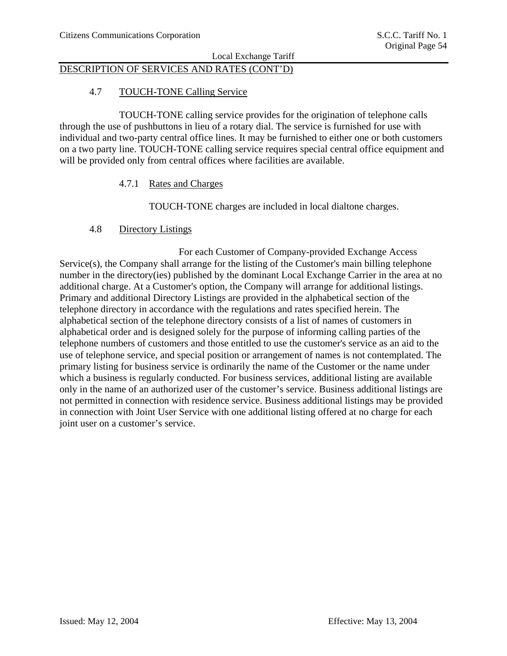# DESCRIPTION OF SERVICES AND RATES (CONT'D)

### 4.7 TOUCH-TONE Calling Service

 TOUCH-TONE calling service provides for the origination of telephone calls through the use of pushbuttons in lieu of a rotary dial. The service is furnished for use with individual and two-party central office lines. It may be furnished to either one or both customers on a two party line. TOUCH-TONE calling service requires special central office equipment and will be provided only from central offices where facilities are available.

### 4.7.1 Rates and Charges

TOUCH-TONE charges are included in local dialtone charges.

### 4.8 Directory Listings

 For each Customer of Company-provided Exchange Access Service(s), the Company shall arrange for the listing of the Customer's main billing telephone number in the directory(ies) published by the dominant Local Exchange Carrier in the area at no additional charge. At a Customer's option, the Company will arrange for additional listings. Primary and additional Directory Listings are provided in the alphabetical section of the telephone directory in accordance with the regulations and rates specified herein. The alphabetical section of the telephone directory consists of a list of names of customers in alphabetical order and is designed solely for the purpose of informing calling parties of the telephone numbers of customers and those entitled to use the customer's service as an aid to the use of telephone service, and special position or arrangement of names is not contemplated. The primary listing for business service is ordinarily the name of the Customer or the name under which a business is regularly conducted. For business services, additional listing are available only in the name of an authorized user of the customer's service. Business additional listings are not permitted in connection with residence service. Business additional listings may be provided in connection with Joint User Service with one additional listing offered at no charge for each joint user on a customer's service.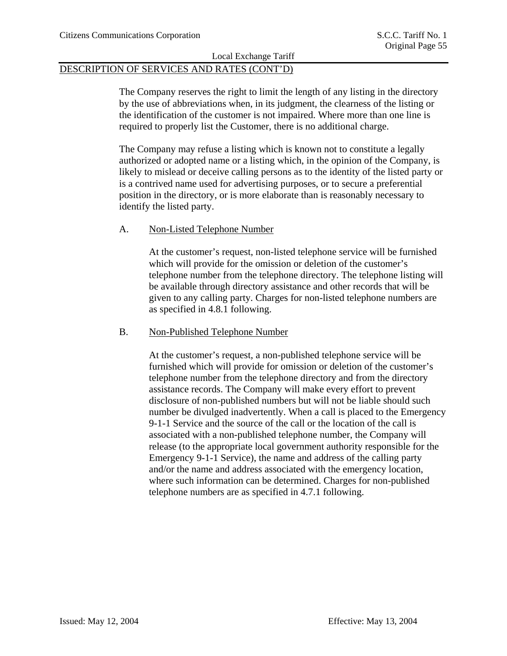### DESCRIPTION OF SERVICES AND RATES (CONT'D)

The Company reserves the right to limit the length of any listing in the directory by the use of abbreviations when, in its judgment, the clearness of the listing or the identification of the customer is not impaired. Where more than one line is required to properly list the Customer, there is no additional charge.

The Company may refuse a listing which is known not to constitute a legally authorized or adopted name or a listing which, in the opinion of the Company, is likely to mislead or deceive calling persons as to the identity of the listed party or is a contrived name used for advertising purposes, or to secure a preferential position in the directory, or is more elaborate than is reasonably necessary to identify the listed party.

### A. Non-Listed Telephone Number

At the customer's request, non-listed telephone service will be furnished which will provide for the omission or deletion of the customer's telephone number from the telephone directory. The telephone listing will be available through directory assistance and other records that will be given to any calling party. Charges for non-listed telephone numbers are as specified in 4.8.1 following.

### B. Non-Published Telephone Number

At the customer's request, a non-published telephone service will be furnished which will provide for omission or deletion of the customer's telephone number from the telephone directory and from the directory assistance records. The Company will make every effort to prevent disclosure of non-published numbers but will not be liable should such number be divulged inadvertently. When a call is placed to the Emergency 9-1-1 Service and the source of the call or the location of the call is associated with a non-published telephone number, the Company will release (to the appropriate local government authority responsible for the Emergency 9-1-1 Service), the name and address of the calling party and/or the name and address associated with the emergency location, where such information can be determined. Charges for non-published telephone numbers are as specified in 4.7.1 following.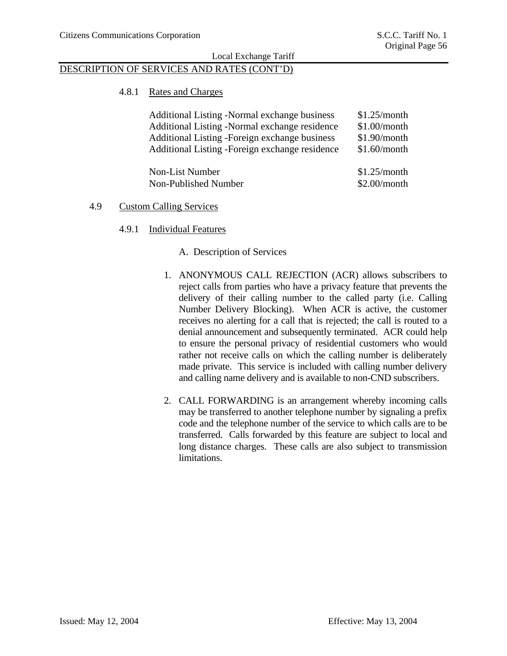### DESCRIPTION OF SERVICES AND RATES (CONT'D)

### 4.8.1 Rates and Charges

| Additional Listing -Normal exchange business<br>Additional Listing -Normal exchange residence<br>Additional Listing - Foreign exchange business<br>Additional Listing - Foreign exchange residence | \$1.25/month<br>\$1.00/month<br>\$1.90/month<br>\$1.60/month |
|----------------------------------------------------------------------------------------------------------------------------------------------------------------------------------------------------|--------------------------------------------------------------|
| Non-List Number<br>Non-Published Number                                                                                                                                                            | \$1.25/month<br>$$2.00/m$ onth                               |

### 4.9 Custom Calling Services

#### 4.9.1 Individual Features

A. Description of Services

- 1. ANONYMOUS CALL REJECTION (ACR) allows subscribers to reject calls from parties who have a privacy feature that prevents the delivery of their calling number to the called party (i.e. Calling Number Delivery Blocking). When ACR is active, the customer receives no alerting for a call that is rejected; the call is routed to a denial announcement and subsequently terminated. ACR could help to ensure the personal privacy of residential customers who would rather not receive calls on which the calling number is deliberately made private. This service is included with calling number delivery and calling name delivery and is available to non-CND subscribers.
- 2. CALL FORWARDING is an arrangement whereby incoming calls may be transferred to another telephone number by signaling a prefix code and the telephone number of the service to which calls are to be transferred. Calls forwarded by this feature are subject to local and long distance charges. These calls are also subject to transmission limitations.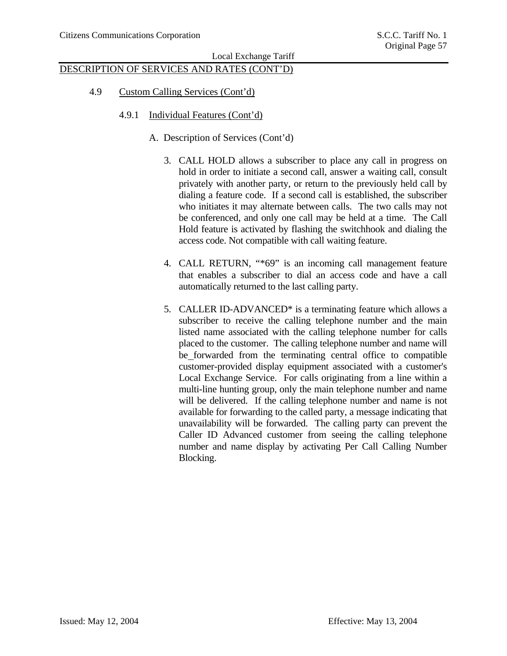# DESCRIPTION OF SERVICES AND RATES (CONT'D)

- 4.9 Custom Calling Services (Cont'd)
	- 4.9.1 Individual Features (Cont'd)
		- A. Description of Services (Cont'd)
			- 3. CALL HOLD allows a subscriber to place any call in progress on hold in order to initiate a second call, answer a waiting call, consult privately with another party, or return to the previously held call by dialing a feature code. If a second call is established, the subscriber who initiates it may alternate between calls. The two calls may not be conferenced, and only one call may be held at a time. The Call Hold feature is activated by flashing the switchhook and dialing the access code. Not compatible with call waiting feature.
			- 4. CALL RETURN, "\*69" is an incoming call management feature that enables a subscriber to dial an access code and have a call automatically returned to the last calling party.
			- 5. CALLER ID-ADVANCED\* is a terminating feature which allows a subscriber to receive the calling telephone number and the main listed name associated with the calling telephone number for calls placed to the customer. The calling telephone number and name will be forwarded from the terminating central office to compatible customer-provided display equipment associated with a customer's Local Exchange Service. For calls originating from a line within a multi-line hunting group, only the main telephone number and name will be delivered. If the calling telephone number and name is not available for forwarding to the called party, a message indicating that unavailability will be forwarded. The calling party can prevent the Caller ID Advanced customer from seeing the calling telephone number and name display by activating Per Call Calling Number Blocking.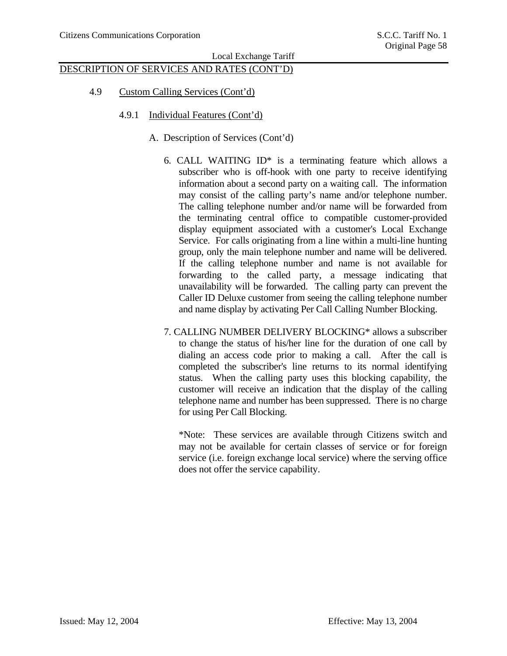# DESCRIPTION OF SERVICES AND RATES (CONT'D)

- 4.9 Custom Calling Services (Cont'd)
	- 4.9.1 Individual Features (Cont'd)
		- A. Description of Services (Cont'd)
			- 6. CALL WAITING  $ID^*$  is a terminating feature which allows a subscriber who is off-hook with one party to receive identifying information about a second party on a waiting call. The information may consist of the calling party's name and/or telephone number. The calling telephone number and/or name will be forwarded from the terminating central office to compatible customer-provided display equipment associated with a customer's Local Exchange Service. For calls originating from a line within a multi-line hunting group, only the main telephone number and name will be delivered. If the calling telephone number and name is not available for forwarding to the called party, a message indicating that unavailability will be forwarded. The calling party can prevent the Caller ID Deluxe customer from seeing the calling telephone number and name display by activating Per Call Calling Number Blocking.
			- 7. CALLING NUMBER DELIVERY BLOCKING\* allows a subscriber to change the status of his/her line for the duration of one call by dialing an access code prior to making a call. After the call is completed the subscriber's line returns to its normal identifying status. When the calling party uses this blocking capability, the customer will receive an indication that the display of the calling telephone name and number has been suppressed. There is no charge for using Per Call Blocking.

\*Note: These services are available through Citizens switch and may not be available for certain classes of service or for foreign service (i.e. foreign exchange local service) where the serving office does not offer the service capability.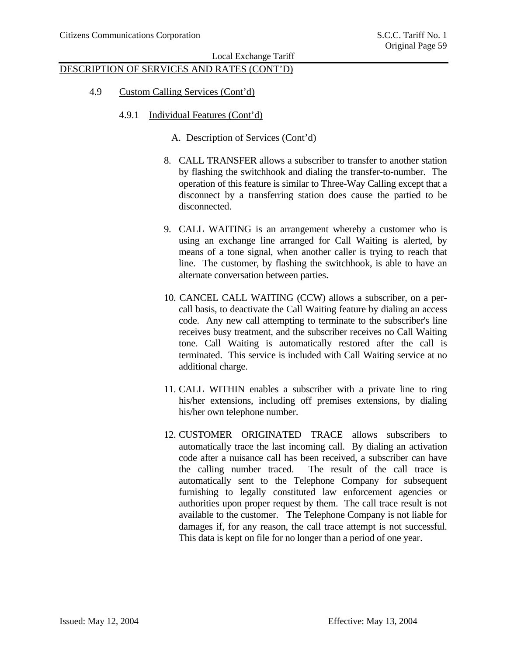# DESCRIPTION OF SERVICES AND RATES (CONT'D)

- 4.9 Custom Calling Services (Cont'd)
	- 4.9.1 Individual Features (Cont'd)
		- A. Description of Services (Cont'd)
		- 8. CALL TRANSFER allows a subscriber to transfer to another station by flashing the switchhook and dialing the transfer-to-number. The operation of this feature is similar to Three-Way Calling except that a disconnect by a transferring station does cause the partied to be disconnected.
		- 9. CALL WAITING is an arrangement whereby a customer who is using an exchange line arranged for Call Waiting is alerted, by means of a tone signal, when another caller is trying to reach that line. The customer, by flashing the switchhook, is able to have an alternate conversation between parties.
		- 10. CANCEL CALL WAITING (CCW) allows a subscriber, on a percall basis, to deactivate the Call Waiting feature by dialing an access code. Any new call attempting to terminate to the subscriber's line receives busy treatment, and the subscriber receives no Call Waiting tone. Call Waiting is automatically restored after the call is terminated. This service is included with Call Waiting service at no additional charge.
		- 11. CALL WITHIN enables a subscriber with a private line to ring his/her extensions, including off premises extensions, by dialing his/her own telephone number.
		- 12. CUSTOMER ORIGINATED TRACE allows subscribers to automatically trace the last incoming call. By dialing an activation code after a nuisance call has been received, a subscriber can have the calling number traced. The result of the call trace is automatically sent to the Telephone Company for subsequent furnishing to legally constituted law enforcement agencies or authorities upon proper request by them. The call trace result is not available to the customer. The Telephone Company is not liable for damages if, for any reason, the call trace attempt is not successful. This data is kept on file for no longer than a period of one year.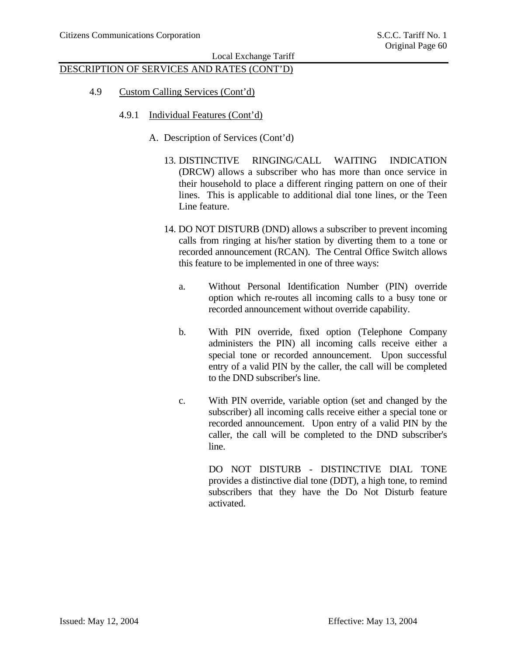# DESCRIPTION OF SERVICES AND RATES (CONT'D)

- 4.9 Custom Calling Services (Cont'd)
	- 4.9.1 Individual Features (Cont'd)
		- A. Description of Services (Cont'd)
			- 13. DISTINCTIVE RINGING/CALL WAITING INDICATION (DRCW) allows a subscriber who has more than once service in their household to place a different ringing pattern on one of their lines. This is applicable to additional dial tone lines, or the Teen Line feature.
			- 14. DO NOT DISTURB (DND) allows a subscriber to prevent incoming calls from ringing at his/her station by diverting them to a tone or recorded announcement (RCAN). The Central Office Switch allows this feature to be implemented in one of three ways:
				- a. Without Personal Identification Number (PIN) override option which re-routes all incoming calls to a busy tone or recorded announcement without override capability.
				- b. With PIN override, fixed option (Telephone Company administers the PIN) all incoming calls receive either a special tone or recorded announcement. Upon successful entry of a valid PIN by the caller, the call will be completed to the DND subscriber's line.
				- c. With PIN override, variable option (set and changed by the subscriber) all incoming calls receive either a special tone or recorded announcement. Upon entry of a valid PIN by the caller, the call will be completed to the DND subscriber's line.

DO NOT DISTURB - DISTINCTIVE DIAL TONE provides a distinctive dial tone (DDT), a high tone, to remind subscribers that they have the Do Not Disturb feature activated.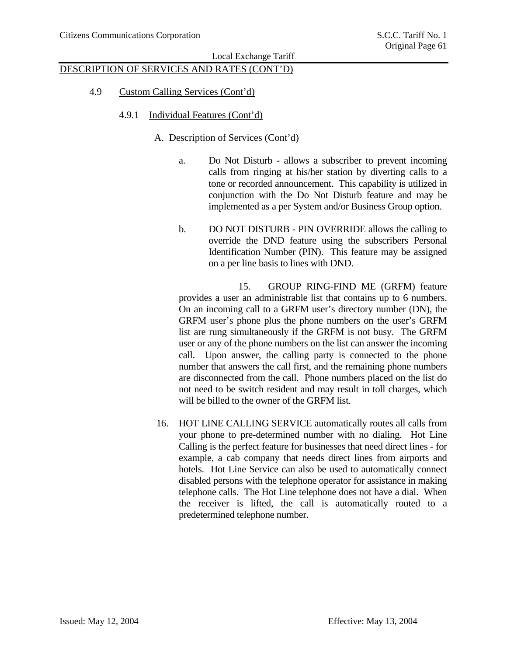# DESCRIPTION OF SERVICES AND RATES (CONT'D)

- 4.9 Custom Calling Services (Cont'd)
	- 4.9.1 Individual Features (Cont'd)
		- A. Description of Services (Cont'd)
			- a. Do Not Disturb allows a subscriber to prevent incoming calls from ringing at his/her station by diverting calls to a tone or recorded announcement. This capability is utilized in conjunction with the Do Not Disturb feature and may be implemented as a per System and/or Business Group option.
			- b. DO NOT DISTURB PIN OVERRIDE allows the calling to override the DND feature using the subscribers Personal Identification Number (PIN). This feature may be assigned on a per line basis to lines with DND.

 15. GROUP RING-FIND ME (GRFM) feature provides a user an administrable list that contains up to 6 numbers. On an incoming call to a GRFM user's directory number (DN), the GRFM user's phone plus the phone numbers on the user's GRFM list are rung simultaneously if the GRFM is not busy. The GRFM user or any of the phone numbers on the list can answer the incoming call. Upon answer, the calling party is connected to the phone number that answers the call first, and the remaining phone numbers are disconnected from the call. Phone numbers placed on the list do not need to be switch resident and may result in toll charges, which will be billed to the owner of the GRFM list.

16. HOT LINE CALLING SERVICE automatically routes all calls from your phone to pre-determined number with no dialing. Hot Line Calling is the perfect feature for businesses that need direct lines - for example, a cab company that needs direct lines from airports and hotels. Hot Line Service can also be used to automatically connect disabled persons with the telephone operator for assistance in making telephone calls. The Hot Line telephone does not have a dial. When the receiver is lifted, the call is automatically routed to a predetermined telephone number.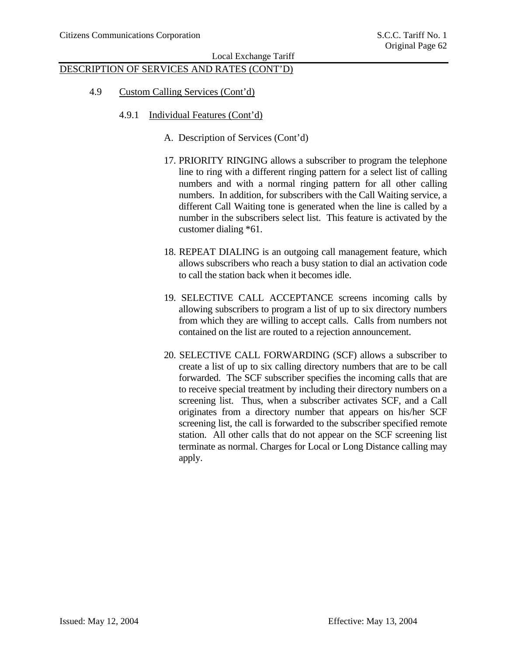# DESCRIPTION OF SERVICES AND RATES (CONT'D)

- 4.9 Custom Calling Services (Cont'd)
	- 4.9.1 Individual Features (Cont'd)
		- A. Description of Services (Cont'd)
		- 17. PRIORITY RINGING allows a subscriber to program the telephone line to ring with a different ringing pattern for a select list of calling numbers and with a normal ringing pattern for all other calling numbers. In addition, for subscribers with the Call Waiting service, a different Call Waiting tone is generated when the line is called by a number in the subscribers select list. This feature is activated by the customer dialing \*61.
		- 18. REPEAT DIALING is an outgoing call management feature, which allows subscribers who reach a busy station to dial an activation code to call the station back when it becomes idle.
		- 19. SELECTIVE CALL ACCEPTANCE screens incoming calls by allowing subscribers to program a list of up to six directory numbers from which they are willing to accept calls. Calls from numbers not contained on the list are routed to a rejection announcement.
		- 20. SELECTIVE CALL FORWARDING (SCF) allows a subscriber to create a list of up to six calling directory numbers that are to be call forwarded. The SCF subscriber specifies the incoming calls that are to receive special treatment by including their directory numbers on a screening list. Thus, when a subscriber activates SCF, and a Call originates from a directory number that appears on his/her SCF screening list, the call is forwarded to the subscriber specified remote station. All other calls that do not appear on the SCF screening list terminate as normal. Charges for Local or Long Distance calling may apply.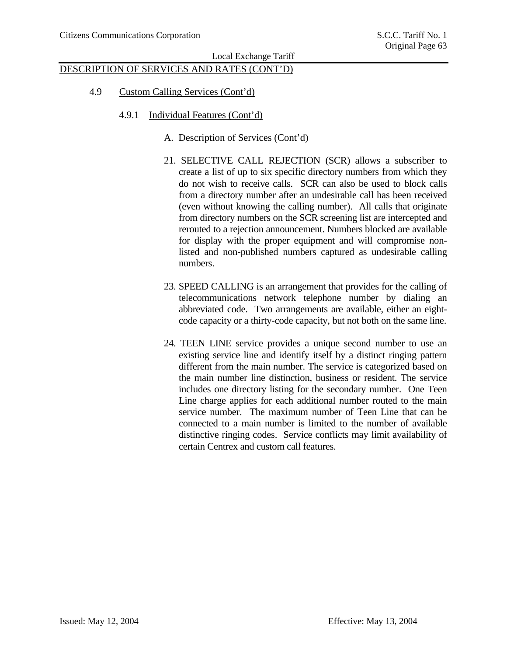# DESCRIPTION OF SERVICES AND RATES (CONT'D)

- 4.9 Custom Calling Services (Cont'd)
	- 4.9.1 Individual Features (Cont'd)
		- A. Description of Services (Cont'd)
		- 21. SELECTIVE CALL REJECTION (SCR) allows a subscriber to create a list of up to six specific directory numbers from which they do not wish to receive calls. SCR can also be used to block calls from a directory number after an undesirable call has been received (even without knowing the calling number). All calls that originate from directory numbers on the SCR screening list are intercepted and rerouted to a rejection announcement. Numbers blocked are available for display with the proper equipment and will compromise nonlisted and non-published numbers captured as undesirable calling numbers.
		- 23. SPEED CALLING is an arrangement that provides for the calling of telecommunications network telephone number by dialing an abbreviated code. Two arrangements are available, either an eightcode capacity or a thirty-code capacity, but not both on the same line.
		- 24. TEEN LINE service provides a unique second number to use an existing service line and identify itself by a distinct ringing pattern different from the main number. The service is categorized based on the main number line distinction, business or resident. The service includes one directory listing for the secondary number. One Teen Line charge applies for each additional number routed to the main service number. The maximum number of Teen Line that can be connected to a main number is limited to the number of available distinctive ringing codes. Service conflicts may limit availability of certain Centrex and custom call features.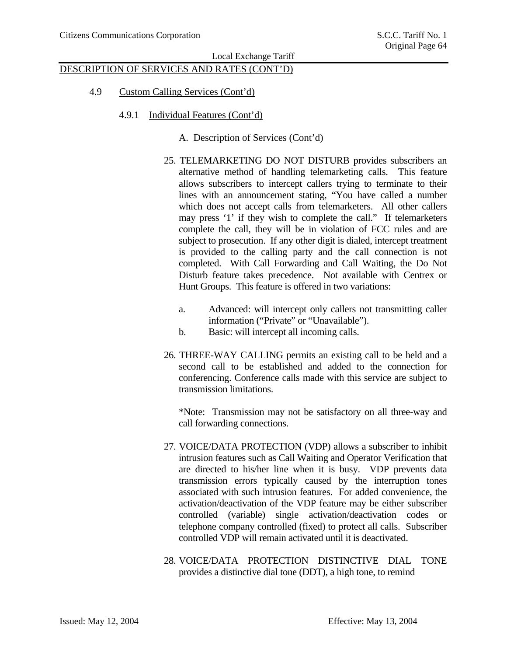# DESCRIPTION OF SERVICES AND RATES (CONT'D)

- 4.9 Custom Calling Services (Cont'd)
	- 4.9.1 Individual Features (Cont'd)

### A. Description of Services (Cont'd)

- 25. TELEMARKETING DO NOT DISTURB provides subscribers an alternative method of handling telemarketing calls. This feature allows subscribers to intercept callers trying to terminate to their lines with an announcement stating, "You have called a number which does not accept calls from telemarketers. All other callers may press '1' if they wish to complete the call." If telemarketers complete the call, they will be in violation of FCC rules and are subject to prosecution. If any other digit is dialed, intercept treatment is provided to the calling party and the call connection is not completed. With Call Forwarding and Call Waiting, the Do Not Disturb feature takes precedence. Not available with Centrex or Hunt Groups. This feature is offered in two variations:
	- a. Advanced: will intercept only callers not transmitting caller information ("Private" or "Unavailable").
	- b. Basic: will intercept all incoming calls.
- 26. THREE-WAY CALLING permits an existing call to be held and a second call to be established and added to the connection for conferencing. Conference calls made with this service are subject to transmission limitations.

\*Note: Transmission may not be satisfactory on all three-way and call forwarding connections.

- 27. VOICE/DATA PROTECTION (VDP) allows a subscriber to inhibit intrusion features such as Call Waiting and Operator Verification that are directed to his/her line when it is busy. VDP prevents data transmission errors typically caused by the interruption tones associated with such intrusion features. For added convenience, the activation/deactivation of the VDP feature may be either subscriber controlled (variable) single activation/deactivation codes or telephone company controlled (fixed) to protect all calls. Subscriber controlled VDP will remain activated until it is deactivated.
- 28. VOICE/DATA PROTECTION DISTINCTIVE DIAL TONE provides a distinctive dial tone (DDT), a high tone, to remind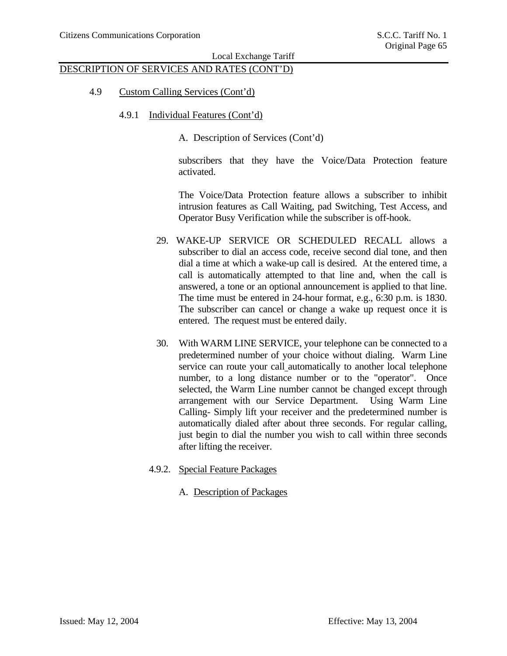# DESCRIPTION OF SERVICES AND RATES (CONT'D)

- 4.9 Custom Calling Services (Cont'd)
	- 4.9.1 Individual Features (Cont'd)

A. Description of Services (Cont'd)

subscribers that they have the Voice/Data Protection feature activated.

The Voice/Data Protection feature allows a subscriber to inhibit intrusion features as Call Waiting, pad Switching, Test Access, and Operator Busy Verification while the subscriber is off-hook.

- 29. WAKE-UP SERVICE OR SCHEDULED RECALL allows a subscriber to dial an access code, receive second dial tone, and then dial a time at which a wake-up call is desired. At the entered time, a call is automatically attempted to that line and, when the call is answered, a tone or an optional announcement is applied to that line. The time must be entered in 24-hour format, e.g., 6:30 p.m. is 1830. The subscriber can cancel or change a wake up request once it is entered. The request must be entered daily.
- 30. With WARM LINE SERVICE, your telephone can be connected to a predetermined number of your choice without dialing. Warm Line service can route your call automatically to another local telephone number, to a long distance number or to the "operator". Once selected, the Warm Line number cannot be changed except through arrangement with our Service Department. Using Warm Line Calling- Simply lift your receiver and the predetermined number is automatically dialed after about three seconds. For regular calling, just begin to dial the number you wish to call within three seconds after lifting the receiver.
- 4.9.2. Special Feature Packages
	- A. Description of Packages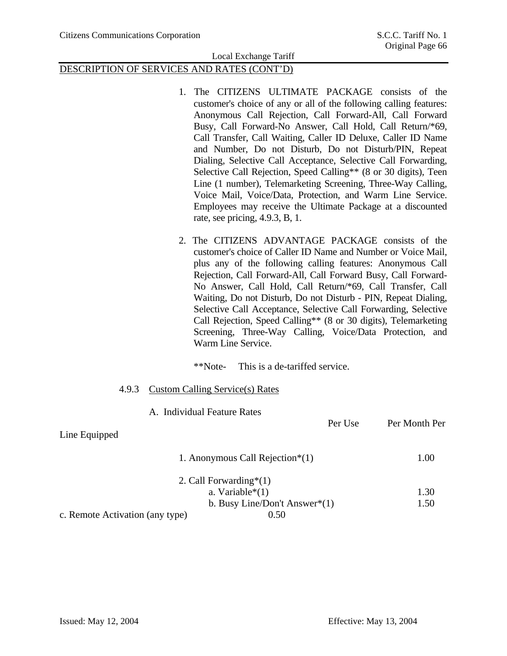## DESCRIPTION OF SERVICES AND RATES (CONT'D)

- 1. The CITIZENS ULTIMATE PACKAGE consists of the customer's choice of any or all of the following calling features: Anonymous Call Rejection, Call Forward-All, Call Forward Busy, Call Forward-No Answer, Call Hold, Call Return/\*69, Call Transfer, Call Waiting, Caller ID Deluxe, Caller ID Name and Number, Do not Disturb, Do not Disturb/PIN, Repeat Dialing, Selective Call Acceptance, Selective Call Forwarding, Selective Call Rejection, Speed Calling\*\* (8 or 30 digits), Teen Line (1 number), Telemarketing Screening, Three-Way Calling, Voice Mail, Voice/Data, Protection, and Warm Line Service. Employees may receive the Ultimate Package at a discounted rate, see pricing, 4.9.3, B, 1.
- 2. The CITIZENS ADVANTAGE PACKAGE consists of the customer's choice of Caller ID Name and Number or Voice Mail, plus any of the following calling features: Anonymous Call Rejection, Call Forward-All, Call Forward Busy, Call Forward-No Answer, Call Hold, Call Return/\*69, Call Transfer, Call Waiting, Do not Disturb, Do not Disturb - PIN, Repeat Dialing, Selective Call Acceptance, Selective Call Forwarding, Selective Call Rejection, Speed Calling\*\* (8 or 30 digits), Telemarketing Screening, Three-Way Calling, Voice/Data Protection, and Warm Line Service.

\*\*Note- This is a de-tariffed service.

#### 4.9.3 Custom Calling Service(s) Rates

|                                 | A. Individual Feature Rates           |               |
|---------------------------------|---------------------------------------|---------------|
|                                 | Per Use                               | Per Month Per |
| Line Equipped                   |                                       |               |
|                                 | 1. Anonymous Call Rejection $*(1)$    | 1.00          |
|                                 | 2. Call Forwarding <sup>*</sup> $(1)$ |               |
|                                 | a. Variable $*(1)$                    | 1.30          |
|                                 | b. Busy Line/Don't Answer $*(1)$      | 1.50          |
| c. Remote Activation (any type) | 0.50                                  |               |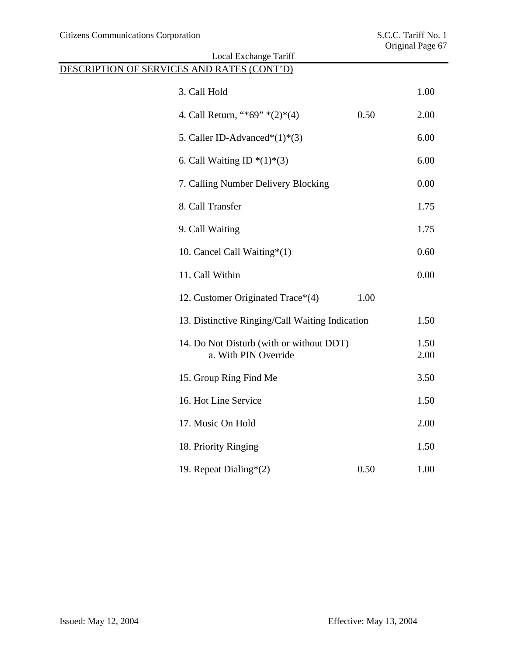| Local Exchange Tariff                                            |      |              |  |  |
|------------------------------------------------------------------|------|--------------|--|--|
| DESCRIPTION OF SERVICES AND RATES (CONT'D)                       |      |              |  |  |
| 3. Call Hold                                                     |      | 1.00         |  |  |
| 4. Call Return, "*69" *(2)*(4)                                   | 0.50 | 2.00         |  |  |
| 5. Caller ID-Advanced* $(1)$ * $(3)$                             |      | 6.00         |  |  |
| 6. Call Waiting ID $*(1)*(3)$                                    |      | 6.00         |  |  |
| 7. Calling Number Delivery Blocking                              |      | 0.00         |  |  |
| 8. Call Transfer                                                 |      | 1.75         |  |  |
| 9. Call Waiting                                                  |      | 1.75         |  |  |
| 10. Cancel Call Waiting*(1)                                      |      | 0.60         |  |  |
| 11. Call Within                                                  |      | 0.00         |  |  |
| 12. Customer Originated Trace*(4)                                | 1.00 |              |  |  |
| 13. Distinctive Ringing/Call Waiting Indication                  |      | 1.50         |  |  |
| 14. Do Not Disturb (with or without DDT)<br>a. With PIN Override |      | 1.50<br>2.00 |  |  |
| 15. Group Ring Find Me                                           |      | 3.50         |  |  |
| 16. Hot Line Service                                             |      | 1.50         |  |  |
| 17. Music On Hold                                                |      | 2.00         |  |  |
| 18. Priority Ringing                                             |      | 1.50         |  |  |
| 19. Repeat Dialing $*(2)$                                        | 0.50 | 1.00         |  |  |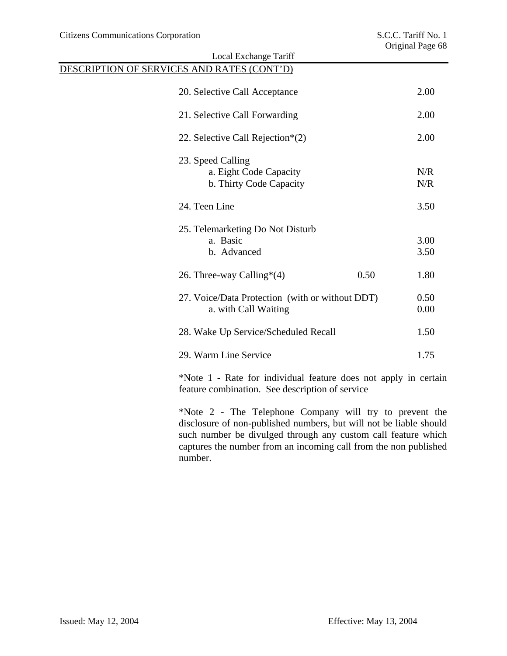|                                                                         | Local Exchange Tariff                                                                    |              |            |
|-------------------------------------------------------------------------|------------------------------------------------------------------------------------------|--------------|------------|
|                                                                         | DESCRIPTION OF SERVICES AND RATES (CONT'D)                                               |              |            |
|                                                                         | 20. Selective Call Acceptance                                                            |              | 2.00       |
|                                                                         | 21. Selective Call Forwarding                                                            |              | 2.00       |
|                                                                         | 22. Selective Call Rejection $*(2)$                                                      |              | 2.00       |
|                                                                         | 23. Speed Calling<br>a. Eight Code Capacity<br>b. Thirty Code Capacity                   |              | N/R<br>N/R |
|                                                                         | 24. Teen Line                                                                            |              | 3.50       |
|                                                                         | 25. Telemarketing Do Not Disturb<br>a. Basic                                             |              | 3.00       |
|                                                                         | b. Advanced                                                                              |              | 3.50       |
|                                                                         | 26. Three-way Calling* $(4)$                                                             | 0.50         | 1.80       |
| 27. Voice/Data Protection (with or without DDT)<br>a. with Call Waiting |                                                                                          | 0.50<br>0.00 |            |
|                                                                         | 28. Wake Up Service/Scheduled Recall                                                     |              | 1.50       |
|                                                                         | 29. Warm Line Service                                                                    |              | 1.75       |
|                                                                         | $*N_{\alpha\alpha}$ 1 D <sub>ata</sub> for individual facture does not evenly in contain |              |            |

\*Note 1 - Rate for individual feature does not apply in certain feature combination. See description of service

\*Note 2 - The Telephone Company will try to prevent the disclosure of non-published numbers, but will not be liable should such number be divulged through any custom call feature which captures the number from an incoming call from the non published number.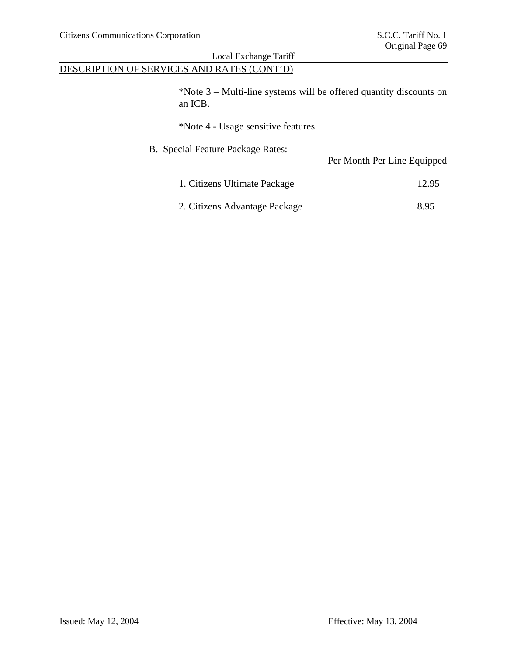# DESCRIPTION OF SERVICES AND RATES (CONT'D)

\*Note 3 – Multi-line systems will be offered quantity discounts on an ICB.

\*Note 4 - Usage sensitive features.

| <b>B.</b> Special Feature Package Rates: | Per Month Per Line Equipped |
|------------------------------------------|-----------------------------|
| 1. Citizens Ultimate Package             | 12.95                       |
| 2. Citizens Advantage Package            | 8.95                        |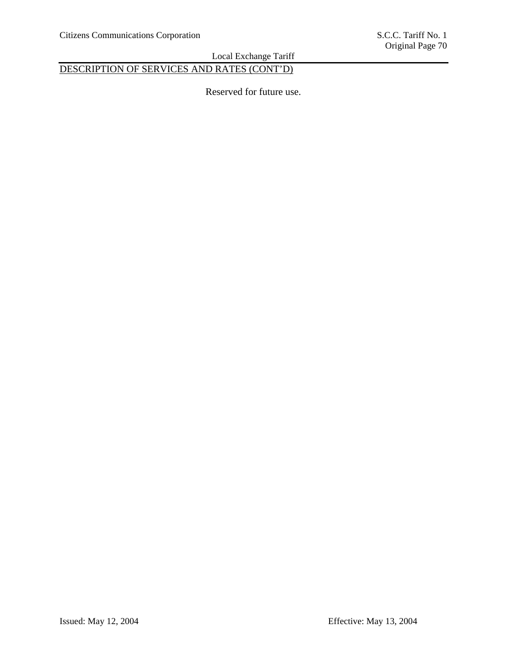# DESCRIPTION OF SERVICES AND RATES (CONT'D)

Reserved for future use.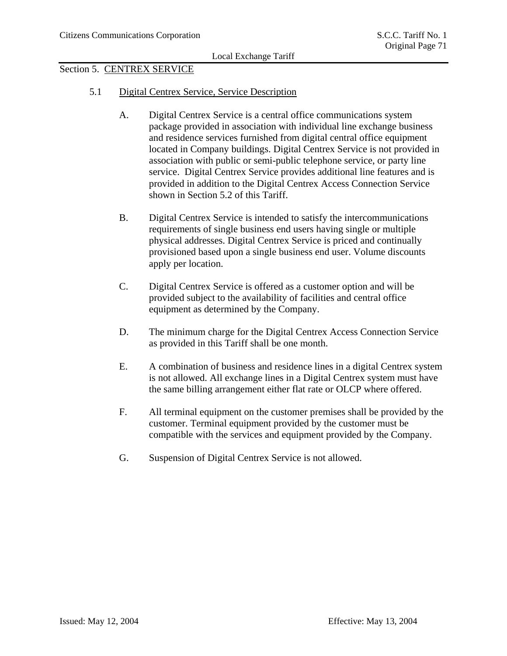## Section 5. CENTREX SERVICE

- 5.1 Digital Centrex Service, Service Description
	- A. Digital Centrex Service is a central office communications system package provided in association with individual line exchange business and residence services furnished from digital central office equipment located in Company buildings. Digital Centrex Service is not provided in association with public or semi-public telephone service, or party line service. Digital Centrex Service provides additional line features and is provided in addition to the Digital Centrex Access Connection Service shown in Section 5.2 of this Tariff.
	- B. Digital Centrex Service is intended to satisfy the intercommunications requirements of single business end users having single or multiple physical addresses. Digital Centrex Service is priced and continually provisioned based upon a single business end user. Volume discounts apply per location.
	- C. Digital Centrex Service is offered as a customer option and will be provided subject to the availability of facilities and central office equipment as determined by the Company.
	- D. The minimum charge for the Digital Centrex Access Connection Service as provided in this Tariff shall be one month.
	- E. A combination of business and residence lines in a digital Centrex system is not allowed. All exchange lines in a Digital Centrex system must have the same billing arrangement either flat rate or OLCP where offered.
	- F. All terminal equipment on the customer premises shall be provided by the customer. Terminal equipment provided by the customer must be compatible with the services and equipment provided by the Company.
	- G. Suspension of Digital Centrex Service is not allowed.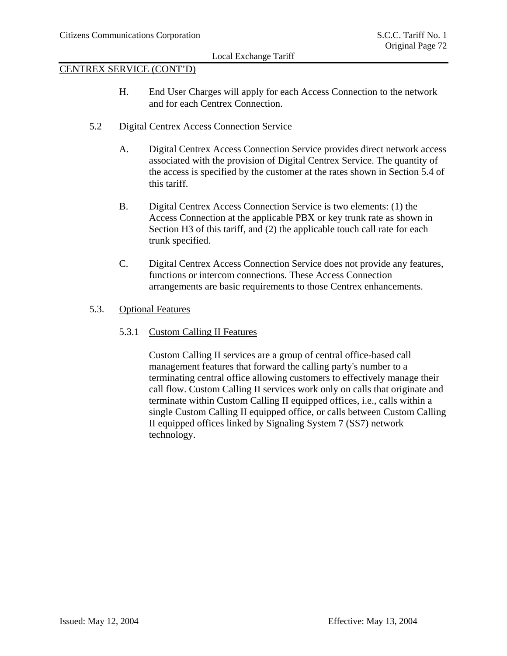# CENTREX SERVICE (CONT'D)

- H. End User Charges will apply for each Access Connection to the network and for each Centrex Connection.
- 5.2 Digital Centrex Access Connection Service
	- A. Digital Centrex Access Connection Service provides direct network access associated with the provision of Digital Centrex Service. The quantity of the access is specified by the customer at the rates shown in Section 5.4 of this tariff.
	- B. Digital Centrex Access Connection Service is two elements: (1) the Access Connection at the applicable PBX or key trunk rate as shown in Section H3 of this tariff, and (2) the applicable touch call rate for each trunk specified.
	- C. Digital Centrex Access Connection Service does not provide any features, functions or intercom connections. These Access Connection arrangements are basic requirements to those Centrex enhancements.
- 5.3. Optional Features
	- 5.3.1 Custom Calling II Features

Custom Calling II services are a group of central office-based call management features that forward the calling party's number to a terminating central office allowing customers to effectively manage their call flow. Custom Calling II services work only on calls that originate and terminate within Custom Calling II equipped offices, i.e., calls within a single Custom Calling II equipped office, or calls between Custom Calling II equipped offices linked by Signaling System 7 (SS7) network technology.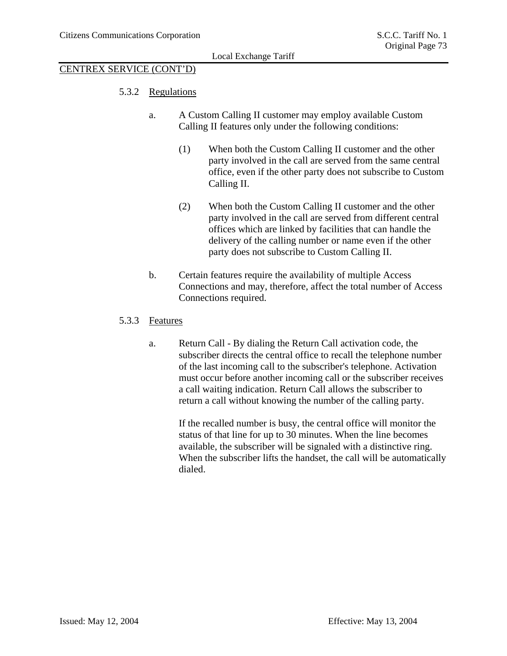# CENTREX SERVICE (CONT'D)

- 5.3.2 Regulations
	- a. A Custom Calling II customer may employ available Custom Calling II features only under the following conditions:
		- (1) When both the Custom Calling II customer and the other party involved in the call are served from the same central office, even if the other party does not subscribe to Custom Calling II.
		- (2) When both the Custom Calling II customer and the other party involved in the call are served from different central offices which are linked by facilities that can handle the delivery of the calling number or name even if the other party does not subscribe to Custom Calling II.
	- b. Certain features require the availability of multiple Access Connections and may, therefore, affect the total number of Access Connections required.

#### 5.3.3 Features

a. Return Call - By dialing the Return Call activation code, the subscriber directs the central office to recall the telephone number of the last incoming call to the subscriber's telephone. Activation must occur before another incoming call or the subscriber receives a call waiting indication. Return Call allows the subscriber to return a call without knowing the number of the calling party.

If the recalled number is busy, the central office will monitor the status of that line for up to 30 minutes. When the line becomes available, the subscriber will be signaled with a distinctive ring. When the subscriber lifts the handset, the call will be automatically dialed.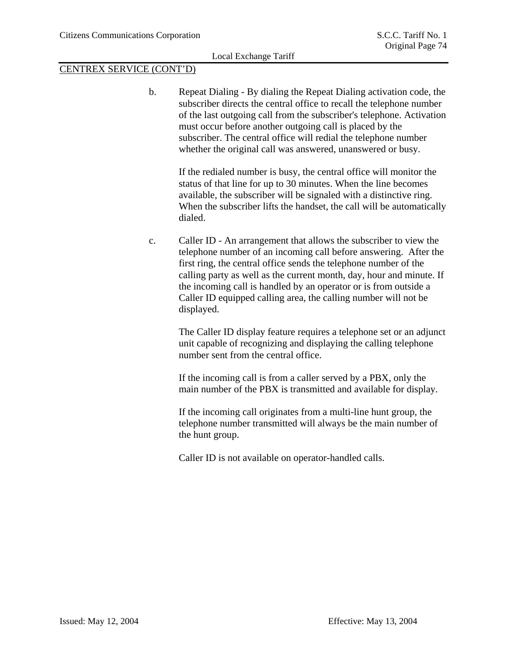# CENTREX SERVICE (CONT'D)

b. Repeat Dialing - By dialing the Repeat Dialing activation code, the subscriber directs the central office to recall the telephone number of the last outgoing call from the subscriber's telephone. Activation must occur before another outgoing call is placed by the subscriber. The central office will redial the telephone number whether the original call was answered, unanswered or busy.

If the redialed number is busy, the central office will monitor the status of that line for up to 30 minutes. When the line becomes available, the subscriber will be signaled with a distinctive ring. When the subscriber lifts the handset, the call will be automatically dialed.

c. Caller ID - An arrangement that allows the subscriber to view the telephone number of an incoming call before answering. After the first ring, the central office sends the telephone number of the calling party as well as the current month, day, hour and minute. If the incoming call is handled by an operator or is from outside a Caller ID equipped calling area, the calling number will not be displayed.

The Caller ID display feature requires a telephone set or an adjunct unit capable of recognizing and displaying the calling telephone number sent from the central office.

If the incoming call is from a caller served by a PBX, only the main number of the PBX is transmitted and available for display.

If the incoming call originates from a multi-line hunt group, the telephone number transmitted will always be the main number of the hunt group.

Caller ID is not available on operator-handled calls.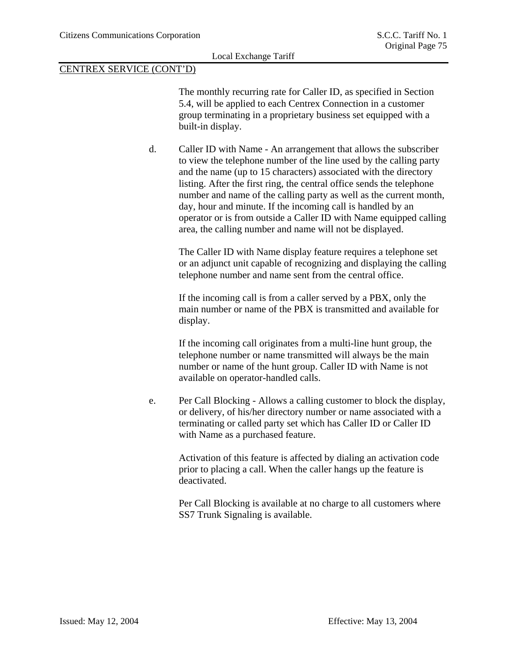The monthly recurring rate for Caller ID, as specified in Section 5.4, will be applied to each Centrex Connection in a customer group terminating in a proprietary business set equipped with a built-in display.

d. Caller ID with Name - An arrangement that allows the subscriber to view the telephone number of the line used by the calling party and the name (up to 15 characters) associated with the directory listing. After the first ring, the central office sends the telephone number and name of the calling party as well as the current month, day, hour and minute. If the incoming call is handled by an operator or is from outside a Caller ID with Name equipped calling area, the calling number and name will not be displayed.

> The Caller ID with Name display feature requires a telephone set or an adjunct unit capable of recognizing and displaying the calling telephone number and name sent from the central office.

If the incoming call is from a caller served by a PBX, only the main number or name of the PBX is transmitted and available for display.

If the incoming call originates from a multi-line hunt group, the telephone number or name transmitted will always be the main number or name of the hunt group. Caller ID with Name is not available on operator-handled calls.

e. Per Call Blocking - Allows a calling customer to block the display, or delivery, of his/her directory number or name associated with a terminating or called party set which has Caller ID or Caller ID with Name as a purchased feature.

> Activation of this feature is affected by dialing an activation code prior to placing a call. When the caller hangs up the feature is deactivated.

> Per Call Blocking is available at no charge to all customers where SS7 Trunk Signaling is available.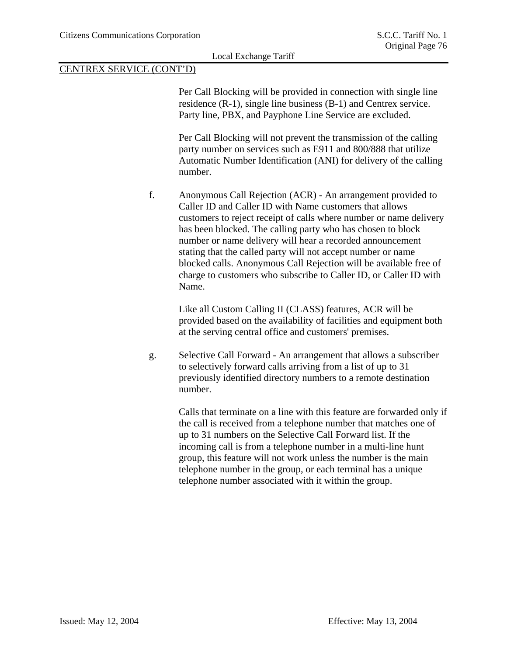Per Call Blocking will be provided in connection with single line residence (R-1), single line business (B-1) and Centrex service. Party line, PBX, and Payphone Line Service are excluded.

Per Call Blocking will not prevent the transmission of the calling party number on services such as E911 and 800/888 that utilize Automatic Number Identification (ANI) for delivery of the calling number.

f. Anonymous Call Rejection (ACR) - An arrangement provided to Caller ID and Caller ID with Name customers that allows customers to reject receipt of calls where number or name delivery has been blocked. The calling party who has chosen to block number or name delivery will hear a recorded announcement stating that the called party will not accept number or name blocked calls. Anonymous Call Rejection will be available free of charge to customers who subscribe to Caller ID, or Caller ID with Name.

Like all Custom Calling II (CLASS) features, ACR will be provided based on the availability of facilities and equipment both at the serving central office and customers' premises.

g. Selective Call Forward - An arrangement that allows a subscriber to selectively forward calls arriving from a list of up to 31 previously identified directory numbers to a remote destination number.

> Calls that terminate on a line with this feature are forwarded only if the call is received from a telephone number that matches one of up to 31 numbers on the Selective Call Forward list. If the incoming call is from a telephone number in a multi-line hunt group, this feature will not work unless the number is the main telephone number in the group, or each terminal has a unique telephone number associated with it within the group.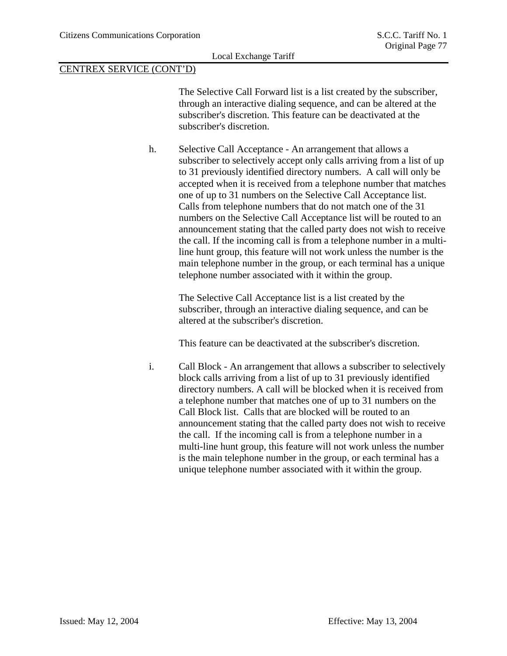The Selective Call Forward list is a list created by the subscriber, through an interactive dialing sequence, and can be altered at the subscriber's discretion. This feature can be deactivated at the subscriber's discretion.

h. Selective Call Acceptance - An arrangement that allows a subscriber to selectively accept only calls arriving from a list of up to 31 previously identified directory numbers. A call will only be accepted when it is received from a telephone number that matches one of up to 31 numbers on the Selective Call Acceptance list. Calls from telephone numbers that do not match one of the 31 numbers on the Selective Call Acceptance list will be routed to an announcement stating that the called party does not wish to receive the call. If the incoming call is from a telephone number in a multiline hunt group, this feature will not work unless the number is the main telephone number in the group, or each terminal has a unique telephone number associated with it within the group.

> The Selective Call Acceptance list is a list created by the subscriber, through an interactive dialing sequence, and can be altered at the subscriber's discretion.

This feature can be deactivated at the subscriber's discretion.

i. Call Block - An arrangement that allows a subscriber to selectively block calls arriving from a list of up to 31 previously identified directory numbers. A call will be blocked when it is received from a telephone number that matches one of up to 31 numbers on the Call Block list. Calls that are blocked will be routed to an announcement stating that the called party does not wish to receive the call. If the incoming call is from a telephone number in a multi-line hunt group, this feature will not work unless the number is the main telephone number in the group, or each terminal has a unique telephone number associated with it within the group.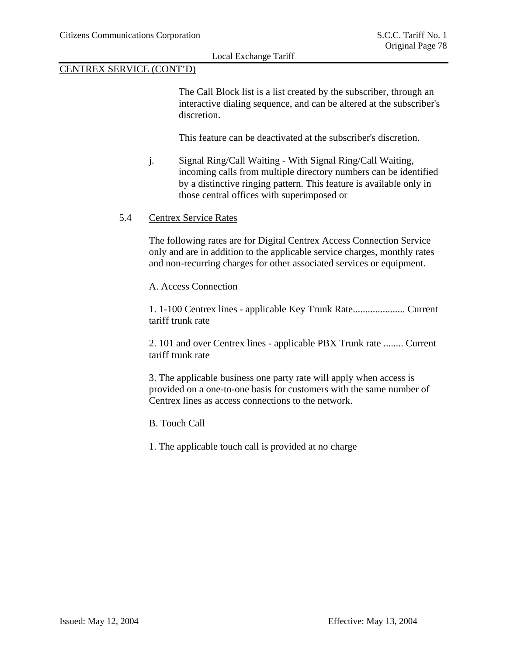The Call Block list is a list created by the subscriber, through an interactive dialing sequence, and can be altered at the subscriber's discretion.

This feature can be deactivated at the subscriber's discretion.

j. Signal Ring/Call Waiting - With Signal Ring/Call Waiting, incoming calls from multiple directory numbers can be identified by a distinctive ringing pattern. This feature is available only in those central offices with superimposed or

#### 5.4 Centrex Service Rates

The following rates are for Digital Centrex Access Connection Service only and are in addition to the applicable service charges, monthly rates and non-recurring charges for other associated services or equipment.

A. Access Connection

1. 1-100 Centrex lines - applicable Key Trunk Rate..................... Current tariff trunk rate

2. 101 and over Centrex lines - applicable PBX Trunk rate ........ Current tariff trunk rate

3. The applicable business one party rate will apply when access is provided on a one-to-one basis for customers with the same number of Centrex lines as access connections to the network.

B. Touch Call

1. The applicable touch call is provided at no charge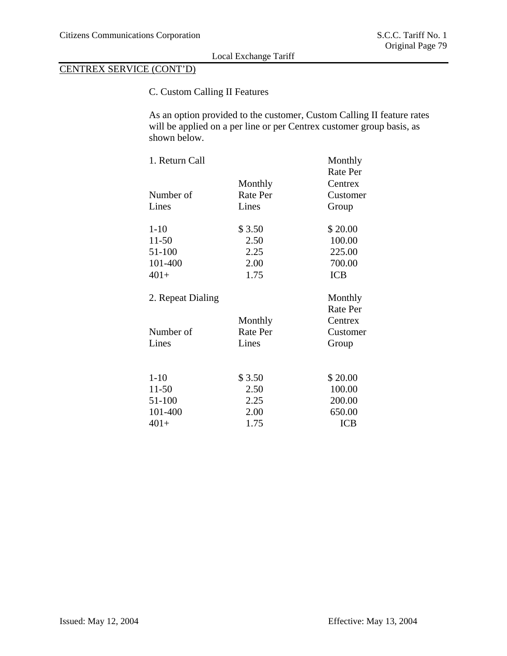# CENTREX SERVICE (CONT'D)

# C. Custom Calling II Features

As an option provided to the customer, Custom Calling II feature rates will be applied on a per line or per Centrex customer group basis, as shown below.

| 1. Return Call     |                   | Monthly<br><b>Rate Per</b> |
|--------------------|-------------------|----------------------------|
|                    | Monthly           | Centrex                    |
| Number of          | Rate Per          | Customer                   |
| Lines              | Lines             | Group                      |
| $1 - 10$           | \$3.50            | \$20.00                    |
| $11 - 50$          | 2.50              | 100.00                     |
| 51-100             | 2.25              | 225.00                     |
| 101-400            | 2.00              | 700.00                     |
| $401+$             | 1.75              | <b>ICB</b>                 |
| 2. Repeat Dialing  |                   | Monthly                    |
|                    |                   |                            |
|                    |                   | <b>Rate Per</b>            |
|                    | Monthly           | Centrex                    |
| Number of<br>Lines | Rate Per<br>Lines | Customer<br>Group          |
|                    |                   |                            |
| $1 - 10$           | \$3.50            | \$20.00                    |
| $11-50$            | 2.50              | 100.00                     |
| 51-100             | 2.25              | 200.00                     |
| 101-400            | 2.00              | 650.00                     |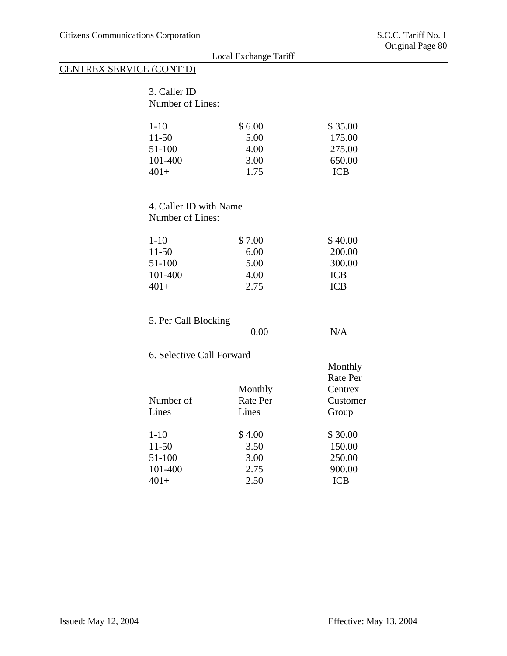|                          |                           | Local Exchange Tariff | $\sigma$ riginar i ago oo |
|--------------------------|---------------------------|-----------------------|---------------------------|
| CENTREX SERVICE (CONT'D) |                           |                       |                           |
|                          |                           |                       |                           |
|                          | 3. Caller ID              |                       |                           |
|                          | Number of Lines:          |                       |                           |
|                          | $1 - 10$                  | \$6.00                | \$35.00                   |
|                          | $11 - 50$                 | 5.00                  | 175.00                    |
|                          | 51-100                    | 4.00                  | 275.00                    |
|                          | 101-400                   | 3.00                  | 650.00                    |
|                          | $401+$                    | 1.75                  | <b>ICB</b>                |
|                          |                           |                       |                           |
|                          |                           |                       |                           |
|                          | 4. Caller ID with Name    |                       |                           |
|                          | Number of Lines:          |                       |                           |
|                          | $1 - 10$                  | \$7.00                | \$40.00                   |
|                          | $11 - 50$                 | 6.00                  | 200.00                    |
|                          | 51-100                    | 5.00                  | 300.00                    |
|                          | 101-400                   | 4.00                  | <b>ICB</b>                |
|                          | $401+$                    | 2.75                  | <b>ICB</b>                |
|                          |                           |                       |                           |
|                          | 5. Per Call Blocking      |                       |                           |
|                          |                           | 0.00                  | N/A                       |
|                          | 6. Selective Call Forward |                       |                           |
|                          |                           |                       | Monthly                   |
|                          |                           |                       | Rate Per                  |
|                          |                           | Monthly               | Centrex                   |
|                          | Number of                 | Rate Per              | Customer                  |
|                          | Lines                     | Lines                 | Group                     |
|                          | $1 - 10$                  | \$4.00                | \$30.00                   |
|                          | $11 - 50$                 | 3.50                  | 150.00                    |
|                          | 51-100                    | 3.00                  | 250.00                    |
|                          | 101-400                   | 2.75                  | 900.00                    |
|                          | $401+$                    | 2.50                  | <b>ICB</b>                |
|                          |                           |                       |                           |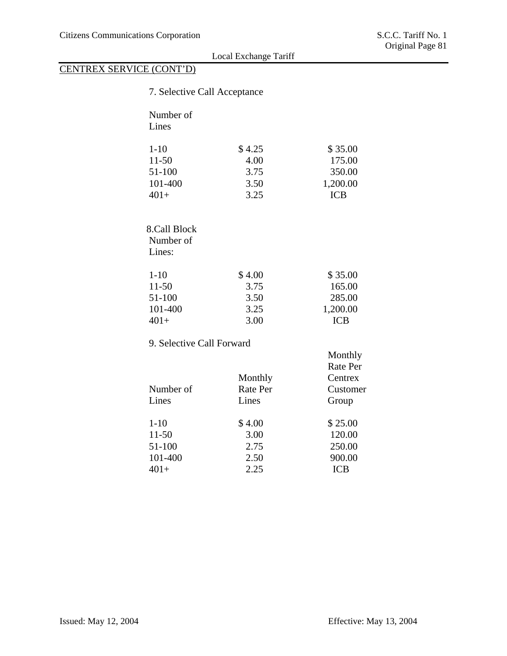| 7. Selective Call Acceptance |          |                 |
|------------------------------|----------|-----------------|
| Number of                    |          |                 |
| Lines                        |          |                 |
|                              |          |                 |
| $1 - 10$                     | \$4.25   | \$35.00         |
| $11 - 50$                    | 4.00     | 175.00          |
| 51-100                       | 3.75     | 350.00          |
| 101-400                      | 3.50     | 1,200.00        |
| $401+$                       | 3.25     | <b>ICB</b>      |
|                              |          |                 |
| 8.Call Block                 |          |                 |
| Number of                    |          |                 |
| Lines:                       |          |                 |
|                              |          |                 |
| $1 - 10$                     | \$4.00   | \$35.00         |
| $11 - 50$                    | 3.75     | 165.00          |
| 51-100                       | 3.50     | 285.00          |
| 101-400                      | 3.25     | 1,200.00        |
| $401+$                       | 3.00     | <b>ICB</b>      |
| 9. Selective Call Forward    |          |                 |
|                              |          | Monthly         |
|                              |          | <b>Rate Per</b> |
|                              | Monthly  | Centrex         |
| Number of                    | Rate Per | Customer        |
| Lines                        | Lines    | Group           |
| $1 - 10$                     | \$4.00   | \$25.00         |
| $11 - 50$                    | 3.00     | 120.00          |
| 51-100                       | 2.75     | 250.00          |
| 101-400                      | 2.50     | 900.00          |
| $401+$                       | 2.25     | <b>ICB</b>      |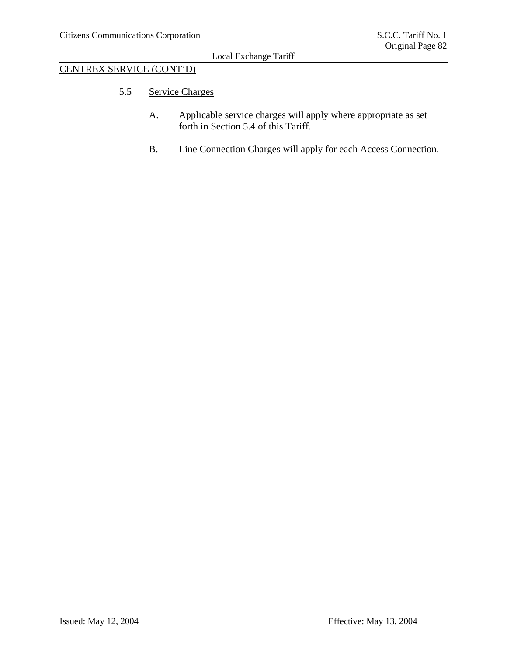# CENTREX SERVICE (CONT'D)

- 5.5 Service Charges
	- A. Applicable service charges will apply where appropriate as set forth in Section 5.4 of this Tariff.
	- B. Line Connection Charges will apply for each Access Connection.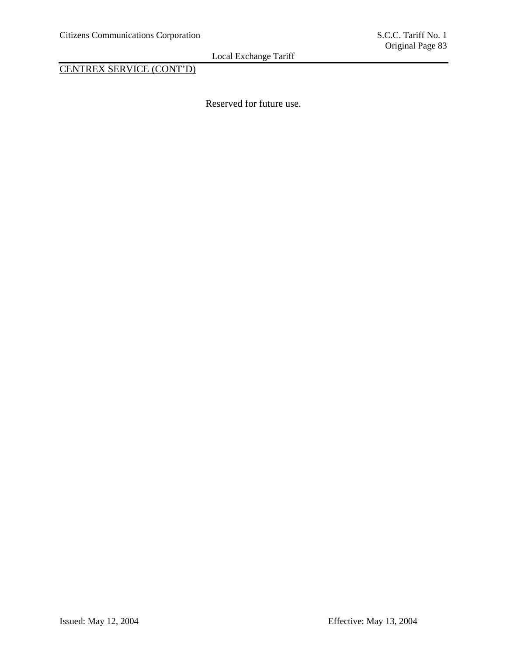CENTREX SERVICE (CONT'D)

Reserved for future use.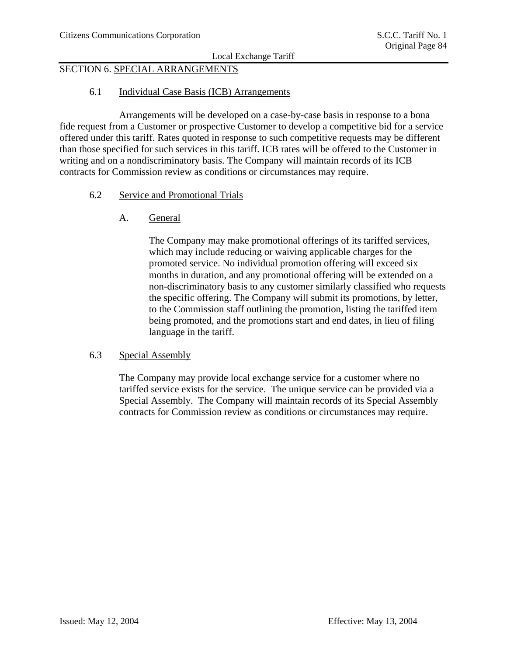# SECTION 6. SPECIAL ARRANGEMENTS

# 6.1 Individual Case Basis (ICB) Arrangements

 Arrangements will be developed on a case-by-case basis in response to a bona fide request from a Customer or prospective Customer to develop a competitive bid for a service offered under this tariff. Rates quoted in response to such competitive requests may be different than those specified for such services in this tariff. ICB rates will be offered to the Customer in writing and on a nondiscriminatory basis. The Company will maintain records of its ICB contracts for Commission review as conditions or circumstances may require.

#### 6.2 Service and Promotional Trials

A. General

The Company may make promotional offerings of its tariffed services, which may include reducing or waiving applicable charges for the promoted service. No individual promotion offering will exceed six months in duration, and any promotional offering will be extended on a non-discriminatory basis to any customer similarly classified who requests the specific offering. The Company will submit its promotions, by letter, to the Commission staff outlining the promotion, listing the tariffed item being promoted, and the promotions start and end dates, in lieu of filing language in the tariff.

#### 6.3 Special Assembly

The Company may provide local exchange service for a customer where no tariffed service exists for the service. The unique service can be provided via a Special Assembly. The Company will maintain records of its Special Assembly contracts for Commission review as conditions or circumstances may require.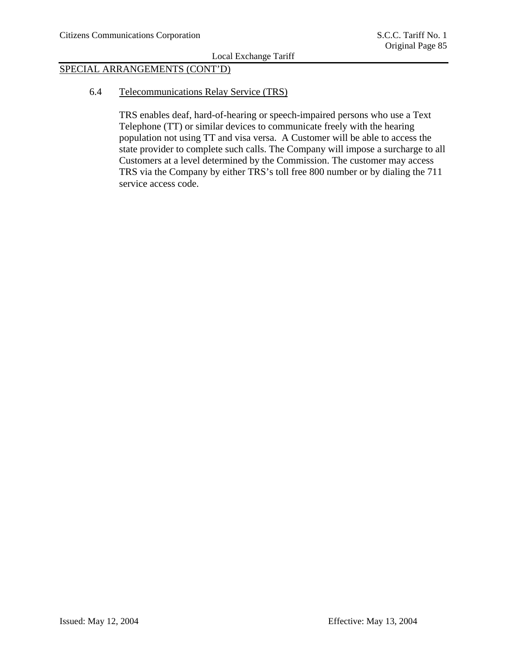# SPECIAL ARRANGEMENTS (CONT'D)

6.4 Telecommunications Relay Service (TRS)

TRS enables deaf, hard-of-hearing or speech-impaired persons who use a Text Telephone (TT) or similar devices to communicate freely with the hearing population not using TT and visa versa. A Customer will be able to access the state provider to complete such calls. The Company will impose a surcharge to all Customers at a level determined by the Commission. The customer may access TRS via the Company by either TRS's toll free 800 number or by dialing the 711 service access code.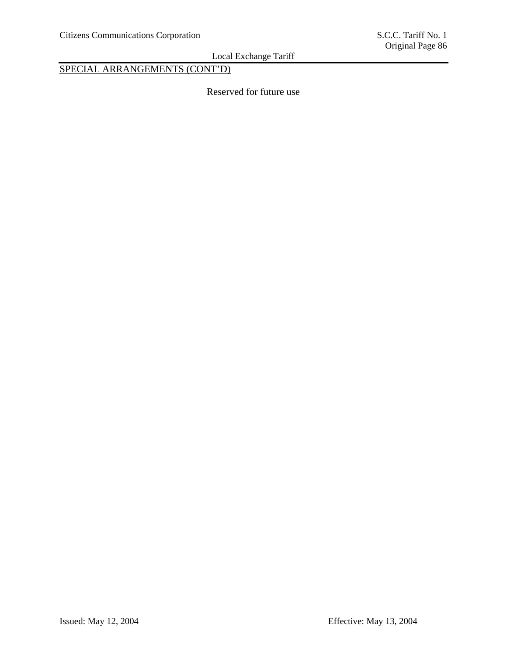SPECIAL ARRANGEMENTS (CONT'D)

Reserved for future use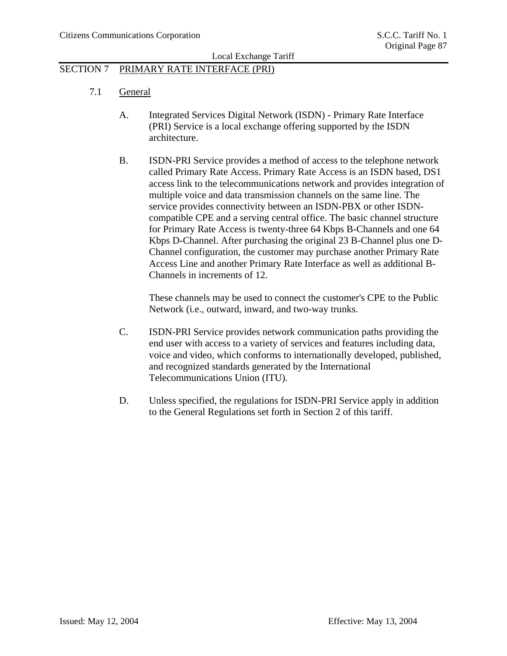# SECTION 7 PRIMARY RATE INTERFACE (PRI)

- 7.1 General
	- A. Integrated Services Digital Network (ISDN) Primary Rate Interface (PRI) Service is a local exchange offering supported by the ISDN architecture.
	- B. ISDN-PRI Service provides a method of access to the telephone network called Primary Rate Access. Primary Rate Access is an ISDN based, DS1 access link to the telecommunications network and provides integration of multiple voice and data transmission channels on the same line. The service provides connectivity between an ISDN-PBX or other ISDNcompatible CPE and a serving central office. The basic channel structure for Primary Rate Access is twenty-three 64 Kbps B-Channels and one 64 Kbps D-Channel. After purchasing the original 23 B-Channel plus one D-Channel configuration, the customer may purchase another Primary Rate Access Line and another Primary Rate Interface as well as additional B-Channels in increments of 12.

These channels may be used to connect the customer's CPE to the Public Network (i.e., outward, inward, and two-way trunks.

- C. ISDN-PRI Service provides network communication paths providing the end user with access to a variety of services and features including data, voice and video, which conforms to internationally developed, published, and recognized standards generated by the International Telecommunications Union (ITU).
- D. Unless specified, the regulations for ISDN-PRI Service apply in addition to the General Regulations set forth in Section 2 of this tariff.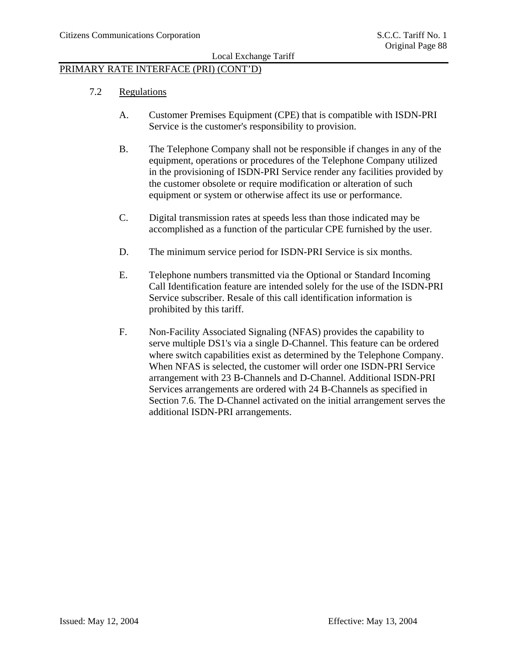# PRIMARY RATE INTERFACE (PRI) (CONT'D)

- 7.2 Regulations
	- A. Customer Premises Equipment (CPE) that is compatible with ISDN-PRI Service is the customer's responsibility to provision.
	- B. The Telephone Company shall not be responsible if changes in any of the equipment, operations or procedures of the Telephone Company utilized in the provisioning of ISDN-PRI Service render any facilities provided by the customer obsolete or require modification or alteration of such equipment or system or otherwise affect its use or performance.
	- C. Digital transmission rates at speeds less than those indicated may be accomplished as a function of the particular CPE furnished by the user.
	- D. The minimum service period for ISDN-PRI Service is six months.
	- E. Telephone numbers transmitted via the Optional or Standard Incoming Call Identification feature are intended solely for the use of the ISDN-PRI Service subscriber. Resale of this call identification information is prohibited by this tariff.
	- F. Non-Facility Associated Signaling (NFAS) provides the capability to serve multiple DS1's via a single D-Channel. This feature can be ordered where switch capabilities exist as determined by the Telephone Company. When NFAS is selected, the customer will order one ISDN-PRI Service arrangement with 23 B-Channels and D-Channel. Additional ISDN-PRI Services arrangements are ordered with 24 B-Channels as specified in Section 7.6. The D-Channel activated on the initial arrangement serves the additional ISDN-PRI arrangements.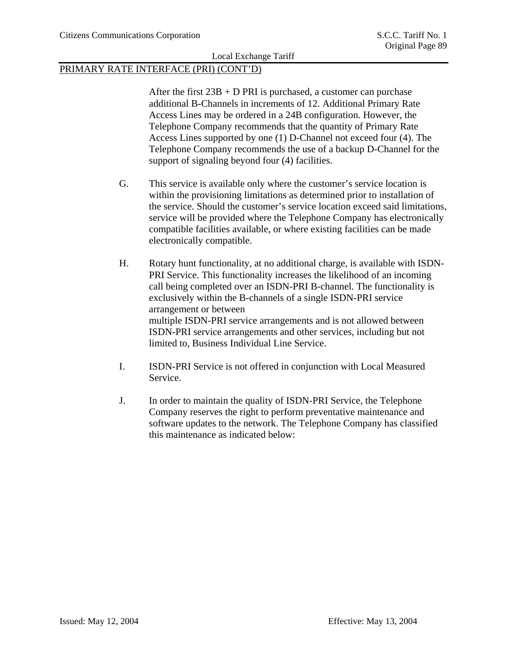# PRIMARY RATE INTERFACE (PRI) (CONT'D)

After the first  $23B + D PRI$  is purchased, a customer can purchase additional B-Channels in increments of 12. Additional Primary Rate Access Lines may be ordered in a 24B configuration. However, the Telephone Company recommends that the quantity of Primary Rate Access Lines supported by one (1) D-Channel not exceed four (4). The Telephone Company recommends the use of a backup D-Channel for the support of signaling beyond four (4) facilities.

- G. This service is available only where the customer's service location is within the provisioning limitations as determined prior to installation of the service. Should the customer's service location exceed said limitations, service will be provided where the Telephone Company has electronically compatible facilities available, or where existing facilities can be made electronically compatible.
- H. Rotary hunt functionality, at no additional charge, is available with ISDN-PRI Service. This functionality increases the likelihood of an incoming call being completed over an ISDN-PRI B-channel. The functionality is exclusively within the B-channels of a single ISDN-PRI service arrangement or between multiple ISDN-PRI service arrangements and is not allowed between ISDN-PRI service arrangements and other services, including but not limited to, Business Individual Line Service.
- I. ISDN-PRI Service is not offered in conjunction with Local Measured Service.
- J. In order to maintain the quality of ISDN-PRI Service, the Telephone Company reserves the right to perform preventative maintenance and software updates to the network. The Telephone Company has classified this maintenance as indicated below: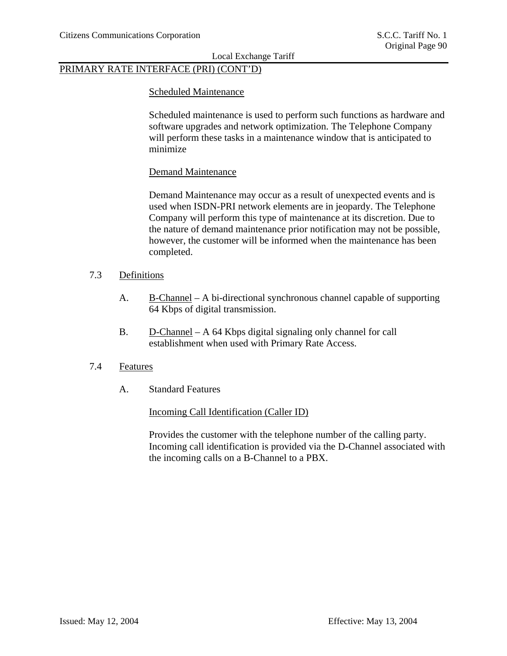# PRIMARY RATE INTERFACE (PRI) (CONT'D)

#### Scheduled Maintenance

Scheduled maintenance is used to perform such functions as hardware and software upgrades and network optimization. The Telephone Company will perform these tasks in a maintenance window that is anticipated to minimize

#### Demand Maintenance

Demand Maintenance may occur as a result of unexpected events and is used when ISDN-PRI network elements are in jeopardy. The Telephone Company will perform this type of maintenance at its discretion. Due to the nature of demand maintenance prior notification may not be possible, however, the customer will be informed when the maintenance has been completed.

# 7.3 Definitions

- A. B-Channel A bi-directional synchronous channel capable of supporting 64 Kbps of digital transmission.
- B. D-Channel A 64 Kbps digital signaling only channel for call establishment when used with Primary Rate Access.

#### 7.4 Features

A. Standard Features

Incoming Call Identification (Caller ID)

Provides the customer with the telephone number of the calling party. Incoming call identification is provided via the D-Channel associated with the incoming calls on a B-Channel to a PBX.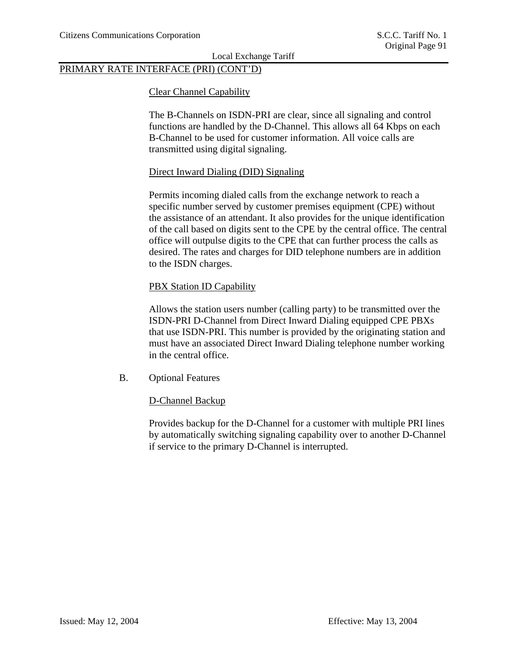# PRIMARY RATE INTERFACE (PRI) (CONT'D)

#### Clear Channel Capability

The B-Channels on ISDN-PRI are clear, since all signaling and control functions are handled by the D-Channel. This allows all 64 Kbps on each B-Channel to be used for customer information. All voice calls are transmitted using digital signaling.

#### Direct Inward Dialing (DID) Signaling

Permits incoming dialed calls from the exchange network to reach a specific number served by customer premises equipment (CPE) without the assistance of an attendant. It also provides for the unique identification of the call based on digits sent to the CPE by the central office. The central office will outpulse digits to the CPE that can further process the calls as desired. The rates and charges for DID telephone numbers are in addition to the ISDN charges.

#### PBX Station ID Capability

Allows the station users number (calling party) to be transmitted over the ISDN-PRI D-Channel from Direct Inward Dialing equipped CPE PBXs that use ISDN-PRI. This number is provided by the originating station and must have an associated Direct Inward Dialing telephone number working in the central office.

#### B. Optional Features

#### D-Channel Backup

Provides backup for the D-Channel for a customer with multiple PRI lines by automatically switching signaling capability over to another D-Channel if service to the primary D-Channel is interrupted.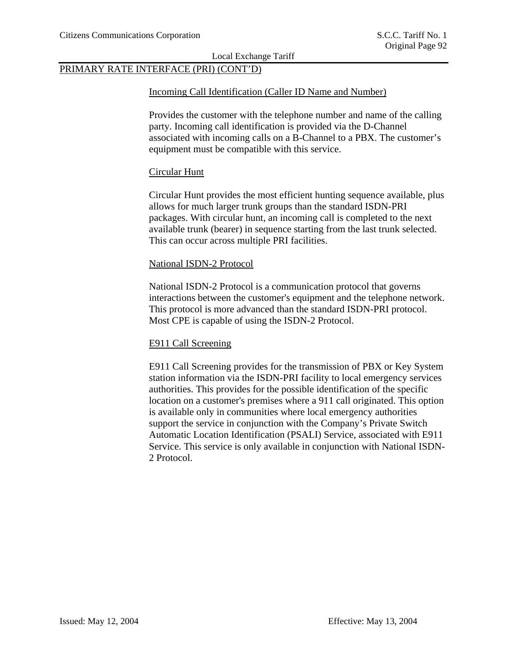# PRIMARY RATE INTERFACE (PRI) (CONT'D)

#### Incoming Call Identification (Caller ID Name and Number)

Provides the customer with the telephone number and name of the calling party. Incoming call identification is provided via the D-Channel associated with incoming calls on a B-Channel to a PBX. The customer's equipment must be compatible with this service.

#### Circular Hunt

Circular Hunt provides the most efficient hunting sequence available, plus allows for much larger trunk groups than the standard ISDN-PRI packages. With circular hunt, an incoming call is completed to the next available trunk (bearer) in sequence starting from the last trunk selected. This can occur across multiple PRI facilities.

#### National ISDN-2 Protocol

National ISDN-2 Protocol is a communication protocol that governs interactions between the customer's equipment and the telephone network. This protocol is more advanced than the standard ISDN-PRI protocol. Most CPE is capable of using the ISDN-2 Protocol.

### E911 Call Screening

E911 Call Screening provides for the transmission of PBX or Key System station information via the ISDN-PRI facility to local emergency services authorities. This provides for the possible identification of the specific location on a customer's premises where a 911 call originated. This option is available only in communities where local emergency authorities support the service in conjunction with the Company's Private Switch Automatic Location Identification (PSALI) Service, associated with E911 Service. This service is only available in conjunction with National ISDN-2 Protocol.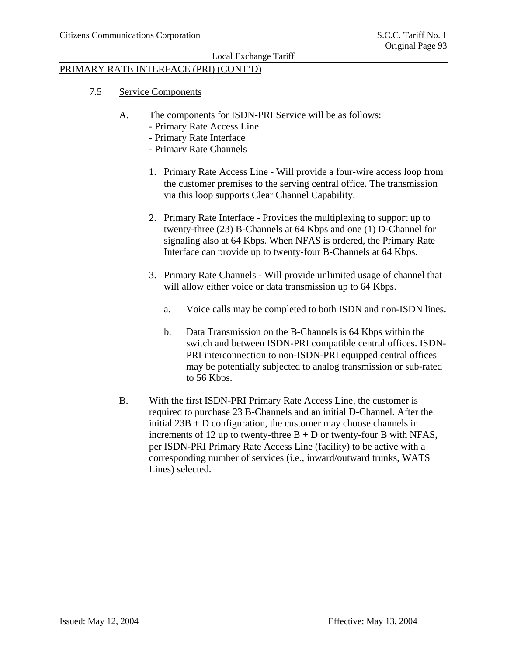# PRIMARY RATE INTERFACE (PRI) (CONT'D)

- 7.5 Service Components
	- A. The components for ISDN-PRI Service will be as follows:
		- Primary Rate Access Line
		- Primary Rate Interface
		- Primary Rate Channels
		- 1. Primary Rate Access Line Will provide a four-wire access loop from the customer premises to the serving central office. The transmission via this loop supports Clear Channel Capability.
		- 2. Primary Rate Interface Provides the multiplexing to support up to twenty-three (23) B-Channels at 64 Kbps and one (1) D-Channel for signaling also at 64 Kbps. When NFAS is ordered, the Primary Rate Interface can provide up to twenty-four B-Channels at 64 Kbps.
		- 3. Primary Rate Channels Will provide unlimited usage of channel that will allow either voice or data transmission up to 64 Kbps.
			- a. Voice calls may be completed to both ISDN and non-ISDN lines.
			- b. Data Transmission on the B-Channels is 64 Kbps within the switch and between ISDN-PRI compatible central offices. ISDN-PRI interconnection to non-ISDN-PRI equipped central offices may be potentially subjected to analog transmission or sub-rated to 56 Kbps.
	- B. With the first ISDN-PRI Primary Rate Access Line, the customer is required to purchase 23 B-Channels and an initial D-Channel. After the initial 23B + D configuration, the customer may choose channels in increments of 12 up to twenty-three  $B + D$  or twenty-four B with NFAS, per ISDN-PRI Primary Rate Access Line (facility) to be active with a corresponding number of services (i.e., inward/outward trunks, WATS Lines) selected.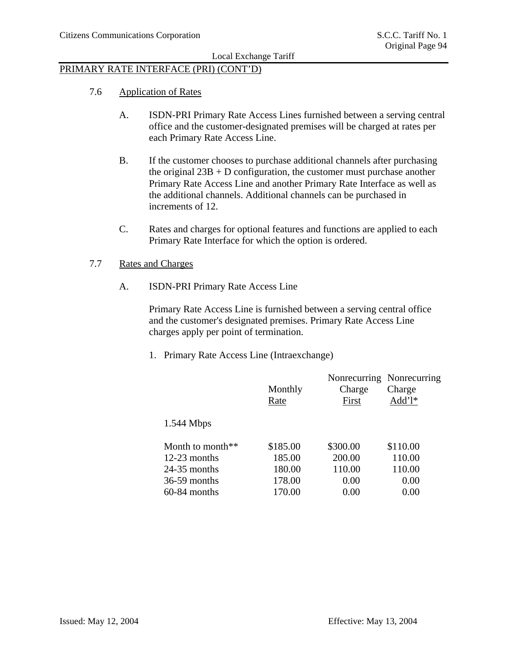# PRIMARY RATE INTERFACE (PRI) (CONT'D)

- 7.6 Application of Rates
	- A. ISDN-PRI Primary Rate Access Lines furnished between a serving central office and the customer-designated premises will be charged at rates per each Primary Rate Access Line.
	- B. If the customer chooses to purchase additional channels after purchasing the original  $23B + D$  configuration, the customer must purchase another Primary Rate Access Line and another Primary Rate Interface as well as the additional channels. Additional channels can be purchased in increments of 12.
	- C. Rates and charges for optional features and functions are applied to each Primary Rate Interface for which the option is ordered.
- 7.7 Rates and Charges
	- A. ISDN-PRI Primary Rate Access Line

Primary Rate Access Line is furnished between a serving central office and the customer's designated premises. Primary Rate Access Line charges apply per point of termination.

1. Primary Rate Access Line (Intraexchange)

|                     | Monthly<br>Rate | Charge<br>First | Nonrecurring Nonrecurring<br>Charge<br>$Add'1*$ |
|---------------------|-----------------|-----------------|-------------------------------------------------|
| $1.544$ Mbps        |                 |                 |                                                 |
| Month to month $**$ | \$185.00        | \$300.00        | \$110.00                                        |
| $12-23$ months      | 185.00          | 200.00          | 110.00                                          |
| $24-35$ months      | 180.00          | 110.00          | 110.00                                          |
| $36-59$ months      | 178.00          | 0.00            | 0.00                                            |
| $60-84$ months      | 170.00          | 0.00            | 0.00                                            |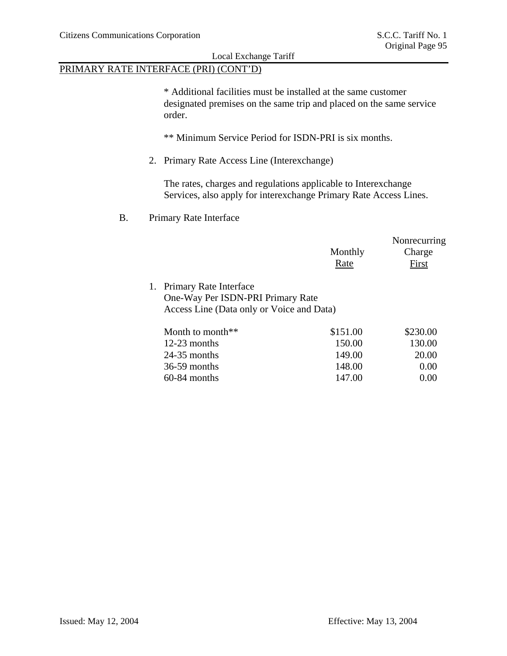# PRIMARY RATE INTERFACE (PRI) (CONT'D)

\* Additional facilities must be installed at the same customer designated premises on the same trip and placed on the same service order.

\*\* Minimum Service Period for ISDN-PRI is six months.

2. Primary Rate Access Line (Interexchange)

The rates, charges and regulations applicable to Interexchange Services, also apply for interexchange Primary Rate Access Lines.

### B. Primary Rate Interface

|                                                                                                             | Monthly<br>Rate | Nonrecurring<br>Charge<br><b>First</b> |
|-------------------------------------------------------------------------------------------------------------|-----------------|----------------------------------------|
| 1. Primary Rate Interface<br>One-Way Per ISDN-PRI Primary Rate<br>Access Line (Data only or Voice and Data) |                 |                                        |
| Month to month**                                                                                            | \$151.00        | \$230.00                               |
| $12-23$ months                                                                                              | 150.00          | 130.00                                 |
| $24-35$ months                                                                                              | 149.00          | 20.00                                  |
| 36-59 months                                                                                                | 148.00          | 0.00                                   |
| 60-84 months                                                                                                | 147.00          | 0.00                                   |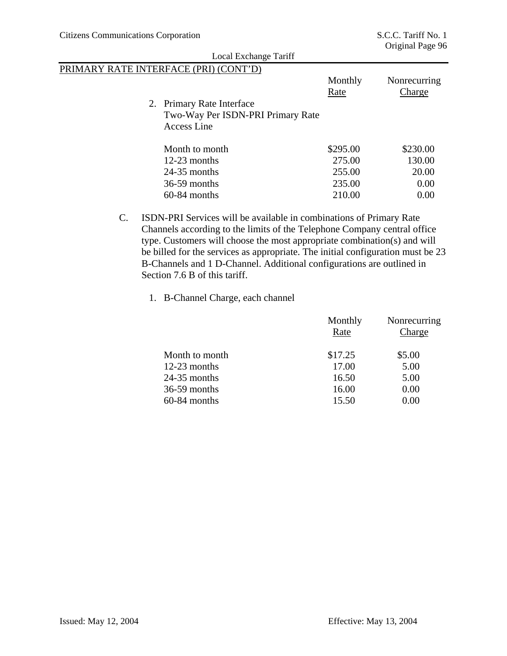| Local Exchange Tariff                                                                |                 |                               |
|--------------------------------------------------------------------------------------|-----------------|-------------------------------|
| PRIMARY RATE INTERFACE (PRI) (CONT'D)                                                |                 |                               |
|                                                                                      | Monthly<br>Rate | Nonrecurring<br><b>Charge</b> |
| 2. Primary Rate Interface<br>Two-Way Per ISDN-PRI Primary Rate<br><b>Access Line</b> |                 |                               |
| Month to month                                                                       | \$295.00        | \$230.00                      |
| $12-23$ months                                                                       | 275.00          | 130.00                        |
| $24-35$ months                                                                       | 255.00          | 20.00                         |
| $36-59$ months                                                                       | 235.00          | 0.00                          |
| $60-84$ months                                                                       | 210.00          | 0.00                          |

- C. ISDN-PRI Services will be available in combinations of Primary Rate Channels according to the limits of the Telephone Company central office type. Customers will choose the most appropriate combination(s) and will be billed for the services as appropriate. The initial configuration must be 23 B-Channels and 1 D-Channel. Additional configurations are outlined in Section 7.6 B of this tariff.
	- 1. B-Channel Charge, each channel

|                | Monthly<br>Rate | Nonrecurring<br>Charge |
|----------------|-----------------|------------------------|
| Month to month | \$17.25         | \$5.00                 |
| 12-23 months   | 17.00           | 5.00                   |
| $24-35$ months | 16.50           | 5.00                   |
| 36-59 months   | 16.00           | 0.00                   |
| 60-84 months   | 15.50           | 0.00                   |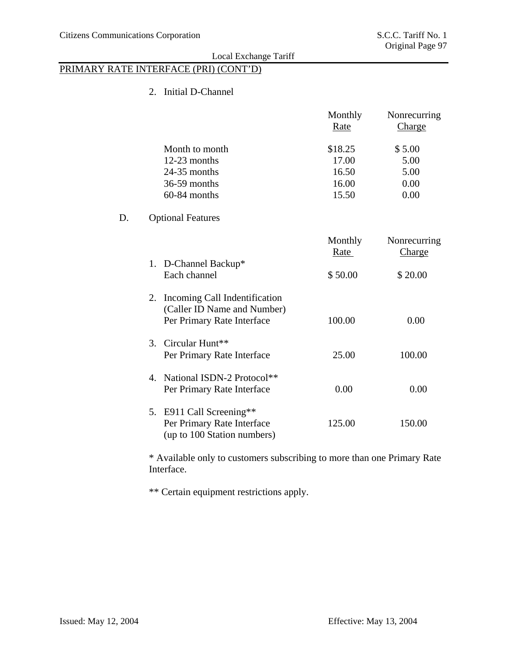$D.$ 

# Local Exchange Tariff

# PRIMARY RATE INTERFACE (PRI) (CONT'D)

2. Initial D-Channel

|                                                                                                  | Monthly<br>Rate | Nonrecurring<br><b>Charge</b> |
|--------------------------------------------------------------------------------------------------|-----------------|-------------------------------|
| Month to month                                                                                   | \$18.25         | \$5.00                        |
| 12-23 months                                                                                     | 17.00           | 5.00                          |
| $24-35$ months                                                                                   | 16.50           | 5.00                          |
| 36-59 months                                                                                     | 16.00           | 0.00                          |
| 60-84 months                                                                                     | 15.50           | 0.00                          |
| <b>Optional Features</b>                                                                         |                 |                               |
|                                                                                                  | Monthly<br>Rate | Nonrecurring<br>Charge        |
| 1. D-Channel Backup*<br>Each channel                                                             | \$50.00         | \$20.00                       |
| Incoming Call Indentification<br>2.<br>(Caller ID Name and Number)<br>Per Primary Rate Interface | 100.00          | 0.00                          |
| Circular Hunt**<br>$\mathcal{R}_{\alpha}$<br>Per Primary Rate Interface                          | 25.00           | 100.00                        |
| National ISDN-2 Protocol**<br>$\mathbf{4}$<br>Per Primary Rate Interface                         | 0.00            | 0.00                          |
| E911 Call Screening**<br>5.<br>Per Primary Rate Interface<br>(up to 100 Station numbers)         | 125.00          | 150.00                        |

\* Available only to customers subscribing to more than one Primary Rate Interface.

\*\* Certain equipment restrictions apply.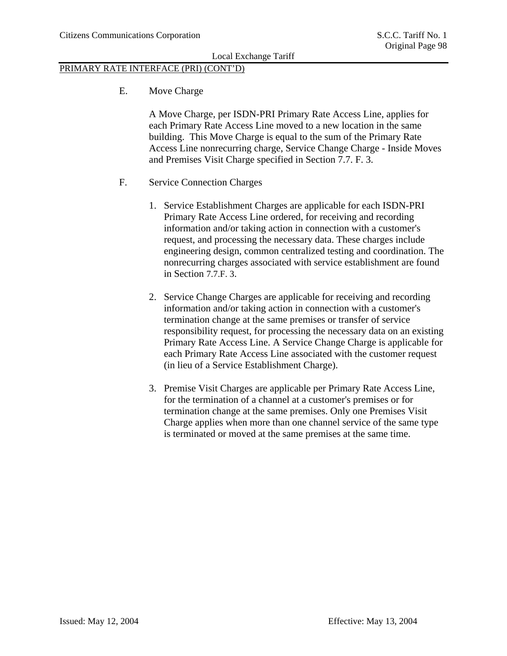# PRIMARY RATE INTERFACE (PRI) (CONT'D)

E. Move Charge

A Move Charge, per ISDN-PRI Primary Rate Access Line, applies for each Primary Rate Access Line moved to a new location in the same building. This Move Charge is equal to the sum of the Primary Rate Access Line nonrecurring charge, Service Change Charge - Inside Moves and Premises Visit Charge specified in Section 7.7. F. 3.

- F. Service Connection Charges
	- 1. Service Establishment Charges are applicable for each ISDN-PRI Primary Rate Access Line ordered, for receiving and recording information and/or taking action in connection with a customer's request, and processing the necessary data. These charges include engineering design, common centralized testing and coordination. The nonrecurring charges associated with service establishment are found in Section 7.7.F. 3.
	- 2. Service Change Charges are applicable for receiving and recording information and/or taking action in connection with a customer's termination change at the same premises or transfer of service responsibility request, for processing the necessary data on an existing Primary Rate Access Line. A Service Change Charge is applicable for each Primary Rate Access Line associated with the customer request (in lieu of a Service Establishment Charge).
	- 3. Premise Visit Charges are applicable per Primary Rate Access Line, for the termination of a channel at a customer's premises or for termination change at the same premises. Only one Premises Visit Charge applies when more than one channel service of the same type is terminated or moved at the same premises at the same time.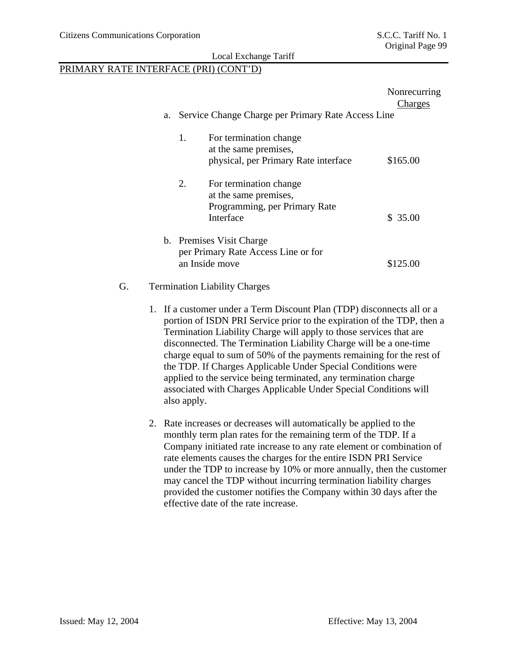# PRIMARY RATE INTERFACE (PRI) (CONT'D)

|                                                                                                     | Nonrecurring<br>Charges |
|-----------------------------------------------------------------------------------------------------|-------------------------|
| a. Service Change Charge per Primary Rate Access Line                                               |                         |
| For termination change<br>1.<br>at the same premises,                                               |                         |
| physical, per Primary Rate interface                                                                | \$165.00                |
| 2.<br>For termination change<br>at the same premises,<br>Programming, per Primary Rate<br>Interface | \$35.00                 |
| b. Premises Visit Charge<br>per Primary Rate Access Line or for<br>an Inside move                   | \$125.00                |

#### G. Termination Liability Charges

- 1. If a customer under a Term Discount Plan (TDP) disconnects all or a portion of ISDN PRI Service prior to the expiration of the TDP, then a Termination Liability Charge will apply to those services that are disconnected. The Termination Liability Charge will be a one-time charge equal to sum of 50% of the payments remaining for the rest of the TDP. If Charges Applicable Under Special Conditions were applied to the service being terminated, any termination charge associated with Charges Applicable Under Special Conditions will also apply.
- 2. Rate increases or decreases will automatically be applied to the monthly term plan rates for the remaining term of the TDP. If a Company initiated rate increase to any rate element or combination of rate elements causes the charges for the entire ISDN PRI Service under the TDP to increase by 10% or more annually, then the customer may cancel the TDP without incurring termination liability charges provided the customer notifies the Company within 30 days after the effective date of the rate increase.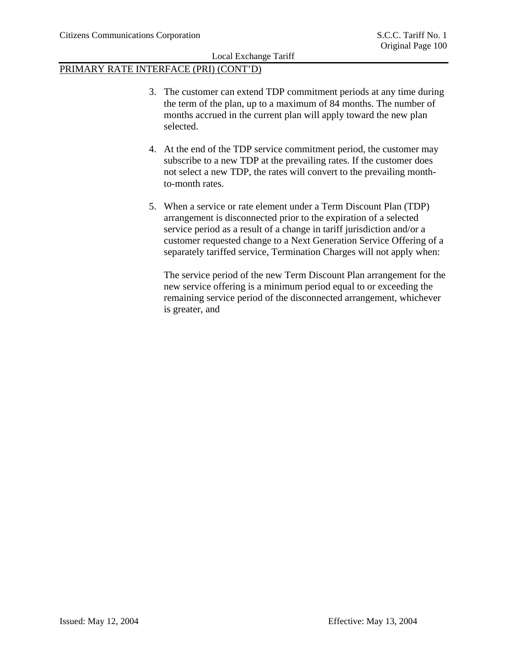# PRIMARY RATE INTERFACE (PRI) (CONT'D)

- 3. The customer can extend TDP commitment periods at any time during the term of the plan, up to a maximum of 84 months. The number of months accrued in the current plan will apply toward the new plan selected.
- 4. At the end of the TDP service commitment period, the customer may subscribe to a new TDP at the prevailing rates. If the customer does not select a new TDP, the rates will convert to the prevailing monthto-month rates.
- 5. When a service or rate element under a Term Discount Plan (TDP) arrangement is disconnected prior to the expiration of a selected service period as a result of a change in tariff jurisdiction and/or a customer requested change to a Next Generation Service Offering of a separately tariffed service, Termination Charges will not apply when:

The service period of the new Term Discount Plan arrangement for the new service offering is a minimum period equal to or exceeding the remaining service period of the disconnected arrangement, whichever is greater, and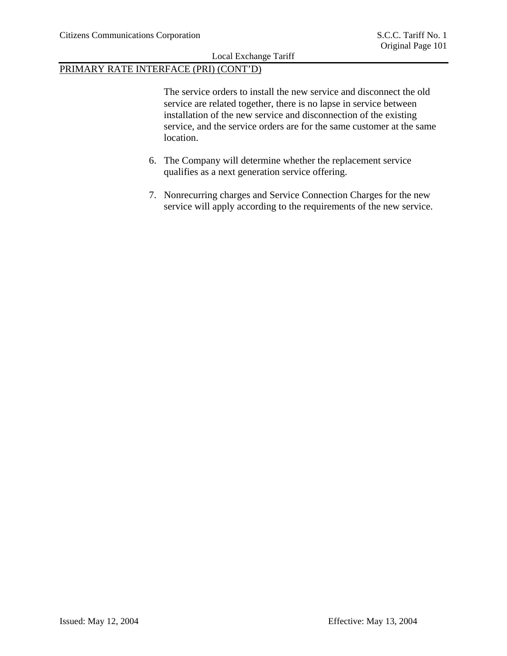# PRIMARY RATE INTERFACE (PRI) (CONT'D)

The service orders to install the new service and disconnect the old service are related together, there is no lapse in service between installation of the new service and disconnection of the existing service, and the service orders are for the same customer at the same location.

- 6. The Company will determine whether the replacement service qualifies as a next generation service offering.
- 7. Nonrecurring charges and Service Connection Charges for the new service will apply according to the requirements of the new service.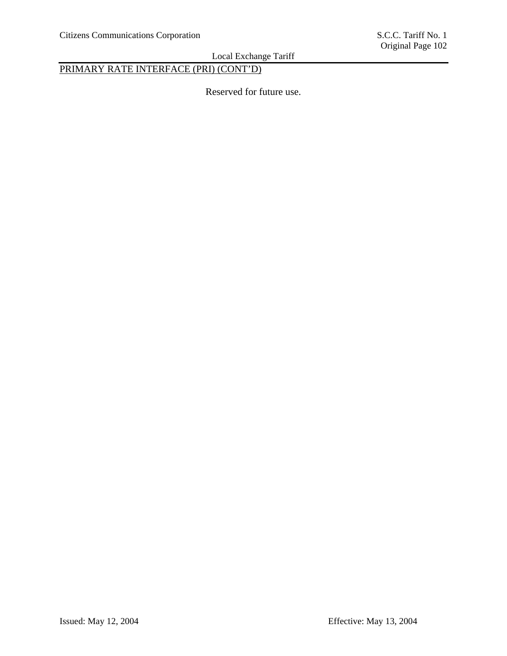# PRIMARY RATE INTERFACE (PRI) (CONT'D)

Reserved for future use.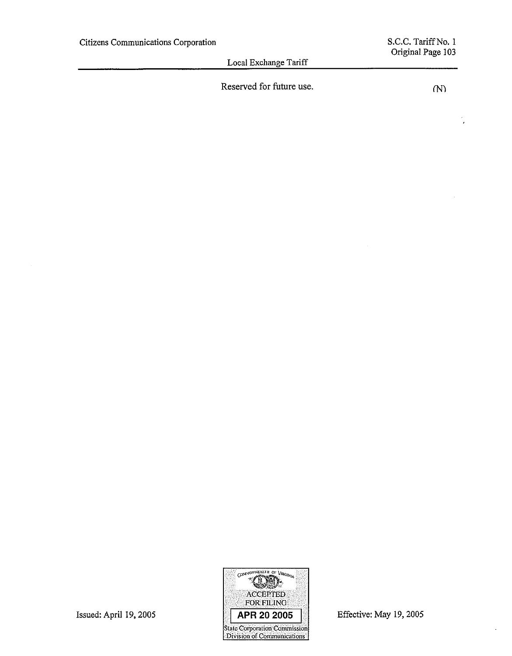Reserved for future use.

 $( N )$ 

 $\lambda$ 



Issued: April 19, 2005

Effective: May 19, 2005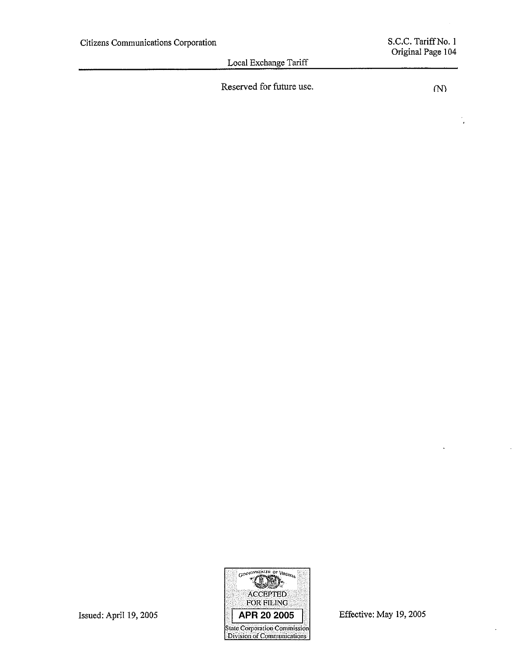Reserved for future use.

 $(1)$ 

 $\overline{1}$ 



Effective: May 19, 2005

 $\cdot$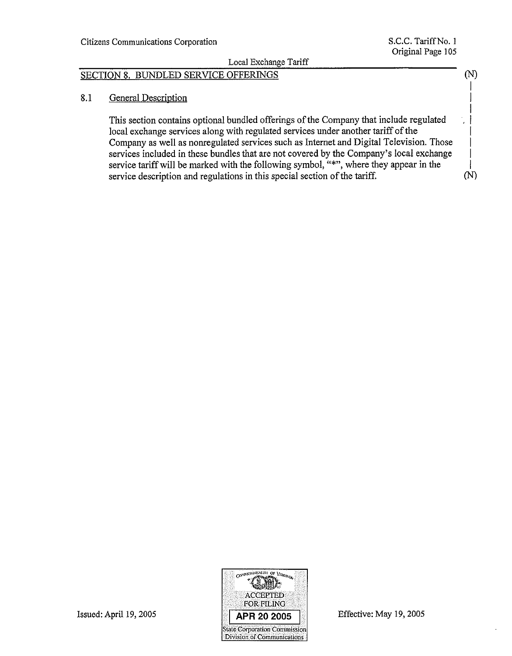# SECTION 8. BUNDLED SERVICE OFFERINGS

#### 8.1 **General Description**

This section contains optional bundled offerings of the Company that include regulated local exchange services along with regulated services under another tariff of the Company as well as nonregulated services such as Internet and Digital Television. Those services included in these bundles that are not covered by the Company's local exchange service tariff will be marked with the following symbol, "\*", where they appear in the service description and regulations in this special section of the tariff.



Effective: May 19, 2005

 $(N)$ 

 $(N)$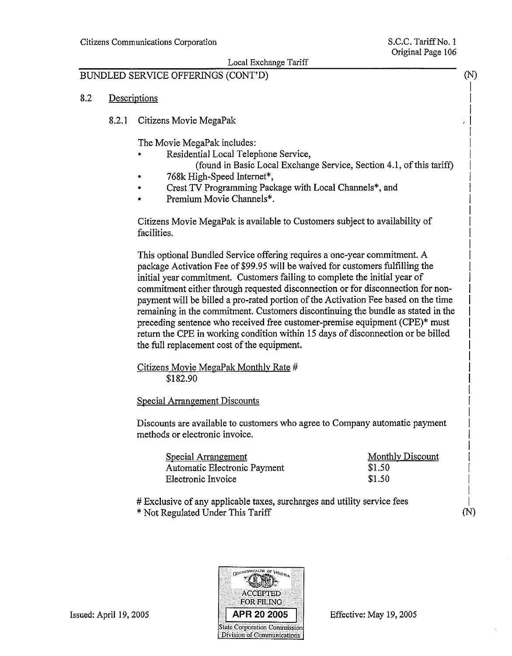# BUNDLED SERVICE OFFERINGS (CONT'D)

- 8.2 Descriptions
	- 8.2.1 Citizens Movie MegaPak

The Movie MegaPak includes:

- Residential Local Telephone Service,
	- (found in Basic Local Exchange Service, Section 4.1, of this tariff)
- 768k High-Speed Internet\*,
- Crest TV Programming Package with Local Channels\*, and
- Premium Movie Channels\*.

Citizens Movie MegaPak is available to Customers subject to availability of facilities.

This optional Bundled Service offering requires a one-year commitment. A package Activation Fee of \$99.95 will be waived for customers fulfilling the initial year commitment. Customers failing to complete the initial year of commitment either through requested disconnection or for disconnection for nonpayment will be billed a pro-rated portion of the Activation Fee based on the time remaining in the commitment. Customers discontinuing the bundle as stated in the preceding sentence who received free customer-premise equipment (CPE)\* must return the CPE in working condition within 15 days of disconnection or be billed the full replacement cost of the equipment.

Citizens Movie MegaPak Monthly Rate # \$182.90

# **Special Arrangement Discounts**

Discounts are available to customers who agree to Company automatic payment methods or electronic invoice.

| Special Arrangement          | Monthly Discount |
|------------------------------|------------------|
| Automatic Electronic Payment | \$1.50           |
| Electronic Invoice           | \$1.50           |

# Exclusive of any applicable taxes, surcharges and utility service fees \* Not Regulated Under This Tariff



Effective: May 19, 2005

(N)

 $(N)$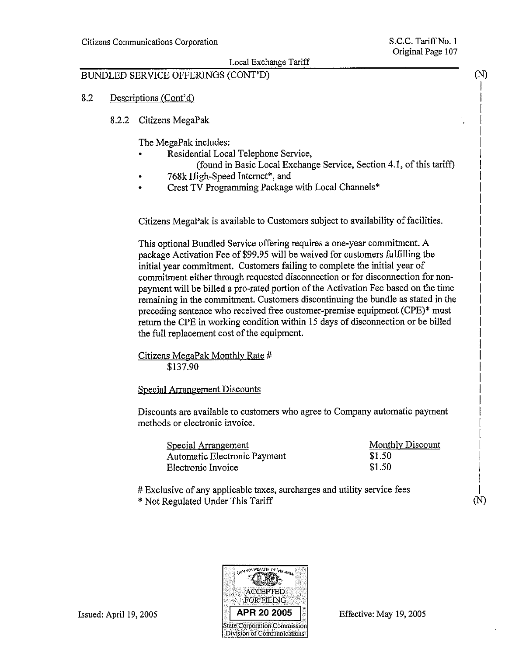#### BUNDLED SERVICE OFFERINGS (CONT'D)

- 8.2 Descriptions (Cont'd)
	- 8.2.2 Citizens MegaPak

The MegaPak includes:

- Residential Local Telephone Service,
	- (found in Basic Local Exchange Service, Section 4.1, of this tariff)
- 768k High-Speed Internet\*, and
- Crest TV Programming Package with Local Channels\*

Citizens MegaPak is available to Customers subject to availability of facilities.

This optional Bundled Service offering requires a one-year commitment. A package Activation Fee of \$99.95 will be waived for customers fulfilling the initial year commitment. Customers failing to complete the initial year of commitment either through requested disconnection or for disconnection for nonpayment will be billed a pro-rated portion of the Activation Fee based on the time remaining in the commitment. Customers discontinuing the bundle as stated in the preceding sentence who received free customer-premise equipment (CPE)\* must return the CPE in working condition within 15 days of disconnection or be billed the full replacement cost of the equipment.

Citizens MegaPak Monthly Rate # \$137.90

Special Arrangement Discounts

Discounts are available to customers who agree to Company automatic payment methods or electronic invoice.

| Special Arrangement          | <b>Monthly Discount</b> |  |
|------------------------------|-------------------------|--|
| Automatic Electronic Payment | \$1.50                  |  |
| Electronic Invoice           | \$1.50                  |  |

# Exclusive of any applicable taxes, surcharges and utility service fees

\* Not Regulated Under This Tariff



Issued: April 19, 2005

Effective: May 19, 2005

 $(N)$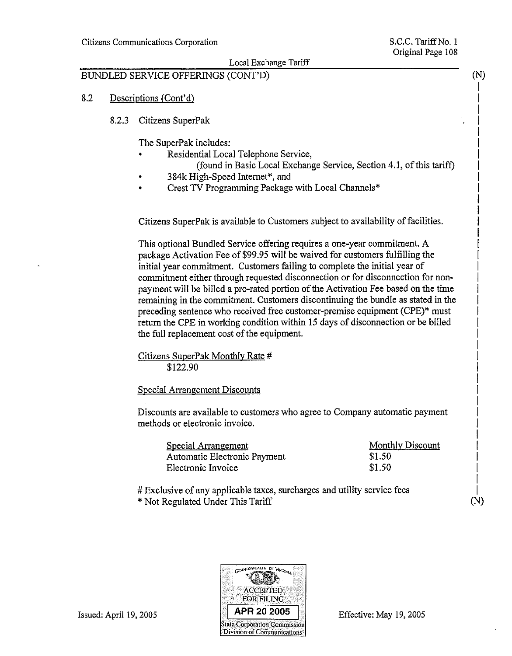### Local Exchange Tariff

## BUNDLED SERVICE OFFERINGS (CONT'D)

#### 8.2 Descriptions (Cont'd)

8.2.3 Citizens SuperPak

The SuperPak includes:

- Residential Local Telephone Service,
	- (found in Basic Local Exchange Service, Section 4.1, of this tariff)
- 384k High-Speed Internet\*, and
- Crest TV Programming Package with Local Channels\*

Citizens SuperPak is available to Customers subject to availability of facilities.

This optional Bundled Service offering requires a one-year commitment. A package Activation Fee of \$99.95 will be waived for customers fulfilling the initial year commitment. Customers failing to complete the initial year of commitment either through requested disconnection or for disconnection for nonpayment will be billed a pro-rated portion of the Activation Fee based on the time remaining in the commitment. Customers discontinuing the bundle as stated in the preceding sentence who received free customer-premise equipment (CPE)\* must return the CPE in working condition within 15 days of disconnection or be billed the full replacement cost of the equipment.

Citizens SuperPak Monthly Rate # \$122.90

**Special Arrangement Discounts** 

Discounts are available to customers who agree to Company automatic payment methods or electronic invoice.

| Special Arrangement          | Monthly Discount |
|------------------------------|------------------|
| Automatic Electronic Payment | \$1.50           |
| Electronic Invoice           | \$1.50           |

# Exclusive of any applicable taxes, surcharges and utility service fees

\* Not Regulated Under This Tariff



Issued: April 19, 2005

(N)

 $(N)$ 

Effective: May 19, 2005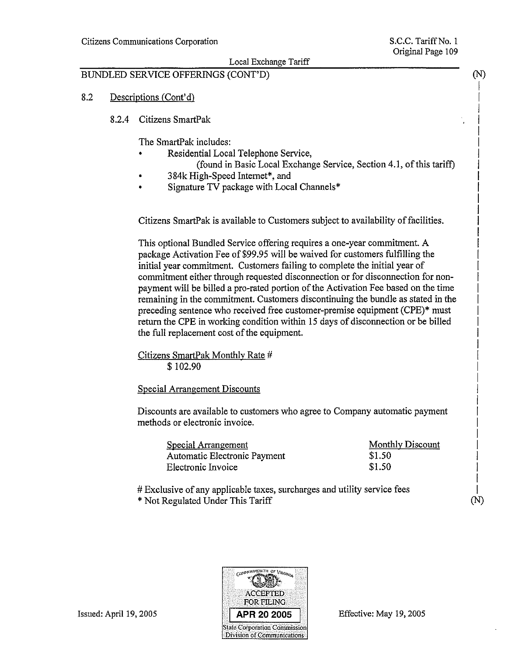$(N)$ 

 $(N)$ 

### Local Exchange Tariff

# BUNDLED SERVICE OFFERINGS (CONT'D)

#### 8.2 Descriptions (Cont'd)

8.2.4 Citizens SmartPak

The SmartPak includes:

- Residential Local Telephone Service,
	- (found in Basic Local Exchange Service, Section 4.1, of this tariff)
- 384k High-Speed Internet\*, and
- Signature TV package with Local Channels\*

Citizens SmartPak is available to Customers subject to availability of facilities.

This optional Bundled Service offering requires a one-year commitment. A package Activation Fee of \$99.95 will be waived for customers fulfilling the initial year commitment. Customers failing to complete the initial year of commitment either through requested disconnection or for disconnection for nonpayment will be billed a pro-rated portion of the Activation Fee based on the time remaining in the commitment. Customers discontinuing the bundle as stated in the preceding sentence who received free customer-premise equipment (CPE)\* must return the CPE in working condition within 15 days of disconnection or be billed the full replacement cost of the equipment.

Citizens SmartPak Monthly Rate # \$102.90

**Special Arrangement Discounts** 

Discounts are available to customers who agree to Company automatic payment methods or electronic invoice.

| Special Arrangement          | Monthly Discount |
|------------------------------|------------------|
| Automatic Electronic Payment | \$1.50           |
| Electronic Invoice           | \$1.50           |

# Exclusive of any applicable taxes, surcharges and utility service fees \* Not Regulated Under This Tariff



Issued: April 19, 2005

Effective: May 19, 2005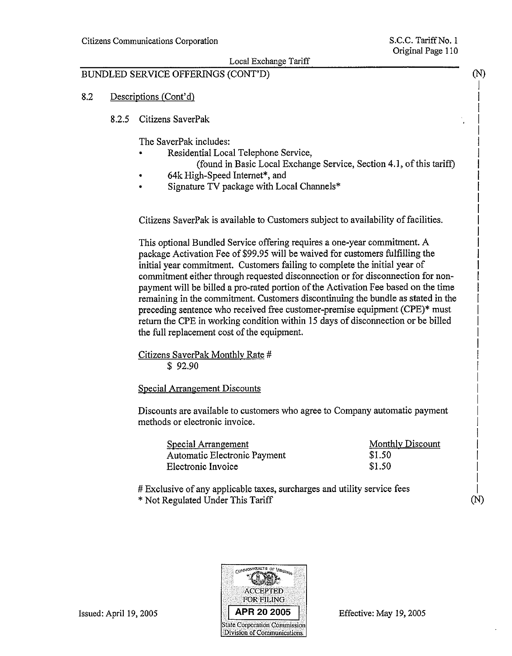$(N)$ 

### Local Exchange Tariff

# BUNDLED SERVICE OFFERINGS (CONT'D)

#### 8.2 Descriptions (Cont'd)

8.2.5 Citizens SaverPak

The SaverPak includes:

- Residential Local Telephone Service,
	- (found in Basic Local Exchange Service, Section 4.1, of this tariff)
- 64k High-Speed Internet\*, and
- Signature TV package with Local Channels\*

Citizens SaverPak is available to Customers subject to availability of facilities.

This optional Bundled Service offering requires a one-year commitment. A package Activation Fee of \$99.95 will be waived for customers fulfilling the initial year commitment. Customers failing to complete the initial year of commitment either through requested disconnection or for disconnection for nonpayment will be billed a pro-rated portion of the Activation Fee based on the time remaining in the commitment. Customers discontinuing the bundle as stated in the preceding sentence who received free customer-premise equipment (CPE)\* must return the CPE in working condition within 15 days of disconnection or be billed the full replacement cost of the equipment.

Citizens SaverPak Monthly Rate #  $$92.90$ 

Special Arrangement Discounts

Discounts are available to customers who agree to Company automatic payment methods or electronic invoice.

| <b>Special Arrangement</b>   | Monthly Discount |
|------------------------------|------------------|
| Automatic Electronic Payment | \$1.50           |
| Electronic Invoice           | \$1.50           |

# Exclusive of any applicable taxes, surcharges and utility service fees \* Not Regulated Under This Tariff



Issued: April 19, 2005

(N)

Effective: May 19, 2005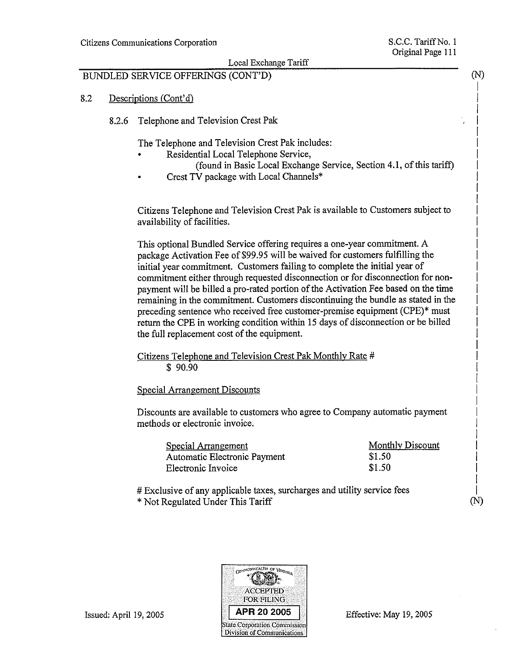Local Exchange Tariff

## BUNDLED SERVICE OFFERINGS (CONT'D)

- 8.2 Descriptions (Cont'd)
	- 8.2.6 Telephone and Television Crest Pak

The Telephone and Television Crest Pak includes:

- Residential Local Telephone Service,
	- (found in Basic Local Exchange Service, Section 4.1, of this tariff)
- Crest TV package with Local Channels\*

Citizens Telephone and Television Crest Pak is available to Customers subject to availability of facilities.

This optional Bundled Service offering requires a one-year commitment. A package Activation Fee of \$99.95 will be waived for customers fulfilling the initial year commitment. Customers failing to complete the initial year of commitment either through requested disconnection or for disconnection for nonpayment will be billed a pro-rated portion of the Activation Fee based on the time remaining in the commitment. Customers discontinuing the bundle as stated in the preceding sentence who received free customer-premise equipment (CPE)\* must return the CPE in working condition within 15 days of disconnection or be billed the full replacement cost of the equipment.

Citizens Telephone and Television Crest Pak Monthly Rate #  $$90.90$ 

Special Arrangement Discounts

Discounts are available to customers who agree to Company automatic payment methods or electronic invoice.

| Special Arrangement          | Monthly Discount   |
|------------------------------|--------------------|
| Automatic Electronic Payment | S <sub>1</sub> .50 |
| Electronic Invoice           | \$1.50             |

# Exclusive of any applicable taxes, surcharges and utility service fees \* Not Regulated Under This Tariff



Issued: April 19, 2005

 $(N)$ 

 $(N)$